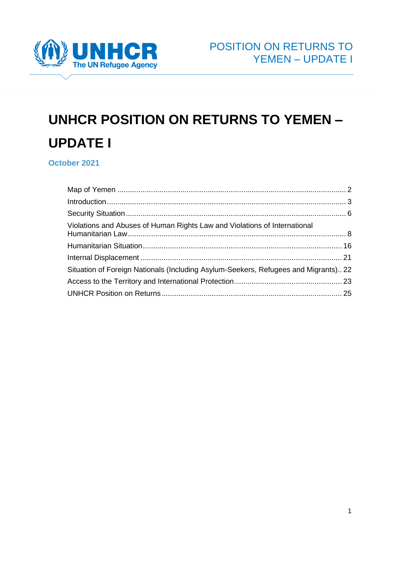

# **UNHCR POSITION ON RETURNS TO YEMEN – UPDATE I**

**October 2021**

| Violations and Abuses of Human Rights Law and Violations of International           |  |
|-------------------------------------------------------------------------------------|--|
|                                                                                     |  |
|                                                                                     |  |
| Situation of Foreign Nationals (Including Asylum-Seekers, Refugees and Migrants) 22 |  |
|                                                                                     |  |
|                                                                                     |  |
|                                                                                     |  |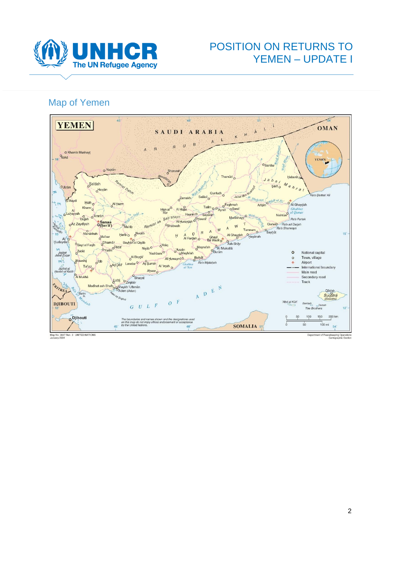

# POSITION ON RETURNS TO YEMEN – UPDATE I

# <span id="page-1-0"></span>Map of Yemen



Map No. 3847 Rev. 3 UNITED NATION:<br>January 2004

scekeeping Operation Department of Pe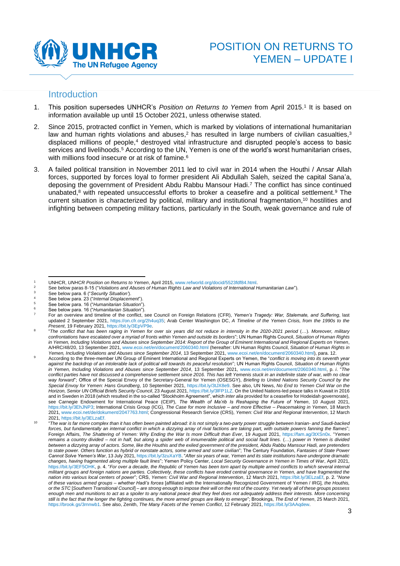

#### <span id="page-2-0"></span>**Introduction**

- 1. This position supersedes UNHCR's *Position on Returns to Yemen* from April 2015.<sup>1</sup> It is based on information available up until 15 October 2021, unless otherwise stated.
- 2. Since 2015, protracted conflict in Yemen, which is marked by violations of international humanitarian law and human rights violations and abuses, $^2$  has resulted in large numbers of civilian casualties, $^3$ displaced millions of people, <sup>4</sup> destroyed vital infrastructure and disrupted people's access to basic services and livelihoods.<sup>5</sup> According to the UN, Yemen is one of the world's worst humanitarian crises, with millions food insecure or at risk of famine. 6
- 3. A failed political transition in November 2011 led to civil war in 2014 when the Houthi / Ansar Allah forces, supported by forces loyal to former president Ali Abdullah Saleh, seized the capital Sana'a, deposing the government of President Abdu Rabbu Mansour Hadi. <sup>7</sup> The conflict has since continued unabated,<sup>8</sup> with repeated unsuccessful efforts to broker a ceasefire and a political settlement.<sup>9</sup> The current situation is characterized by political, military and institutional fragmentation, <sup>10</sup> hostilities and infighting between competing military factions, particularly in the South, weak governance and rule of

<sup>2</sup> See below paras 8-15 ("*Violations and Abuses of Human Rights Law and Violations of International Humanitarian Law"*).

<sup>1</sup> UNHCR, *UNHCR Position on Returns to Yemen*, April 2015[, www.refworld.org/docid/5523fdf84.html.](http://www.refworld.org/docid/5523fdf84.html) 

<sup>3</sup> See below para. 6 ("*Security Situation'*).

<sup>4</sup> See below para. 23 ("*Internal Displacement*").

<sup>5</sup> See below para. 16 ("*Humanitarian Situation*"). <sup>6</sup> See below para. 16 ("*Humanitarian Situation*").

<sup>7</sup> For an overview and timeline of the conflict, see Council on Foreign Relations (CFR), *Yemen's Tragedy: War, Stalemate, and Suffering*, last updated 2 September 2021, [https://on.cfr.org/2h4uq35;](https://on.cfr.org/2h4uq35) Arab Center Washington DC, *A Timeline of the Yemen Crisis, from the 1990s to the Present*, 19 February 2021[, https://bit.ly/3EpVP9e.](https://bit.ly/3EpVP9e)

<sup>8</sup> "The conflict that has been raging in Yemen for over six years did not reduce in intensity in the 2020-2021 period (...). Moreover, military *confrontations have escalated over a myriad of fronts within Yemen and outside its borders*"; UN Human Rights Council, *Situation of Human Rights in Yemen, Including Violations and Abuses since September 2014: Report of the Group of Eminent International and Regional Experts on Yemen*, A/HRC/48/20, 13 September 2021[, www.ecoi.net/en/document/2060340.html](http://www.ecoi.net/en/document/2060340.html) (hereafter: UN Human Rights Council, *Situation of Human Rights in Yemen, Including Violations and Abuses since September 2014*, 13 September 2021[, www.ecoi.net/en/document/2060340.html\)](http://www.ecoi.net/en/document/2060340.html), para. 12.

<sup>9</sup> According to the three-member UN Group of Eminent International and Regional Experts on Yemen, the "*conflict is moving into its seventh year against the backdrop of an intolerable lack of political will towards its peaceful resolution*"; UN Human Rights Council, *Situation of Human Rights in Yemen, Including Violations and Abuses since September 2014*, 13 September 2021, [www.ecoi.net/en/document/2060340.html,](http://www.ecoi.net/en/document/2060340.html) p. *i*. "*The conflict parties have not discussed a comprehensive settlement since 2016. This has left Yemenis stuck in an indefinite state of war, with no clear way forward*"; Office of the Special Envoy of the Secretary-General for Yemen (OSESGY), *Briefing to United Nations Security Council by the Special Envoy for Yemen: Hans Grundberg*, 10 September 2021[, https://bit.ly/3tJX8e9.](https://bit.ly/3tJX8e9) See also, UN News, *No End to Yemen Civil War on the Horizon, Senior UN Official Briefs Security Council*, 23 August 2021[, https://bit.ly/3lFP1LZ.](https://bit.ly/3lFP1LZ) On the United Nations-led peace talks in Kuwait in 2016 and in Sweden in 2018 (which resulted in the so-called "Stockholm Agreement", which *inter alia* provided for a ceasefire for Hodeidah governorate), see Carnegie Endowment for International Peace (CEIP), *The Wealth of Ma'rib Is Reshaping the Future of Yemen*, 10 August 2021, [https://bit.ly/3EhJNP3;](https://bit.ly/3EhJNP3) International Crisis Group (ICG), *The Case for more Inclusive – and more Effective – Peacemaking in Yemen*, 18 March 2021[, www.ecoi.net/de/dokument/2047763.html;](http://www.ecoi.net/de/dokument/2047763.html) Congressional Research Service (CRS), *Yemen: Civil War and Regional Intervention*, 12 March 2021[, https://bit.ly/3ELzaEf.](https://bit.ly/3ELzaEf) 

<sup>10</sup> "*The war is far more complex than it has often been painted abroad: it is not simply a two-party power struggle between Iranian- and Saudi-backed forces, but fundamentally an internal conflict in which a dizzying array of rival factions are taking part, with outside powers fanning the flames*"; Foreign Affairs, *The Shattering of Yemen: Why Ending the War Is more Difficult than Ever*, 19 August 2021, [https://fam.ag/3tXSn0x.](https://fam.ag/3tXSn0x) "*Yemen remains a country divided – not in half, but along a spider web of innumerable political and social fault lines.* (…) *power in Yemen is divided between a dizzying array of actors. Some, like the Houthis and the exiled government of the president, Abdu Rabbu Mansour Hadi, are pretenders to state power. Others function as hybrid or nonstate actors, some armed and some civilian*"; The Century Foundation, *Fantasies of State Power Cannot Solve Yemen's War*, 13 July 2021[, https://bit.ly/3zuXaYB.](https://bit.ly/3zuXaYB) "*After six years of war, Yemen and its state institutions have undergone dramatic changes, having fragmented along multiple fault lines*"; Yemen Policy Center, *Local Security Governance in Yemen in Times of War*, April 2021, [https://bit.ly/3EF5OHK,](https://bit.ly/3EF5OHK) p. 4. "*For over a decade, the Republic of Yemen has been torn apart by multiple armed conflicts to which several internal militant groups and foreign nations are parties. Collectively, these conflicts have eroded central governance in Yemen, and have fragmented the nation into various local centers of power*"; CRS, *Yemen: Civil War and Regional Intervention*, 12 March 2021[, https://bit.ly/3ELzaEf,](https://bit.ly/3ELzaEf) p. 2. "*None of these various armed groups – whether Hadi's forces* [affiliated with the Internationally Recognized Government of Yemen / IRG]*, the Houthis, or the STC* [*Southern Transitional Council*] *– are strong enough to impose their will on the rest of the country. Yet nearly all of these groups possess enough men and munitions to act as a spoiler to any national peace deal they feel does not adequately address their interests. More concerning still is the fact that the longer the fighting continues, the more armed groups are likely to emerge*"; Brookings, *The End of Yemen*, 25 March 2021, [https://brook.gs/3rnnwb1.](https://brook.gs/3rnnwb1) See also, Zenith, *The Many Facets of the Yemen Conflict*, 12 February 2021[, https://bit.ly/3AAqdew.](https://bit.ly/3AAqdew)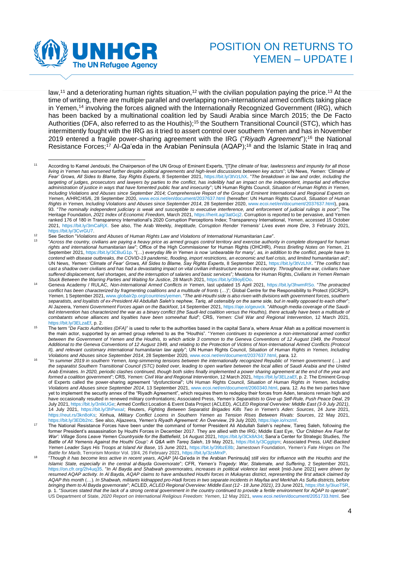

<span id="page-3-0"></span>law,<sup>11</sup> and a deteriorating human rights situation,<sup>12</sup> with the civilian population paying the price.<sup>13</sup> At the time of writing, there are multiple parallel and overlapping non-international armed conflicts taking place in Yemen,<sup>14</sup> involving the forces aligned with the Internationally Recognized Government (IRG), which has been backed by a multinational coalition led by Saudi Arabia since March 2015; the De Facto Authorities (DFA, also referred to as the Houthis);<sup>15</sup> the Southern Transitional Council (STC), which has intermittently fought with the IRG as it tried to assert control over southern Yemen and has in November 2019 entered a fragile power-sharing agreement with the IRG ("*Riyadh Agreement*"); <sup>16</sup> the National Resistance Forces; <sup>17</sup> Al-Qa'eda in the Arabian Peninsula (AQAP); <sup>18</sup> and the Islamic State in Iraq and

13 "*Across the country, civilians are paying a heavy price as armed groups control territory and exercise authority in complete disregard for human rights and international humanitarian law*"; Office of the High Commissioner for Human Rights (OHCHR), *Press Briefing Notes on Yemen*, 21 September 2021, [https://bit.ly/3CBuG1p.](https://bit.ly/3CBuG1p) "(…) *everyday life in Yemen is now 'unbearable for many', as, in addition to the conflict, people have to contend with disease outbreaks, the COVID-19 pandemic, flooding, import restrictions, an economic and fuel crisis, and limited humanitarian aid*"; UN News, *Yemen: 'Climate of Fear' Grows, All Sides to Blame, Say Rights Experts*, 8 September 2021, [https://bit.ly/3tVzLhX.](https://bit.ly/3tVzLhX) "*The conflict has cast a shadow over civilians and has had a devastating impact on vital civilian infrastructure across the country. Throughout the war, civilians have suffered displacement, fuel shortages, and the interruption of salaries and basic services*"*;* Mwatana for Human Rights, *Civilians in Yemen Remain Stuck Between the Warring Parties and Waiting for Justice*, 28 March 2021, [https://bit.ly/39oyEOo.](https://bit.ly/39oyEOo) 

<sup>11</sup> According to Kamel Jendoubi, the Chairperson of the UN Group of Eminent Experts, "[T]*he climate of fear, lawlessness and impunity for all those living in Yemen has worsened further despite political agreements and high-level discussions between key actors*"; UN News, *Yemen: 'Climate of Fear' Grows, All Sides to Blame, Say Rights Experts*, 8 September 2021, [https://bit.ly/3tVzLhX.](https://bit.ly/3tVzLhX) "*The breakdown in law and order, including the targeting of judges, prosecutors and lawyers by parties to the conflict, has indelibly had an impact on the independent, impartial and effective administration of justice in ways that have fomented public fear and insecurity*"; UN Human Rights Council, *Situation of Human Rights in Yemen, Including Violations and Abuses since September 2014; Comprehensive Report of the Group of Eminent International and Regional Experts on Yemen*, A/HRC/45/6, 28 September 2020, [www.ecoi.net/en/document/2037637.html](https://www.ecoi.net/en/document/2037637.html) (hereafter: UN Human Rights Council, *Situation of Human Rights in Yemen, Including Violations and Abuses since September 2014*, 28 September 2020[, www.ecoi.net/en/document/2037637.html\)](https://www.ecoi.net/en/document/2037637.html), para. 93. "*The nominally independent judiciary is weak and susceptible to executive interference, and enforcement of judicial rulings is poor*"; The Heritage Foundation, *2021 Index of Economic Freedom,* March 2021[, https://herit.ag/3atGcj2.](https://herit.ag/3atGcj2) Corruption is reported to be pervasive, and Yemen ranked 176 of 180 in Transparency International's 2020 Corruption Perceptions Index; Transparency International, *Yemen*, accessed 15 October 2021, [https://bit.ly/3mCaRjX.](https://bit.ly/3mCaRjX) See also, The Arab Weekly, *Ineptitude, Corruption Render Yemenis' Lives even more Dire*, 3 February 2021, [https://bit.ly/3CvrGU7.](https://bit.ly/3CvrGU7) 

<sup>12</sup> See Section "*Violations and Abuses of Human Rights Law and Violations of International Humanitarian Law*".

<sup>14</sup> Geneva Academy / RULAC, *Non-International Armed Conflicts in Yemen*, last updated 15 April 2021, [https://bit.ly/3hwmRSo.](https://bit.ly/3hwmRSo) "*The protracted conflict has been characterized by fragmenting coalitions and a multitude of fronts* (…)"; Global Centre for the Responsibility to Protect (GCR2P), *Yemen*, 1 September 2021[, www.globalr2p.org/countries/yemen.](http://www.globalr2p.org/countries/yemen) "*The anti-Houthi side is also riven with divisions with government forces, southern separatists, and loyalists of ex-President Ali Abdullah Saleh's nephew, Tariq, all ostensibly on the same side, but in reality opposed to each other*"; Al Jazeera, *Yemeni Government Forces again on the Backfoot*, 14 September 2021[, https://aje.io/geuvck.](https://aje.io/geuvck) "*Although media coverage of the Saudiled intervention has characterized the war as a binary conflict (the Saudi-led coalition versus the Houthis), there actually have been a multitude of combatants whose alliances and loyalties have been somewhat fluid*"; CRS, *Yemen: Civil War and Regional Intervention*, 12 March 2021, [https://bit.ly/3ELzaEf,](https://bit.ly/3ELzaEf) p. 2.

<sup>&</sup>lt;sup>15</sup> The term "De Facto Authorities (DFA)" is used to refer to the authorities based in the capital Sana'a, where Ansar Allah as a political movement is the main actor, supported by an armed group referred to as the "Houthis". "*Yemen continues to experience a non-international armed conflict between the Government of Yemen and the Houthis, to which article 3 common to the Geneva Conventions of 12 August 1949, the Protocol Additional to the Geneva Conventions of 12 August 1949, and relating to the Protection of Victims of Non-International Armed Conflicts (Protocol II), and relevant customary international humanitarian law apply*"; UN Human Rights Council, *Situation of Human Rights in Yemen, Including Violations and Abuses since September 2014*, 28 September 2020[, www.ecoi.net/en/document/2037637.html,](https://www.ecoi.net/en/document/2037637.html) para. 12.

<sup>16</sup> "*In summer 2019 in southern Yemen, long-simmering tensions between the internationally recognized Republic of Yemen government* (…) *and the separatist Southern Transitional Council (STC) boiled over, leading to open warfare between the local allies of Saudi Arabia and the United Arab Emirates. In 2020, periodic clashes continued, though both sides finally implemented a power sharing agreement at the end of the year and formed a coalition government*"; CRS, *Yemen: Civil War and Regional Intervention*, 12 March 2021[, https://bit.ly/3ELzaEf,](https://bit.ly/3ELzaEf) p. 2. The Eminent Group of Experts called the power-sharing agreement "*dysfunctional*"; UN Human Rights Council, *Situation of Human Rights in Yemen, Including Violations and Abuses since September 2014*, 13 September 2021[, www.ecoi.net/en/document/2060340.html,](http://www.ecoi.net/en/document/2060340.html) para. 12. As the two parties have yet to implement the security annex of the "Riyadh Agreement", which requires them to redeploy their forces from Aden, tensions remain high and have occasionally resulted in renewed military confrontations; Associated Press, *Yemen's Separatists to Give up Self-Rule, Push Peace Deal*, 29 July 2021[, https://bit.ly/3nIkUGe;](https://bit.ly/3nIkUGe) Armed Conflict Location & Event Data Project (ACLED)*, ACLED Regional Overview: Middle East (3-9 July 2021)*, 14 July 2021, [https://bit.ly/3hPwxaI;](https://bit.ly/3hPwxaI) Reuters, *Fighting Between Separatist Brigades Kills Two in Yemen's Aden: Sources*, 24 June 2021, [https://reut.rs/3kn8oKs;](https://reut.rs/3kn8oKs) Xinhua, *Military Conflict Looms in Southern Yemen as Tension Rises Between Rivals: Sources*, 22 May 2021, [https://bit.ly/3EDb2nc.](https://bit.ly/3EDb2nc) See also, Aljazeera, *Yemen's Riyadh Agreement: An Overview*, 29 July 2020[, https://aje.io/rxzmf.](https://aje.io/rxzmf)

The National Resistance Forces have been under the command of former President Ali Abdullah Saleh's nephew, Tareq Saleh, following the former President's assassination by Houthi Forces in December 2017. They are allied with the IRG; Middle East Eye, *'Our Children Are Fuel for War': Village Sons Leave Yemen Countryside for the Battlefield*, 14 August 2021[, https://bit.ly/3Ck8A34;](https://bit.ly/3Ck8A34) Sana'a Center for Strategic Studies, *The Battle of All Yemenis Against the Houthi Coup': A Q&A with Tareq Saleh*, 19 May 2021, [https://bit.ly/3Cggtqm;](https://bit.ly/3Cggtqm) Associated Press, *UAE-Backed Yemen Leader Says His Troops at Island Air Base*, 15 June 2021, [https://bit.ly/39bzE8b;](https://bit.ly/39bzE8b) Jamestown Foundation, *Yemen's Fate Hinges on The Battle for Marib*, Terrorism Monitor Vol. 19/4, 26 February 2021[, https://bit.ly/3zsMrxP.](https://bit.ly/3zsMrxP)

<sup>18</sup> "*Though it has become less active in recent years, AQAP* [Al-Qa'eda in the Arabian Peninsula] *still vies for influence with the Houthis and the Islamic State, especially in the central al-Bayda Governorate*"; CFR, *Yemen's Tragedy: War, Stalemate, and Suffering*, 2 September 2021, [https://on.cfr.org/2h4uq35.](https://on.cfr.org/2h4uq35) "*In Al Bayda and Shabwah governorates, increases in political violence last week* [mid-June 2021] *were driven by resumed AQAP activity. In Al Bayda, AQAP claims to have ambushed Houthi forces in Mukayras district, representing the first attack claimed by AQAP this month* (…)*. In Shabwah, militants kidnapped pro-Hadi forces in two separate incidents in Mayfaa and Merkhah As Sufla districts, before bringing them to Al Bayda governorate*"; ACLED, *ACLED Regional Overview: Middle East (12 - 18 June 2021)*, 23 June 2021[, https://bit.ly/3iuoT5R,](https://bit.ly/3iuoT5R) p. 1. "*Sources stated that the lack of a strong central government in the country continued to provide a fertile environment for AQAP to operate*"; US Department of State, *2020 Report on International Religious Freedom: Yemen*, 12 May 2021[, www.ecoi.net/en/document/2051733.html.](http://www.ecoi.net/en/document/2051733.html) See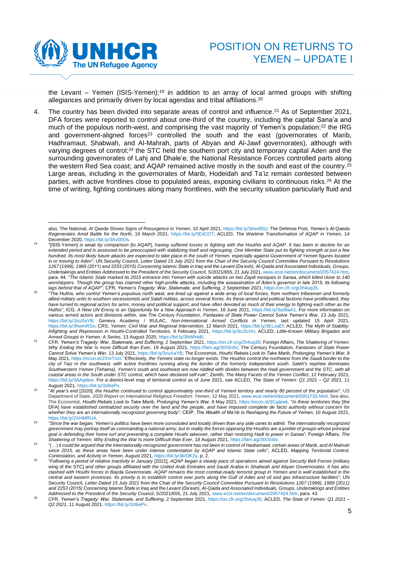

the Levant – Yemen (ISIS-Yemen);<sup>19</sup> in addition to an array of local armed groups with shifting allegiances and primarily driven by local agendas and tribal affiliations. 20

4. The country has been divided into separate areas of control and influence.<sup>21</sup> As of September 2021, DFA forces were reported to control about one-third of the country, including the capital Sana'a and much of the populous north-west, and comprising the vast majority of Yemen's population; <sup>22</sup> the IRG and government-aligned forces<sup>23</sup> controlled the south and the east (governorates of Marib, Hadhramaut, Shabwah, and Al-Mahrah, parts of Abyan and Al-Jawf governorates), although with varying degrees of control;<sup>24</sup> the STC held the southern port city and temporary capital Aden and the surrounding governorates of Lahj and Dhale'e; the National Resistance Forces controlled parts along the western Red Sea coast; and AQAP remained active mostly in the south and east of the country. 25 Large areas, including in the governorates of Marib, Hodeidah and Ta'iz remain contested between parties, with active frontlines close to populated areas, exposing civilians to continuous risks.<sup>26</sup> At the time of writing, fighting continues along many frontlines, with the security situation particularly fluid and

also, The National, *Al Qaeda Shows Signs of Resurgence in Yemen*, 10 April 2021[, https://bit.ly/3AsefDU;](https://bit.ly/3AsefDU) The Defense Post, *Yemen's Al-Qaeda Regenerates Amid Battle for the North*, 16 March 2021, [https://bit.ly/3EiiCDT;](https://bit.ly/3EiiCDT) ACLED, *The Wartime Transformation of AQAP in Yemen*, 14 December 2020[, https://bit.ly/3Av00Os.](https://bit.ly/3Av00Os) 

<sup>19</sup> "[ISIS-Yemen] *is weak by comparison* [to AQAP], *having suffered losses in fighting with the Houthis and AQAP. It has been in decline for an extended period and is assessed to be preoccupied with stabilizing itself and regrouping. One Member State put its fighting strength at just a few hundred. Its most likely future attacks are expected to take place in the south of Yemen, especially against Government of Yemen figures located in or moving to Aden*"; UN Security Council, *Letter Dated 15 July 2021 from the Chair of the Security Council Committee Pursuant to Resolutions 1267 (1999), 1989 (2011) and 2253 (2015) Concerning Islamic State in Iraq and the Levant (Da'esh), Al-Qaida and Associated Individuals, Groups, Undertakings and Entities Addressed to the President of the Security Council*, S/2021/655, 21 July 2021[, www.ecoi.net/en/document/2057424.htm,](http://www.ecoi.net/en/document/2057424.htm) para. 44. "*The Islamic State marked its 2015 entrance into Yemen with suicide attacks on two Zaydi mosques in Sanaa, which killed close to 140 worshippers. Though the group has claimed other high-profile attacks, including the assassination of Aden's governor in late 2015, its following* 

*lags behind that of AQAP*"; CFR, *Yemen's Tragedy: War, Stalemate, and Suffering*, 2 September 2021[, https://on.cfr.org/2h4uq35.](https://on.cfr.org/2h4uq35) 20 "*The Huthis, who control Yemen's populous north west, are lined up against a wide array of local forces, from northern tribesmen and formerly allied military units to southern secessionists and Salafi militias, across several fronts. As these armed and political factions have proliferated, they have turned to regional actors for arms, money and political support, and have often devoted as much of their energy to fighting each other as the Huthis*"; ICG, *A New UN Envoy Is an Opportunity for a New Approach in Yemen*, 18 June 2021, [https://bit.ly/3u09aA1.](https://bit.ly/3u09aA1) For more information on various armed actors and divisions within, see The Century Foundation, Fantasies of State Power Cannot Solve Yemen's War, 13 July 2021, https://bit.ly/3zuXaYB; Geneva Academy / RULAC, Non-International Armed Conflicts in Y [https://bit.ly/3zuXaYB;](https://bit.ly/3zuXaYB) Geneva Academy / RULAC, Non-International Armed Conflicts in Yemen, last updated 15 April [https://bit.ly/3hwmRSo;](https://bit.ly/3hwmRSo) CRS, *Yemen: Civil War and Regional Intervention*, 12 March 2021, [https://bit.ly/3ELzaEf;](https://bit.ly/3ELzaEf) ACLED, *The Myth of Stability: Infighting and Repression in Houthi-Controlled Territories*, 9 February 2021, [https://bit.ly/3o2IcHn;](https://bit.ly/3o2IcHn) ACLED, *Little-Known Military Brigades and* 

Armed Groups in Yemen: A Series, 13 August 2020[, https://bit.ly/3hWfnbB.](https://bit.ly/3hWfnbB)<br><sup>21</sup> CFR, Yemen's Tragedy: War, Stalemate, and Suffering, 2 September 2021[, https://on.cfr.org/2h4uq35;](https://on.cfr.org/2h4uq35) Foreign Affairs, *The Shattering of Y Why Ending the War Is more Difficult than Ever*, 19 August 2021, [https://fam.ag/3tXSn0x;](https://fam.ag/3tXSn0x) The Century Foundation, *Fantasies of State Power Cannot Solve Yemen's War*, 13 July 2021[, https://bit.ly/3zuXaYB;](https://bit.ly/3zuXaYB) The Economist, *Houthi Rebels Look to Take Marib, Prolonging Yemen's War*, 8 May 2021[, https://econ.st/2XmTnzI.](https://econ.st/2XmTnzI) "*Effectively, the Yemeni state no longer exists. The Houthis control the northwest from the Saudi border to the city of Taiz in the southwest, with active frontlines running along the border of the formerly independent south. Saleh's nephew dominates Southwestern Yemen (Tehama). Yemen's south and southeast are now riddled with divides between the Hadi government and the STC, with all coastal areas in the South under STC control, which have declared self-rule*"; Zenith, *The Many Facets of the Yemen Conflict*, 12 February 2021, [https://bit.ly/3AAqdew.](https://bit.ly/3AAqdew) For a district-level map of territorial control as of June 2021, see ACLED, *The State of Yemen: Q1 2021 – Q2 2021*, 11 August 2021[, https://bit.ly/3zl6ePv.](https://bit.ly/3zl6ePv) 

<sup>22</sup> "*At year's end* [2020]*, the Houthis continued to control approximately one-third of Yemeni territory and nearly 80 percent of the population*"; US Department of State, *2020 Report on International Religious Freedom: Yemen*, 12 May 2021[, www.ecoi.net/en/document/2051733.html.](http://www.ecoi.net/en/document/2051733.html) See also, The Economist, *Houthi Rebels Look to Take Marib, Prolonging Yemen's War*, 8 May 2021, [https://econ.st/3Cgtpwk.](https://econ.st/3Cgtpwk) "*In these territories they* [the DFA] *have established centralized security over the land and the people, and have imposed complete de facto authority without concern for whether they are an internationally recognized governing body*"; CEIP, *The Wealth of Ma'rib Is Reshaping the Future of Yemen*, 10 August 2021, https://bit.lv/2XHMRU4

 $23$ "*Since the war began, Yemen's politics have been more convoluted and locally driven than any side cares to admit. The internationally recognized government may portray itself as commanding a national army, but in reality the forces opposing the Houthis are a jumble of groups whose principal*  goal is defending their home turf and preventing a complete Houthi takeover, rather than restoring Hadi to power in Sanaa"; Foreign Affairs, The *Shattering of Yemen: Why Ending the War Is more Difficult than Ever*, 19 August 2021, [https://fam.ag/3tXSn0x.](https://fam.ag/3tXSn0x)

<sup>24</sup> "(…) *it could be argued that the internationally-recognized government has not been in control of Hadramawt, certain areas of Marib, and Al Mahrah since 2015, as these areas have been under intense contestation by AQAP and Islamic State cells*"; ACLED, *Mapping Territorial Control, Contestation, and Activity in Yemen*, August 2021[, https://bit.ly/3krDK2y,](https://bit.ly/3krDK2y) p. 2.

<sup>25</sup> "*Following a period of relative inactivity in January* [2021]*, AQAP began a steady pace of operations aimed against Security Belt Forces* [military wing of the STC] *and other groups affiliated with the United Arab Emirates and Saudi Arabia in Shabwah and Abyan Governorates. It has also*  clashed with Houthi forces in Bayda Governorate. AQAP remains the most combat-ready terrorist group in Yemen and is well established in the *central and eastern provinces. Its priority is to establish control over ports along the Gulf of Aden and oil and gas infrastructure facilities*"; UN Security Council, *Letter Dated 15 July 2021 from the Chair of the Security Council Committee Pursuant to Resolutions 1267 (1999), 1989 (2011) and 2253 (2015) Concerning Islamic State in Iraq and the Levant (Da'esh), Al-Qaida and Associated Individuals, Groups, Undertakings and Entities Addressed to the President of the Security Council*, S/2021/655, 21 July 2021, www.ecoi.net/en/document/2057424.htm, para. 43.

<sup>26</sup> CFR, *Yemen's Tragedy: War, Stalemate, and Suffering*, 2 September 2021[, https://on.cfr.org/2h4uq35;](https://on.cfr.org/2h4uq35) ACLED, *The State of Yemen: Q1 2021 – Q2 2021*, 11 August 2021[, https://bit.ly/3zl6ePv.](https://bit.ly/3zl6ePv)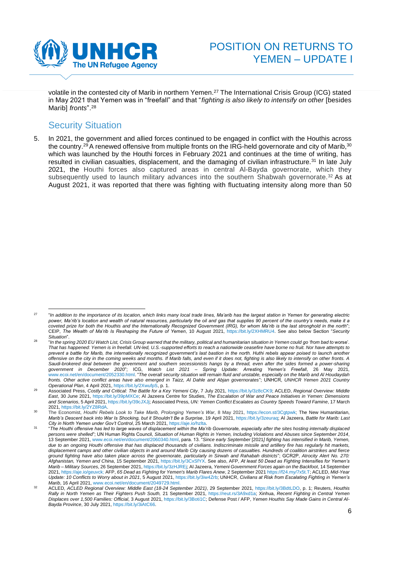

volatile in the contested city of Marib in northern Yemen.<sup>27</sup> The International Crisis Group (ICG) stated in May 2021 that Yemen was in "freefall" and that "*fighting is also likely to intensify on other* [besides Marib] *fronts*".<sup>28</sup>

## <span id="page-5-0"></span>**Security Situation**

5. In 2021, the government and allied forces continued to be engaged in conflict with the Houthis across the country.<sup>29</sup> A renewed offensive from multiple fronts on the IRG-held governorate and city of Marib,  $30$ which was launched by the Houthi forces in February 2021 and continues at the time of writing, has resulted in civilian casualties, displacement, and the damaging of civilian infrastructure.<sup>31</sup> In late July 2021, the Houthi forces also captured areas in central Al-Bayda governorate, which they subsequently used to launch military advances into the southern Shabwah governorate.<sup>32</sup> As at August 2021, it was reported that there was fighting with fluctuating intensity along more than 50

<sup>27</sup> "*In addition to the importance of its location, which links many local trade lines, Ma'arib has the largest station in Yemen for generating electric*  power, Ma'rib's location and wealth of natural resources, particularly the oil and gas that supplies 90 percent of the country's needs, make it a *coveted prize for both the Houthis and the Internationally Recognized Government (IRG), for whom Ma'rib is the last stronghold in the north*"; CEIP, *The Wealth of Ma'rib Is Reshaping the Future of Yemen*, 10 August 2021, [https://bit.ly/2XHMRU4.](https://bit.ly/2XHMRU4) See also below Section "*Security Situation*".

 $28$ "In the spring 2020 EU Watch List, Crisis Group warned that the military, political and humanitarian situation in Yemen could go 'from bad to worse'. *That has happened: Yemen is in freefall. UN-led, U.S.-supported efforts to reach a nationwide ceasefire have borne no fruit. Nor have attempts to prevent a battle for Marib, the internationally recognized government's last bastion in the north. Huthi rebels appear poised to launch another offensive on the city in the coming weeks and months. If Marib falls, and even if it does not, fighting is also likely to intensify on other fronts. A Saudi-brokered deal between the government and southern secessionists hangs by a thread, even after the sides formed a power-sharing government in December 2020*"; ICG, *Watch List 2021 – Spring Update: Arresting Yemen's Freefall*, 26 May 2021, [www.ecoi.net/en/document/2052330.html.](http://www.ecoi.net/en/document/2052330.html) "*The overall security situation will remain fluid and unstable, especially on the Marib and Al Houdaydah fronts. Other active conflict areas have also emerged in Taizz, Al Dahle and Abjan governorates*"; UNHCR, *UNHCR Yemen 2021 Country Operational Plan*, 4 April 2021, [https://bit.ly/2XwufpS,](https://bit.ly/2XwufpS) p. 1.

<sup>29</sup> Associated Press, *Costly and Critical: The Battle for a Key Yemeni City*, 7 July 2021, [https://bit.ly/3z8cCK9;](https://bit.ly/3z8cCK9) ACLED, *Regional Overview: Middle East*, 30 June 2021, [https://bit.ly/39pMXCe;](https://bit.ly/39pMXCe) Al Jazeera Centre for Studies, *The Escalation of War and Peace Initiatives in Yemen: Dimensions and Scenarios*, 5 April 2021[, https://bit.ly/39cJXJj;](https://bit.ly/39cJXJj) Associated Press, *UN: Yemen Conflict Escalates as Country Speeds Toward Famine*, 17 March 2021[, https://bit.ly/2YZ8RdA.](https://bit.ly/2YZ8RdA)

<sup>30</sup> The Economist, *Houthi Rebels Look to Take Marib, Prolonging Yemen's War*, 8 May 2021, [https://econ.st/3Cgtpwk;](https://econ.st/3Cgtpwk) The New Humanitarian, *Marib's Descent back into War Is Shocking, but it Shouldn't Be a Surprise*, 19 April 2021, [https://bit.ly/3zeuraq;](https://bit.ly/3zeuraq) Al Jazeera, *Battle for Marib: Last City in North Yemen under Gov't Control*, 25 March 2021, [https://aje.io/hzlta.](https://aje.io/hzlta)

<sup>31</sup> "*The Houthi offensive has led to large waves of displacement within the Ma'rib Governorate, especially after the sites hosting internally displaced persons were shelled*"; UN Human Rights Council, *Situation of Human Rights in Yemen, Including Violations and Abuses since September 2014*, 13 September 2021[, www.ecoi.net/en/document/2060340.html,](http://www.ecoi.net/en/document/2060340.html) para. 13. "*Since early September* [2021*] fighting has intensified in Marib, Yemen, due to an ongoing Houthi offensive that has displaced thousands of civilians. Indiscriminate missile and artillery fire has regularly hit markets, displacement camps and other civilian objects in and around Marib City causing dozens of casualties. Hundreds of coalition airstrikes and fierce ground fighting have also taken place across the governorate, particularly in Sirwah and Rahabah districts*"; GCR2P, *Atrocity Alert No. 270: Afghanistan, Yemen and China*, 15 September 2021[, https://bit.ly/3CxSfYX.](https://bit.ly/3CxSfYX) See also, AFP, *At least 50 Dead as Fighting Intensifies for Yemen's Marib – Military Sources*, 26 September 2021[, https://bit.ly/3zHJREj;](https://bit.ly/3zHJREj) Al Jazeera, *Yemeni Government Forces again on the Backfoot*, 14 September 2021[, https://aje.io/geuvck;](https://aje.io/geuvck) AFP, *65 Dead as Fighting for Yemen's Marib Flares Anew*, 2 September 202[1 https://f24.my/7x5t.T;](https://f24.my/7x5t.T) ACLED, *Mid-Year Update: 10 Conflicts to Worry about in 2021*, 5 August 2021[, https://bit.ly/3iw4Zrb;](https://bit.ly/3iw4Zrb) UNHCR, *Civilians at Risk from Escalating Fighting in Yemen's Marib*, 16 April 2021[, www.ecoi.net/en/document/2049729.html.](http://www.ecoi.net/en/document/2049729.html)

<sup>32</sup> ACLED, *ACLED Regional Overview: Middle East (18-24 September 2021)*, 29 September 2021, [https://bit.ly/3BdtLDO,](https://bit.ly/3BdtLDO) p. 1; Reuters, *Houthis Rally in North Yemen as Their Fighters Push South,* 21 September 2021, [https://reut.rs/3A9xd1a;](https://reut.rs/3A9xd1a) Xinhua, *Recent Fighting in Central Yemen Displaces over 1,500 Families: Official*, 3 August 2021, [https://bit.ly/3Boti1C;](https://bit.ly/3Boti1C) Defense Post / AFP, *Yemen Houthis Say Made Gains in Central Al-Bayda Province*, 30 July 2021[, https://bit.ly/3iAtC66.](https://bit.ly/3iAtC66)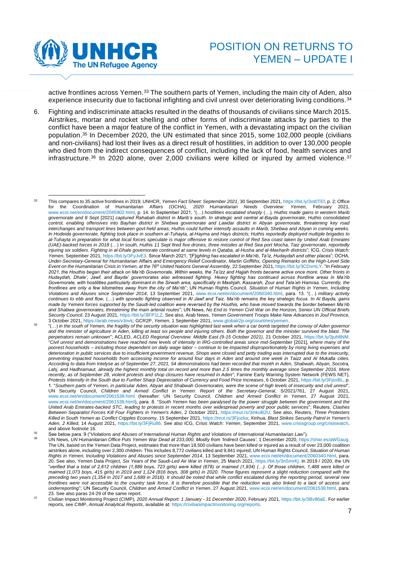

active frontlines across Yemen.<sup>33</sup> The southern parts of Yemen, including the main city of Aden, also experience insecurity due to factional infighting and civil unrest over deteriorating living conditions. 34

6. Fighting and indiscriminate attacks resulted in the deaths of thousands of civilians since March 2015. Airstrikes, mortar and rocket shelling and other forms of indiscriminate attacks by parties to the conflict have been a major feature of the conflict in Yemen, with a devastating impact on the civilian population. <sup>35</sup> In December 2020, the UN estimated that since 2015, some 102,000 people (civilians and non-civilians) had lost their lives as a direct result of hostilities, in addition to over 130,000 people who died from the indirect consequences of conflict, including the lack of food, health services and infrastructure.<sup>36</sup> In 2020 alone, over 2,000 civilians were killed or injured by armed violence.<sup>37</sup>

<sup>35</sup> See below para. 9 ("*Violations and Abuses of International Human Rights and Violations of International Humanitarian Law*").

<sup>33</sup> This compares to 35 active frontlines in 2019; UNHCR, *Yemen Fact Sheet: September 2021*, 30 September 2021[, https://bit.ly/3ot0TEf,](https://bit.ly/3ot0TEf) p. 2; Office for the Coordination of Humanitarian Affairs (OCHA), *2020 Humanitarian Needs Overview: Yemen*, February 2021, [www.ecoi.net/en/document/2045902.html,](http://www.ecoi.net/en/document/2045902.html) p. 14. In September 2021, "(…) *hostilities escalated sharply* (…)*, Huthis made gains in western Marib governorate and 8 Sept* [2021] *captured Rahabah district in Marib's south. In strategic and central al-Bayda governorate, Huthis consolidated control, enabling offensives into Bayhan district in Shebwa governorate and Lawdar district in Abyan governorate, threatening key road interchanges and transport lines between govt-held areas; Huthis could further intensify assaults in Marib, Shebwa and Abyan in coming weeks. In Hodeida governorate, fighting took place in southern al-Tuhayta, al-Hayma and Hays districts; Huthis reportedly deployed multiple brigades to al-Tuhayta in preparation for what local forces speculate is major offensive to restore control of Red Sea coast taken by United Arab Emirates (UAE)-backed forces in 2018* (…) *In south, Huthis 11 Sept fired five drones, three missiles at Red Sea port Mocha, Taiz governorate, reportedly injuring six soldiers. Fighting in al-Dhale governorate continued at same levels in Qataba, al-Husha and al-Masharih districts*"; ICG, *Crisis Watch: Yemen*, September 2021[, https://bit.ly/3FyJvE3.](https://bit.ly/3FyJvE3) Since March 2021, "[F]*ighting has escalated in Ma'rib, Ta'iz, Hudaydah and other places*"; OCHA, Under-Secretary-General for Humanitarian Affairs and Emergency Relief Coordinator, Martin Griffiths, Opening Remarks on the High-Level Side<br>Event on the Humanitarian Crisis in Yemen, at the 76<sup>th</sup> United Nations General A *2021, the Houthis began their attack on Ma'rib Governorate. Within weeks, the Ta'izz and Hajjah fronts became active once more. Other fronts in Hudaydah, Dhale', Jawf, and Bayda' governorates also witnessed fighting. Heavy fighting has continued across frontline areas in Ma'rib*  Governorate, with hostilities particularly dominant in the Sirwah area, specifically in Mashjah, Kassarah, Zour and Tala'ah Hamraa. Currently, the *frontlines are only a few kilometres away from the city of Ma'rib*"; UN Human Rights Council, *Situation of Human Rights in Yemen, Including Violations and Abuses since September 2014*, 13 September 2021, [www.ecoi.net/en/document/2060340.html,](http://www.ecoi.net/en/document/2060340.html) para. 13. "(…) *military activity continues to ebb and flow,* (…) *with sporadic fighting observed in Al Jawf and Taiz. Ma'rib remains the key strategic focus. In Al Bayda, gains made by Yemeni forces supported by the Saudi-led coalition were reversed by the Houthis, who have moved towards the border between Ma'rib and Shabwa governorates, threatening the main arterial routes*"; UN News, *No End to Yemen Civil War on the Horizon, Senior UN Official Briefs Security Council*, 23 August 2021[, https://bit.ly/3lFP1LZ.](https://bit.ly/3lFP1LZ) See also, Arab News, *Yemen Government Troops Make New Advances in Jouf Province,*  3 October 2021[, https://arab.news/v3nvk;](https://arab.news/v3nvk) GCR2P, *Yemen*, 1 September 2021[, www.globalr2p.org/countries/yemen.](http://www.globalr2p.org/countries/yemen)

<sup>34</sup> "(…) *in the south of Yemen, the fragility of the security situation was highlighted last week when a car bomb targeted the convoy of Aden governor and the minister of agriculture in Aden, killing at least six people and injuring others. Both the governor and the minister survived the blast. The perpetrators remain unknown*"; ACLED, *ACLED Regional Overview: Middle East (9-15 October 2021)*, 21 October 2021, [https://bit.ly/3juh8NM.](https://bit.ly/3juh8NM) "*Civil unrest and demonstrations have reached new levels of intensity in IRG-controlled areas since mid-September* [2021]*, where many of the poorest households – including those dependent on daily wage labor – continue to be impacted disproportionately by rising living expenses and*  deterioration in public services due to insufficient government revenue. Shops were closed and petty trading was interrupted due to the insecurity, *preventing impacted households from accessing income for around four days in Aden and around one week in Taizz and Al Mukalla cities. According to data from Intelyse as of September 27, 2021, 54 demonstrations had been recorded that month in Aden, Shabwah, Abyan, Socotra, Lahj, and Hadhramaut, already the highest monthly total on record and more than 2.5 times the monthly average since September 2016. More recently, as of September 28, violent protests and shop closures have resumed in Aden*"; Famine Early Warning System Network (FEWS NET), *Protests Intensify in the South due to Further Sharp Depreciation of Currency and Food Price Increases*, 6 October 2021, [https://bit.ly/3FjsvBL,](https://bit.ly/3FjsvBL) p. 1. "*Southern parts of Yemen, in particular Aden, Abyan and Shabwah Governorates, were the scene of high levels of insecurity and civil unrest*"; UN Security Council, *Children and Armed Conflict in Yemen: Report of the Secretary-General*, S/2021/761, 27 August 2021, [www.ecoi.net/en/document/2061538.html](https://www.ecoi.net/en/document/2061538.html) (hereafter: UN Security Council, *Children and Armed Conflict in Yemen*, 27 August 2021, [www.ecoi.net/en/document/2061538.html\),](https://www.ecoi.net/en/document/2061538.html) para. 8. "*South Yemen has been paralysed by the power struggle between the government and the United Arab Emirates-backed STC, leading to protests in recent months over widespread poverty and poor public services*"; Reuters, *Clashes Between Separatist Forces Kill Four Fighters in Yemen's Aden*, 2 October 2021, [https://reut.rs/3mkoB2U.](https://reut.rs/3mkoB2U) See also, Reuters, *Three Protesters Killed in South Yemen as Conflict Cripples Economy*, 15 September 2021[, https://reut.rs/3Fjozka;](https://reut.rs/3Fjozka) Xinhua, *Blast Strikes Security Patrol in Yemen's Aden, 2 Killed*, 14 August 2021, [https://bit.ly/3FjRu86.](https://bit.ly/3FjRu86) See also ICG, *Crisis Watch: Yemen*, September 2021, [www.crisisgroup.org/crisiswatch,](https://www.crisisgroup.org/crisiswatch) and above footnote [16.](#page-3-0)

<sup>36</sup> UN News, *UN Humanitarian Office Puts Yemen War Dead at 233,000, Mostly from 'Indirect Causes'*, 1 December 2020[, https://shar.es/aWGaug.](https://shar.es/aWGaug) The UN, based on the Yemen Data Project, estimates that more than 18,500 civilians have been killed or injured as a result of over 23,000 coalition airstrikes alone, including over 2,300 children. This includes 8,772 civilians killed and 9,841 injured; UN Human Rights Council, *Situation of Human Rights in Yemen, Including Violations and Abuses since September 2014*, 13 September 2021[, www.ecoi.net/en/document/2060340.html,](http://www.ecoi.net/en/document/2060340.html) para. 20. See also, Yemen Data Project, *Six Years of the Saudi-Led Air War in Yemen*, 25 March 2021, [https://bit.ly/3nSmrKj.](https://bit.ly/3nSmrKj) In 2019 / 2020, the UN "*verified that a total of 2,612 children (1,889 boys, 723 girls) were killed (678) or maimed (1,934) (…). Of those children, 1,488 were killed or maimed (1,073 boys, 415 girls) in 2019 and 1,124 (816 boys, 308 girls) in 2020. Those figures represent a slight reduction compared with the preceding two years (1,354 in 2017 and 1,689 in 2018). It should be noted that while conflict escalated during the reporting period, several new frontlines were not accessible to the country task force. It is therefore possible that the reduction was also linked to a lack of access and underreporting*"; UN Security Council, *Children and Armed Conflict in Yemen*, 27 August 2021[, www.ecoi.net/en/document/2061538.html,](https://www.ecoi.net/en/document/2061538.html) para. 23. See also paras 24-29 of the same report.

<sup>37</sup> Civilian Impact Monitoring Project (CIMP), *2020 Annual Report: 1 January - 31 December 2020*, February 2021[, https://bit.ly/3Bv86aE.](https://bit.ly/3Bv86aE) For earlier reports, see CIMP, *Annual Analytical Reports*, available at[: https://civilianimpactmonitoring.org/reports.](https://civilianimpactmonitoring.org/reports)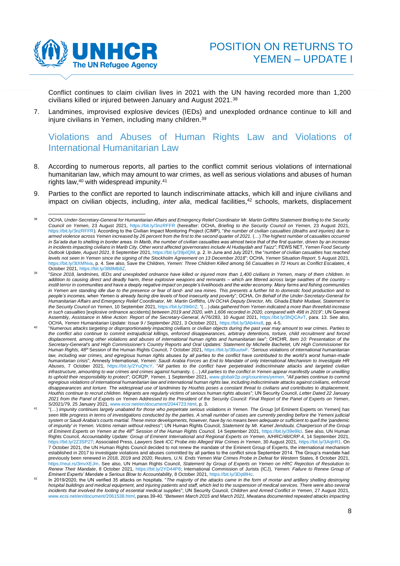

Conflict continues to claim civilian lives in 2021 with the UN having recorded more than 1,200 civilians killed or injured between January and August 2021. <sup>38</sup>

7. Landmines, improvised explosive devices (IEDs) and unexploded ordnance continue to kill and injure civilians in Yemen, including many children.<sup>39</sup>

# <span id="page-7-0"></span>Violations and Abuses of Human Rights Law and Violations of International Humanitarian Law

- 8. According to numerous reports, all parties to the conflict commit serious violations of international humanitarian law, which may amount to war crimes, as well as serious violations and abuses of human rights law, <sup>40</sup> with widespread impunity.<sup>41</sup>
- 9. Parties to the conflict are reported to launch indiscriminate attacks, which kill and injure civilians and impact on civilian objects, including, *inter alia*, medical facilities, <sup>42</sup> schools, markets, displacement

<sup>38</sup> OCHA, *Under-Secretary-General for Humanitarian Affairs and Emergency Relief Coordinator Mr. Martin Griffiths Statement Briefing to the Security Council on Yemen*, 23 August 2021,<https://bit.ly/3nzRFFR> (hereafter: OCHA, *Briefing to the Security Council on Yemen*, 23 August 2021, [https://bit.ly/3nzRFFR\).](https://bit.ly/3nzRFFR) According to the Civilian Impact Monitoring Project (CIMP), "*the number of civilian casualties (deaths and injuries) due to*  armed violence across Yemen increased by 26 percent from the first to the second quarter of 2021. (…) The highest number of casualties occurred in Sa'ada due to shelling in border areas. In Marib, the number of civilian casualties was almost twice that of the first quarter, driven by an increase *in incidents impacting civilians in Marib City. Other worst affected governorates include Al Hudaydah and Taizz*"; FEWS NET, *Yemen Food Security Outlook Update, August 2021*, 8 September 2021[, https://bit.ly/39jxlQM,](https://bit.ly/39jxlQM) p. 2. In June and July 2021, the "*number of civilian casualties has reached levels not seen in Yemen since the signing of the Stockholm Agreement on 13 December 2018*"; OCHA, *Yemen Situation Report*, 5 August 2021, [https://bit.ly/3tXMNva,](https://bit.ly/3tXMNva) p. 4. See also, Save the Children, *Yemen: Three Children Killed among 56 Casualties in 72 Hours as Conflict Escalates*, 4 October 2021[, https://bit.ly/3B8Mb8Z.](https://bit.ly/3B8Mb8Z)

<sup>39</sup> "*Since 2018, landmines, IEDs and unexploded ordnance have killed or injured more than 1,400 civilians in Yemen, many of them children. In addition to causing direct and deadly harm, these explosive weapons and remnants – which are littered across large swathes of the country – instill terror in communities and have a deeply negative impact on people's livelihoods and the wider economy. Many farms and fishing communities in Yemen are standing idle due to the presence or fear of land- and sea mines. This presents a further hit to domestic food production and to people's incomes, when Yemen is already facing dire levels of food insecurity and poverty*"; OCHA, *On Behalf of the Under-Secretary-General for Humanitarian Affairs and Emergency Relief Coordinator, Mr. Martin Griffiths, UN OCHA Deputy Director, Ms. Ghada Eltahir Mudawi, Statement to the Security Council on Yemen*, 10 September 2021[, https://bit.ly/39i6rIZ.](https://bit.ly/39i6rIZ) "(…) *data gathered from Yemen indicated a more than threefold increase in such casualties* [explosive ordnance accidents] *between 2019 and 2020, with 1,606 recorded in 2020, compared with 498 in 2019*"; UN General Assembly, *Assistance in Mine Action: Report of the Secretary-General*, A/76/283, 10 August 2021[, https://bit.ly/3hQCAvT,](https://bit.ly/3hQCAvT) para. 13. See also, OCHA, *Yemen Humanitarian Update: Issue 9 / September 2021*, 3 October 2021[, https://bit.ly/3Ab4nx8,](https://bit.ly/3Ab4nx8) pp. 4-5.

<sup>40</sup> "*Numerous attacks targeting or disproportionately impacting civilians or civilian objects during the past year may amount to war crimes. Parties to the conflict also continue to commit extrajudicial killings, enforced disappearances, arbitrary detentions, torture, child recruitment and forced displacement, among other violations and abuses of international human rights and humanitarian law*"; OHCHR, *Item 10: Presentation of the*  Secretary-General's and High Commissioner's Country Reports and Oral Updates: Statement by Michelle Bachelet, UN High Commissioner for<br>Human Rights, 48<sup>th</sup> Session of the Human Rights Council, 7 October 2021, https://bit.l *law, including war crimes, and egregious human rights abuses by all parties to the conflict have contributed to the world's worst human-made humanitarian crisis*"; Amnesty International, *Yemen: Saudi Arabia Forces an End to Mandate of only International Mechanism to Investigate HR Abuses*, 7 October 2021, [https://bit.ly/2YuQhcY.](https://bit.ly/2YuQhcY) "*All parties to the conflict have perpetrated indiscriminate attacks and targeted civilian infrastructure, amounting to war crimes and crimes against humanity.* (…) *All parties to the conflict in Yemen appear manifestly unable or unwilling to uphold their responsibility to protect*"; GCR2P, *Yemen*, 1 September 2021[, www.globalr2p.org/countries/yemen.](https://www.globalr2p.org/countries/yemen/) "*All parties continue to commit egregious violations of international humanitarian law and international human rights law, including indiscriminate attacks against civilians, enforced disappearances and torture. The widespread use of landmines by Houthis poses a constant threat to civilians and contributes to displacement. Houthis continue to recruit children. Migrants are regularly victims of serious human rights abuses*"; UN Security Council, *Letter Dated 22 January 2021 from the Panel of Experts on Yemen Addressed to the President of the Security Council: Final Report of the Panel of Experts on Yemen*, S/2021/79, 25 January 2021, [www.ecoi.net/en/document/2044723.html,](http://www.ecoi.net/en/document/2044723.html) p. 3.

<sup>41</sup> "(…) *impunity continues largely unabated for those who perpetrate serious violations in Yemen. The Group* [of Eminent Experts on Yemen] *has seen little progress in terms of investigations conducted by the parties. A small number of cases are currently pending before the Yemeni judicial system or Saudi Arabia's courts martial. These minor developments, however, have by no means been adequate or sufficient to quell the 'pandemic of impunity' in Yemen. Victims remain without redress*"; UN Human Rights Council, *Statement by Mr. Kamel Jendoubi, Chairperson of the Group of Eminent Experts on Yemen at the 48th Session of the Human Rights Council,* 14 September 2021[, https://bit.ly/39e9Ici.](https://bit.ly/39e9Ici) See also, UN Human Rights Council, *Accountability Update: Group of Eminent International and Regional Experts on Yemen*, A/HRC/48/CRP.4, 14 September 2021, [https://bit.ly/2Z3SP27;](https://bit.ly/2Z3SP27) Associated Press, *Lawyers Seek ICC Probe into Alleged War Crimes in Yemen*, 30 August 2021[, https://bit.ly/3AqlrR1.](https://bit.ly/3AqlrR1) On 7 October 2021, the UN Human Rights Council decided to not renew the mandate of the Eminent Group of Experts, the international mechanism established in 2017 to investigate violations and abuses committed by all parties to the conflict since September 2014. The Group's mandate had previously been renewed in 2018, 2019 and 2020; Reuters, *U.N. Ends Yemen War Crimes Probe in Defeat for Western* States, 8 October 2021, [https://reut.rs/3mvXEJm.](https://reut.rs/3mvXEJm) See also, UN Human Rights Council, *Statement by Group of Experts on Yemen on HRC Rejection of Resolution to Renew Their Mandate*, 8 October 2021, [https://bit.ly/2YD44P8;](https://bit.ly/2YD44P8) International Commission of Jurists (ICJ), *Yemen: Failure to Renew Group of* 

Eminent Experts' Mandate a Serious Blow to Accountability, 8 October 2021, https://bit.ly/3Dpl8Hc.<br><sup>42</sup> In 2019/2020, the UN verified 35 attacks on hospitals. "*The majority of the attacks came in the form of mortar and ar hospital buildings and medical equipment, and injuring patients and staff, which led to the suspension of medical services. There were also several incidents that involved the looting of essential medical supplies*"; UN Security Council, *Children and Armed Conflict in Yemen*, 27 August 2021, [www.ecoi.net/en/document/2061538.html,](https://www.ecoi.net/en/document/2061538.html) paras 39-40. "*Between March 2015 and March 2021, Mwatana documented repeated attacks impacting*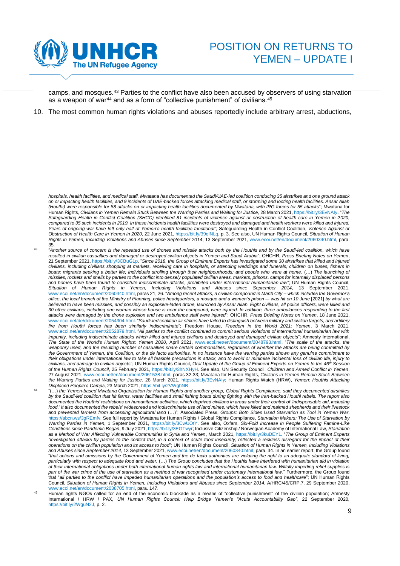

camps, and mosques.<sup>43</sup> Parties to the conflict have also been accused by observers of using starvation as a weapon of war<sup>44</sup> and as a form of "collective punishment" of civilians.<sup>45</sup>

10. The most common human rights violations and abuses reportedly include arbitrary arrest, abductions,

*hospitals, health facilities, and medical staff. Mwatana has documented the Saudi/UAE-led coalition conducing 35 airstrikes and one ground attack on or impacting health facilities, and 9 incidents of UAE-backed forces attacking medical staff, or storming and looting health facilities. Ansar Allah (Houthi) were responsible for 88 attacks on or impacting health facilities documented by Mwatana, with IRG forces for 55 attacks*"; Mwatana for Human Rights, *Civilians in Yemen Remain Stuck Between the Warring Parties and Waiting for Justice*, 28 March 2021[, https://bit.ly/3EvNAIy.](https://bit.ly/3EvNAIy) "*The Safeguarding Health in Conflict Coalition (SHCC) identified 81 incidents of violence against or obstruction of health care in Yemen in 2020, compared to 35 such incidents in 2019. In these incidents health facilities were destroyed and damaged and health workers were killed and injured. Years of ongoing war have left only half of Yemen's health facilities functional*"; Safeguarding Health in Conflict Coalition, *Violence Against or Obstruction of Health Care in Yemen in 2020*, 22 June 2021[, https://bit.ly/39qlNLq,](https://bit.ly/39qlNLq) p. 3. See also, UN Human Rights Council, *Situation of Human Rights in Yemen, Including Violations and Abuses since September 2014*, 13 September 2021[, www.ecoi.net/en/document/2060340.html,](http://www.ecoi.net/en/document/2060340.html) para. 35.

<sup>43</sup> "*Another source of concern is the repeated use of drones and missile attacks both by the Houthis and by the Saudi-led coalition, which have resulted in civilian casualties and damaged or destroyed civilian objects in Yemen and Saudi Arabia*"; OHCHR, *Press Briefing Notes on Yemen*, 21 September 2021[, https://bit.ly/3CBuG1p.](https://bit.ly/3CBuG1p) "*Since 2018, the Group of Eminent Experts has investigated some 30 airstrikes that killed and injured civilians, including civilians shopping at markets, receiving care in hospitals, or attending weddings and funerals; children on buses; fishers in*  boats; migrants seeking a better life; individuals strolling through their neighbourhoods; and people who were at home. (...) The launching of *missiles, rockets and shells by parties to the conflict into densely populated civilian areas, markets, prisons, camps for internally displaced persons and homes have been found to constitute indiscriminate attacks, prohibited under international humanitarian law*"; UN Human Rights Council, *Situation of Human Rights in Yemen, Including Violations and Abuses since September 2014*, 13 September 2021, [www.ecoi.net/en/document/2060340.html,](http://www.ecoi.net/en/document/2060340.html) paras 21, 26. "*Among recent attacks, a civilian compound in Marib City – which includes the Governor's office, the local branch of the Ministry of Planning, police headquarters, a mosque and a women's prison –- was hit on 10 June* [2021] *by what are believed to have been missiles, and possibly an explosive-laden drone, launched by Ansar Allah. Eight civilians, all police officers, were killed and 30 other civilians, including one woman whose house is near the compound, were injured. In addition, three ambulances responding to the first attacks were damaged by the drone explosion and two ambulance staff were injured*"; OHCHR, *Press Briefing Notes on Yemen*, 18 June 2021, [www.ecoi.net/de/dokument/2054304.html.](http://www.ecoi.net/de/dokument/2054304.html) "Saudi-led coalition air strikes have failed to distinguish between military and civilian targets, and artillery *fire from Houthi forces has been similarly indiscriminate*"; Freedom House, *Freedom in the World 2021: Yemen*, 3 March 2021, [www.ecoi.net/en/document/2052879.html.](http://www.ecoi.net/en/document/2052879.html) "*All parties to the conflict continued to commit serious violations of international humanitarian law with impunity, including indiscriminate attacks which killed and injured civilians and destroyed and damaged civilian objects*"; Amnesty International, *The State of the World's Human Rights: Yemen 2020*, April 2021, [www.ecoi.net/en/document/2048793.html.](https://www.ecoi.net/en/document/2048793.html) "*The scale of the attacks, the weaponry used, and the resulting number of casualties share certain commonalities, regardless of whether the attacks are being committed by the Government of Yemen, the Coalition, or the de facto authorities. In no instance have the warring parties shown any genuine commitment to their obligations under international law to take all feasible precautions in attack, and to avoid or minimise incidental loss of civilian life, injury to civilians, and damage to civilian objects*"; UN Human Rights Council, *Oral Update of the Group of Eminent Experts on Yemen to the 46th Session of the Human Rights Council*, 25 February 2021, [https://bit.ly/3hNXHyH.](https://bit.ly/3hNXHyH) See also, UN Security Council, *Children and Armed Conflict in Yemen*, 27 August 2021[, www.ecoi.net/en/document/2061538.html,](https://www.ecoi.net/en/document/2061538.html) paras 32-33; Mwatana for Human Rights, *Civilians in Yemen Remain Stuck Between the Warring Parties and Waiting for Justice*, 28 March 2021, [https://bit.ly/3EvNAIy;](http://reliefweb.int/report/yemen/civilians-yemen-remain-stuck-between-warring-parties-and-waiting-justice) Human Rights Watch (HRW), *Yemen: Houthis Attacking Displaced People's Camps*, 23 March 2021[, https://bit.ly/2VWghNB.](https://bit.ly/2VWghNB)

<sup>44</sup> "(…) *the Yemen-based Mwatana Organization for Human Rights and another group, Global Rights Compliance, said they documented airstrikes by the Saudi-led coalition that hit farms, water facilities and small fishing boats during fighting with the Iran-backed Houthi rebels. The report also documented the Houthis' restrictions on humanitarian activities, which deprived civilians in areas under their control of 'indispensable aid, including food.' It also documented the rebels' widespread and indiscriminate use of land mines, which have killed and maimed shepherds and their livestock and prevented farmers from accessing agricultural land* (…)"; Associated Press, *Groups: Both Sides Used Starvation as Tool in Yemen War*, [https://abcn.ws/3gREmfv.](https://abcn.ws/3gREmfv) See full report by Mwatana for Human Rights / Global Rights Compliance, S*tarvation Makers: The Use of Starvation by Warring Parties in Yemen*, 1 September 2021, [https://bit.ly/3CwUOtY.](https://bit.ly/3CwUOtY) See also, Oxfam, *Six-Fold Increase in People Suffering Famine-Like Conditions since Pandemic Began*, 9 July 2021[, https://bit.ly/3EGTwyr;](https://bit.ly/3EGTwyr) Inclusive Citizenship / Norwegian Academy of International Law, *Starvation as a Method of War Affecting Vulnerable Communities in Syria and Yemen*, March 2021[, https://bit.ly/3kuDEY1.](https://bit.ly/3kuDEY1) "*The Group of Eminent Experts "investigated attacks by parties to the conflict that, in a context of acute food insecurity, reflected a reckless disregard for the impact of their operations on the civilian population and its access to food*"; UN Human Rights Council, *Situation of Human Rights in Yemen, Including Violations and Abuses since September 2014*, 13 September 2021[, www.ecoi.net/en/document/2060340.html,](http://www.ecoi.net/en/document/2060340.html) para. 34. In an earlier report, the Group found "*that actions and omissions by the Government of Yemen and the de facto authorities are violating the right to an adequate standard of living, particularly with respect to adequate food and water.* (…) *The Group concludes that the Houthis have interfered with humanitarian aid in violation of their international obligations under both international human rights law and international humanitarian law. Wilfully impeding relief supplies is part of the war crime of the use of starvation as a method of war recognised under customary international law.*" Furthermore, the Group found that "*all parties to the conflict have impeded humanitarian operations and the population's access to food and healthcare*"; UN Human Rights Council, *Situation of Human Rights in Yemen, Including Violations and Abuses since September 2014*, A/HRC/45/CRP.7, 29 September 2020, [www.ecoi.net/en/document/2038705.html,](http://www.ecoi.net/en/document/2038705.html) para. 147.

Human rights NGOs called for an end of the economic blockade as a means of "collective punishment" of the civilian population; Amnesty International / HRW / PAX, *UN Human Rights Council: Help Bridge Yemen's "Acute Accountability Gap"*, 22 September 2020, [https://bit.ly/2WguN2J,](https://bit.ly/2WguN2J) p. 2.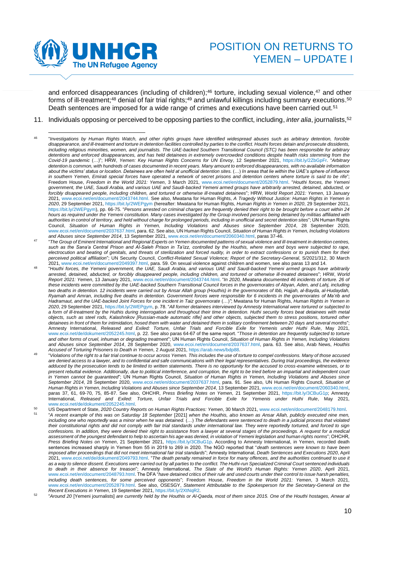

and enforced disappearances (including of children);<sup>46</sup> torture, including sexual violence,<sup>47</sup> and other forms of ill-treatment;<sup>48</sup> denial of fair trial rights;<sup>49</sup> and unlawful killings including summary executions.<sup>50</sup> Death sentences are imposed for a wide range of crimes and executions have been carried out.<sup>51</sup>

11. Individuals opposing or perceived to be opposing parties to the conflict, including, *inter alia*, journalists,<sup>52</sup>

- 47 "*The Group of Eminent International and Regional Experts on Yemen documented patterns of sexual violence and ill-treatment in detention centres, such as the Sana'a Central Prison and Al-Saleh Prison in Ta'izz, controlled by the Houthis, where men and boys were subjected to rape,*  electrocution and beating of genitals, and threats of sterilization and forced nudity, in order to extract confessions or to punish them for their *perceived political affiliation*"; UN Security Council, *Conflict-Related Sexual Violence; Report of the Secretary-General*, S/2021/312, 30 March 2021[, www.ecoi.net/en/document/2049397.html,](http://www.ecoi.net/en/document/2049397.html) para. 59. On sexual violence against children and women, see also paras 13 and 14.
- 48 "*Houthi forces, the Yemeni government, the UAE, Saudi Arabia, and various UAE and Saudi-backed Yemeni armed groups have arbitrarily arrested, detained, abducted, or forcibly disappeared people, including children, and tortured or otherwise ill-treated detainees*"; HRW, *World Report 2021: Yemen*, 13 January 2021, [www.ecoi.net/en/document/2043744.html.](https://www.ecoi.net/en/document/2043744.html) "*In 2020, Mwatana documented 46 incidents of torture. 26 of these incidents were committed by the UAE-backed Southern Transitional Council forces in the governorates of Abyan, Aden, and Lahj, including two deaths in detention. 12 incidents were carried out by Ansar Allah group (Houthis) in the governorates of Ibb, Hajjah, al-Bayda, al-Hudaydah, Ryamah and Amran, including five deaths in detention. Government forces were responsible for 6 incidents in the governorates of Ma'rib and Hadramaut, and the UAE-backed Joint Forces for one incident in Taiz governorate* (…)*"*; Mwatana for Human Rights, *Human Rights in Yemen in 2020*, 29 September 2021[, https://bit.ly/2WEPgym,](https://bit.ly/2WEPgym) p. 78. "*All former detainees interviewed by Amnesty International were tortured or subjected to a form of ill-treatment by the Huthis during interrogation and throughout their time in detention. Huthi security forces beat detainees with metal objects, such as steel rods, Kalashnikov [Russian-made automatic rifle] and other objects, subjected them to stress positions, tortured other detainees in front of them for intimidation, hosed them with water and detained them in solitary confinement between 20 days and several months*"; Amnesty International, *Released and Exiled: Torture, Unfair Trials and Forcible Exile for Yemenis under Huthi Rule*, May 2021, [www.ecoi.net/de/dokument/2052245.html,](http://www.ecoi.net/de/dokument/2052245.html) p. 22. See also paras 64-67 of the same report. "*Those in detention are frequently subjected to torture and other forms of cruel, inhuman or degrading treatment*"; UN Human Rights Council, *Situation of Human Rights in Yemen, Including Violations and Abuses since September 2014*, 28 September 2020, [www.ecoi.net/en/document/2037637.html,](https://www.ecoi.net/en/document/2037637.html) para. 63. See also, Arab News, *Houthis Accused of Torturing Prisoners to Death in Yemen*, 2 August 2021, [https://arab.news/bdp88.](https://arab.news/bdp88)
- 49 "*Violations of the right to a fair trial continue to occur across Yemen. This includes the use of torture to compel confessions. Many of those accused are denied access to a lawyer, and to confidential and safe communications with their legal representatives. During trial proceedings, the evidence adduced by the prosecution tends to be limited to written statements. There is no opportunity for the accused to cross-examine witnesses, or to present rebuttal evidence. Additionally, due to political interference, and corruption, the right to be tried before an impartial and independent court in Yemen cannot be guaranteed*"; UN Human Rights Council, *Situation of Human Rights in Yemen, Including Violations and Abuses since September 2014*, 28 September 2020, [www.ecoi.net/en/document/2037637.html,](https://www.ecoi.net/en/document/2037637.html) para. 91. See also, UN Human Rights Council, *Situation of Human Rights in Yemen, Including Violations and Abuses since September 2014*, 13 September 2021, [www.ecoi.net/en/document/2060340.html,](http://www.ecoi.net/en/document/2060340.html) paras 37, 61, 69-70, 75, 85-87. See also, OHCHR, *Press Briefing Notes on Yemen*, 21 September 2021, [https://bit.ly/3CBuG1p;](https://bit.ly/3CBuG1p) Amnesty International, *Released and Exiled: Torture, Unfair Trials and Forcible Exile for Yemenis under Huthi Rule*, May 2021, [www.ecoi.net/de/dokument/2052245.html.](https://www.ecoi.net/de/dokument/2052245.html)
- <sup>50</sup> US Department of State, *2020 Country Reports on Human Rights Practices: Yemen*, 30 March 2021[, www.ecoi.net/en/document/2048179.html.](http://www.ecoi.net/en/document/2048179.html) 51 "*A recent example of this was on Saturday 18 September* [2021] *when the Houthis, also known as Ansar Allah, publicly executed nine men,*  including one who reportedly was a minor when he was detained. (...) The defendants were sentenced to death in a judicial process that violated *their constitutional rights and did not comply with fair trial standards under international law. They were reportedly tortured, and forced to sign confessions. In addition, they were denied their right to assistance from a lawyer at several stages of the proceedings. A request for a medical assessment of the youngest defendant to help to ascertain his age was denied, in violation of Yemeni legislation and human rights norms*"; OHCHR, *Press Briefing Notes on Yemen*, 21 September 2021, [https://bit.ly/3CBuG1p.](https://bit.ly/3CBuG1p) According to Amnesty International, in Yemen, recorded death sentences increased sharply in Yemen from 55 in 2019 to 269 in 2020. The NGO reported that "*death sentences were known to have been imposed after proceedings that did not meet international fair trial standards*"; Amnesty International, *Death Sentences and Executions 2020*, April 2021[, www.ecoi.net/de/dokument/2049793.html.](https://www.ecoi.net/de/dokument/2049793.html) "*The death penalty remained in force for many offences, and the authorities continued to use it as a way to silence dissent. Executions were carried out by all parties to the conflict. The Huthi-run Specialized Criminal Court sentenced individuals to death in their absence for treason*"; Amnesty International, *The State of the World's Human Rights: Yemen 2020*, April 2021, [www.ecoi.net/en/document/2048793.html.](https://www.ecoi.net/en/document/2048793.html) The DFA "*have detained critics of their rule and used courts under their control to issue harsh penalties, including death sentences, for some perceived opponents*"; Freedom House, *Freedom in the World 2021: Yemen*, 3 March 2021, [www.ecoi.net/en/document/2052879.html.](http://www.ecoi.net/en/document/2052879.html) See also, OSESGY, *Statement Attributable to the Spokesperson for the Secretary-General on the Recent Executions in Yemen*, 19 September 2021[, https://bit.ly/2XtNqR2.](https://bit.ly/2XtNqR2)
- 52 "*Around 20* [Yemeni journalists] *are currently held by the Houthis or Al-Qaeda, most of them since 2015. One of the Houthi hostages, Anwar al*

<sup>46</sup> "*Investigations by Human Rights Watch, and other rights groups have identified widespread abuses such as arbitrary detention, forcible disappearance, and ill-treatment and torture in detention facilities controlled by parties to the conflict. Houthi forces detain and prosecute dissidents, including religious minorities, women, and journalists. The UAE-backed Southern Transitional Council (STC) has been responsible for arbitrary detentions and enforced disappearances, and has held detainees in extremely overcrowded conditions despite health risks stemming from the Covid-19 pandemic* (…)"; HRW, *Yemen: Key Human Rights Concerns for UN Envoy*, 12 September 2021, [https://bit.ly/2ZbGpFr.](https://bit.ly/2ZbGpFr) "*Arbitrary detention is common, with hundreds of cases documented in recent years. Many amount to enforced disappearances, with no available information*  about the victims' status or location. Detainees are often held at unofficial detention sites. (...) In areas that lie within the UAE's sphere of influence *in southern Yemen, Emirati special forces have operated a network of secret prisons and detention centers where torture is said to be rife*"; Freedom House, *Freedom in the World 2021: Yemen*, 3 March 2021, [www.ecoi.net/en/document/2052879.html.](http://www.ecoi.net/en/document/2052879.html) "*Houthi forces, the Yemeni government, the UAE, Saudi Arabia, and various UAE and Saudi-backed Yemeni armed groups have arbitrarily arrested, detained, abducted, or forcibly disappeared people, including children, and tortured or otherwise ill-treated detainees*"; HRW, *World Report 2021: Yemen*, 13 January 2021, [www.ecoi.net/en/document/2043744.html.](https://www.ecoi.net/en/document/2043744.html) See also, Mwatana for Human Rights, *A Tragedy Without Justice: Human Rights in Yemen in 2020*, 29 September 2021,<https://bit.ly/2WEPgym> (hereafter: Mwatana for Human Rights, *Human Rights in Yemen in 2020*, 29 September 2021, [https://bit.ly/2WEPgym\),](https://bit.ly/2WEPgym) pp. 66-75. "*Persons arrested on criminal charges are frequently denied their right to be brought before a court within 24 hours as required under the Yemeni constitution. Many cases investigated by the Group involved persons being detained by militias affiliated with authorities in control of territory, and held without charge for prolonged periods, including in unofficial and secret detention sites*"; UN Human Rights Council, *Situation of Human Rights in Yemen, Including Violations and Abuses since September 2014*, 28 September 2020, [www.ecoi.net/en/document/2037637.html,](https://www.ecoi.net/en/document/2037637.html) para. 62. See also, UN Human Rights Council, *Situation of Human Rights in Yemen, Including Violations and Abuses since September 2014*, 13 September 2021[, www.ecoi.net/en/document/2060340.html,](http://www.ecoi.net/en/document/2060340.html) paras 37-46.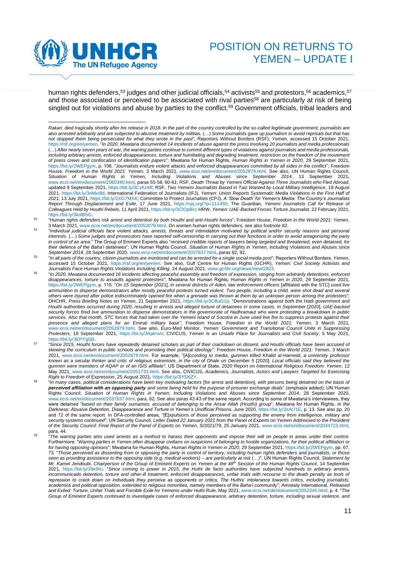

human rights defenders,<sup>53</sup> judges and other judicial officials,<sup>54</sup> activists<sup>55</sup> and protestors,<sup>56</sup> academics,<sup>57</sup> and those associated or perceived to be associated with rival parties<sup>58</sup> are particularly at risk of being singled out for violations and abuse by parties to the conflict. <sup>59</sup> Government officials, tribal leaders and

- 56 "*In 2020, Mwatana documented 16 incidents affecting peaceful assembly and freedom of expression, ranging from arbitrarily detentions, enforced disappearances, torture to assaults against protesters*"; Mwatana for Human Rights, *Human Rights in Yemen in 2020*, 29 September 2021, [https://bit.ly/2WEPgym,](https://bit.ly/2WEPgym) p. 115. "*On 15 September* [2021]*, in several districts of Aden, law enforcement officers* [affiliated with the STC] *used live*  ammunition to disperse demonstrators after mostly peaceful protests turned violent. Two people, including a child, were shot dead and several *others were injured after police indiscriminately opened fire when a grenade was thrown at them by an unknown person among the protesters*"; OHCHR, *Press Briefing Notes on Yemen*, 21 September 2021, [https://bit.ly/3CBuG1p.](https://bit.ly/3CBuG1p) "*Demonstrations against both the Hadi government and Houthi authorities occurred during 2020, resulting in arrests and alleged torture of detainees in some cases. In September* [2020]*, UAE-backed security forces fired live ammunition to disperse demonstrators in the governorate of Hadhramaut who were protesting a breakdown in public*  services. Also that month, STC forces that had taken over the Yemeni island of Socotra in June used live fire to suppress protests against their *presence and alleged plans for an Emirati military base*"; Freedom House, *Freedom in the World 2021: Yemen*, 3 March 2021, [www.ecoi.net/en/document/2052879.html.](http://www.ecoi.net/en/document/2052879.html) See also, Euro-Med Monitor, *Yemen: Government and Transitional Council Unite in Suppressing Protesters*, 19 September 2021, [https://bit.ly/3Apkrwn;](https://bit.ly/3Apkrwn) CIVICUS, *Yemen Is an Unsafe Place for Journalists and Civil Society*, 5 May 2021, [https://bit.ly/3EPYgSB.](https://bit.ly/3EPYgSB)
- 57 "*Since 2015, Houthi forces have repeatedly detained scholars as part of their crackdown on dissent, and Houthi officials have been accused of skewing the curriculum in public schools and promoting their political ideology*"; Freedom House, *Freedom in the World 2021: Yemen*, 3 March 2021, [www.ecoi.net/en/document/2052879.html.](http://www.ecoi.net/en/document/2052879.html) For example, "[A]*ccording to media, gunmen killed Khalid al-Hameidi, a university professor known as a secular thinker and critic of religious extremism, in the city of Dhale on December 5* [2020]*. Local officials said they believed the gunmen were members of AQAP or of an ISIS affiliate*"; US Department of State, *2020 Report on International Religious Freedom: Yemen*, 12 May 2021[, www.ecoi.net/en/document/2051733.html.](https://www.ecoi.net/en/document/2051733.html) See also, CIVICUS, *Academics, Journalists, Actors and Lawyers Targeted for Exercising Right to Freedom of Expression*, 25 August 2021[, https://bit.ly/3lYD6ZY.](https://bit.ly/3lYD6ZY)
- 58 "*In many cases, political considerations have been key motivating factors* [for arrest and detention]*, with persons being detained on the basis of perceived affiliation with an opposing party and some being held for the purpose of prisoner exchange deals*" (emphasis added); UN Human Rights Council, *Situation of Human Rights in Yemen, Including Violations and Abuses since September 2014*, 28 September 2020, [www.ecoi.net/en/document/2037637.html,](https://www.ecoi.net/en/document/2037637.html) para. 62. See also paras 42-43 of the same report. According to some of Mwatana's interviewees, they were detained "*based on their family surnames, accused of belonging to the Ansar Allah (Houthi) group*"; Mwatana for Human Rights, *In the Darkness: Abusive Detention, Disappearance and Torture in Yemen's Unofficial Prisons*, June 2020[, https://bit.ly/3zAt71E,](https://bit.ly/3zAt71E) p. 13. See also pp. 20 and 72 of the same report. In DFA-controlled areas, "[E]*xpulsions of those perceived as supporting the enemy from intelligence, military and security systems continued*"; UN Security Council, *Letter Dated 22 January 2021 from the Panel of Experts on Yemen Addressed to the President of the Security Council: Final Report of the Panel of Experts on Yemen*, S/2021/79, 25 January 2021, [www.ecoi.net/en/document/2044723.html,](http://www.ecoi.net/en/document/2044723.html) para. 44.
- 59 "*The warring parties also used arrests as a method to harass their opponents and impose their will on people in areas under their control.*  Furthermore: "*Warring parties in Yemen often disappear civilians on suspicions of belonging to hostile organizations, for their political affiliation or for having opposing opinions*"; Mwatana for Human Rights, *Human Rights in Yemen in 2020*, 29 September 2021[, https://bit.ly/2WEPgym,](https://bit.ly/2WEPgym) pp. 67, 73. "*Those perceived as dissenting from or opposing the party in control of territory, including human rights defenders and journalists, or those*  seen as providing assistance to the opposing side (e.g. medical workers) – are particularly at risk (…)"; UN Human Rights Council, Statement by<br>Mr. Kamel Jendoubi, Chairperson of the Group of Eminent Experts on Yemen at th 2021, [https://bit.ly/39e9Ici.](https://bit.ly/39e9Ici) "*Since coming to power in 2015, the Huthi de facto authorities have subjected hundreds to arbitrary arrests, incommunicado detention, torture and other-ill treatment, enforced disappearances, unfair trials with recourse to the death penalty as tools of repression to crack down on individuals they perceive as opponents or critics. The Huthis' intolerance towards critics, including journalists, academics and political opposition, extended to religious minorities, namely members of the Baha'i community*"; Amnesty International, *Released and Exiled: Torture, Unfair Trials and Forcible Exile for Yemenis under Huthi Rule*, May 2021[, www.ecoi.net/de/dokument/2052245.html,](https://www.ecoi.net/de/dokument/2052245.html) p. 4. "*The Group of Eminent Experts continued to investigate cases of enforced disappearance, arbitrary detention, torture, including sexual violence, and*

*Rakan, died tragically shortly after his release in 2018. In the part of the country controlled by the so-called legitimate government, journalists are also arrested arbitrarily and are subjected to abusive treatment by militias.* (…) *Some journalists gave up journalism to avoid reprisals but that has not stopped them being persecuted for what they wrote in the past*"; Reporters Without Borders (RSF), *Yemen*, accessed 15 October 2021, [https://rsf.org/en/yemen.](https://rsf.org/en/yemen) "*In 2020, Mwatana documented 14 incidents of abuse against the press involving 20 journalists and media professionals* (…) *After nearly seven years of war, the warring parties continue to commit different types of violations against journalists and media professionals, including arbitrary arrests, enforced disappearances, torture and humiliating and degrading treatment, restriction on the freedom of the movement of press crews and confiscation of identification papers*"; Mwatana for Human Rights, *Human Rights in Yemen in 2020*, 29 September 2021, [https://bit.ly/2WEPgym,](https://bit.ly/2WEPgym) p. 106. "*Journalists endure violent attacks and enforced disappearances committed by all sides in the conflict*"; Freedom House, *Freedom in the World 2021: Yemen*, 3 March 2021, [www.ecoi.net/en/document/2052879.html.](http://www.ecoi.net/en/document/2052879.html) See also, UN Human Rights Council, *Situation of Human Rights in Yemen, Including Violations and Abuses since September 2014*, 13 September 2021, [www.ecoi.net/en/document/2060340.html,](http://www.ecoi.net/en/document/2060340.html) paras 55-58, 60-61; RSF, *Death Threat by Yemeni Official Against Three Journalists who Fled Abroad*, updated 9 September 2021, [https://bit.ly/3CvKcMf;](https://bit.ly/3CvKcMf) RSF, *Two Yemeni Journalists Based in Taiz Wanted by Local Military Intelligence*, 18 August 2021, [https://bit.ly/3nMxi8d;](https://bit.ly/3nMxi8d) International Federation of Journalists (IFJ), *Yemen: Union Reports Systematic Media Violations in the First Half of 2021*, 13 July 2021[, https://bit.ly/2XG7MXK;](https://bit.ly/2XG7MXK) Committee to Protect Journalists (CPJ), *A 'Slow Death' for Yemen's Media: The Country's Journalists Report Through Displacement and Exile*, 17 June 2021, [https://cpj.org/?p=111450;](https://cpj.org/?p=111450) The Guardian, *Yemeni Journalists Call for Release of Colleagues Held by Houthi Rebels*, 11 April 2021[, https://bit.ly/3ClOpBU;](https://bit.ly/3ClOpBU) HRW, *Yemen: UAE-Backed Forces Torture Journalist*, 22 February 2021, [https://bit.ly/3kolB5G.](https://bit.ly/3kolB5G)

<sup>53</sup> "*Human rights defenders risk arrest and detention by both Houthi and anti-Houthi forces*"; Freedom House, *Freedom in the World 2021: Yemen*, 3 March 2021[, www.ecoi.net/en/document/2052879.html.](http://www.ecoi.net/en/document/2052879.html) On women human rights defenders, see also footnot[e 82.](#page-14-0)

<sup>54</sup> "*Individual judicial officials face violent attacks, arrests, threats and intimidation motivated by political and/or security reasons and personal interests*. (…) *Some judges and prosecutors have reported self-censorship in carrying out their functions in order to avoid antagonizing the party in control of an area.*" The Group of Eminent Experts also "*received credible reports of lawyers being targeted and threatened, even detained, for their defence of the Baha'i detainees*"; UN Human Rights Council, *Situation of Human Rights in Yemen, Including Violations and Abuses since September 2014*, 28 September 2020, [www.ecoi.net/en/document/2037637.html,](https://www.ecoi.net/en/document/2037637.html) paras 82, 92.

<sup>55</sup> "*In all parts of the country, citizen-journalists are monitored and can be arrested for a single social media post*"; Reporters Without Borders, *Yemen*, accessed 15 October 2021, [https://rsf.org/en/yemen.](https://rsf.org/en/yemen) See also, Gulf Centre for Human Rights (GCHR), *Yemen: Civil Society Activists and Journalists Face Human Rights Violations Including Killing*, 24 August 2021, [www.gc4hr.org/news/view/2823.](https://www.gc4hr.org/news/view/2823)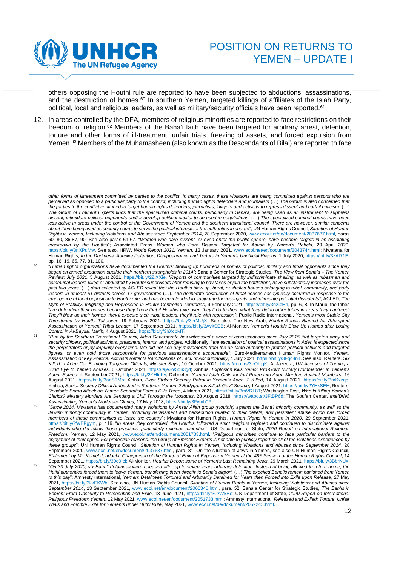

others opposing the Houthi rule are reported to have been subjected to abductions, assassinations, and the destruction of homes.<sup>60</sup> In southern Yemen, targeted killings of affiliates of the Islah Party, political, local and religious leaders, as well as military/security officials have been reported.<sup>61</sup>

12. In areas controlled by the DFA, members of religious minorities are reported to face restrictions on their freedom of religion.<sup>62</sup> Members of the Baha'i faith have been targeted for arbitrary arrest, detention, torture and other forms of ill-treatment, unfair trials, freezing of assets, and forced expulsion from Yemen. <sup>63</sup> Members of the Muhamasheen (also known as the Descendants of Bilal) are reported to face

*other forms of illtreatment committed by parties to the conflict. In many cases, these violations are being committed against persons who are perceived as opposed to a particular party to the conflict, including human rights defenders and journalists (...) The Group is also concerned that the parties to the conflict continued to target human rights defenders, journalists, lawyers and activists to repress dissent and curtail criticism*. (…) *The Group of Eminent Experts finds that the specialized criminal courts, particularly in Sana'a, are being used as an instrument to suppress*  dissent, intimidate political opponents and/or develop political capital to be used in negotiations. (...) The specialized criminal courts have been less active in areas under the control of the Government of Yemen and the southern transitional council. There are however, similar concerns *about them being used as security courts to serve the political interests of the authorities in charge*"; UN Human Rights Council, *Situation of Human Rights in Yemen, Including Violations and Abuses since September 2014*, 28 September 2020, [www.ecoi.net/en/document/2037637.html,](https://www.ecoi.net/en/document/2037637.html) paras 60, 80, 86-87, 90. See also paras 61-67. "*Women who dare dissent, or even enter the public sphere, have become targets in an escalating crackdown by the Houthis*"; Associated Press, *Women who Dare Dissent Targeted for Abuse by Yemen's Rebels*, 29 April 2020, [https://bit.ly/3nXPuMw.](https://bit.ly/3nXPuMw) See also, HRW, *World Report 2021: Yemen*, 13 January 2021, [www.ecoi.net/en/document/2043744.html;](https://www.ecoi.net/en/document/2043744.html) Mwatana for Human Rights, In the Darkness: Abusive Detention, Disappearance and Torture in Yemen's Unofficial Prisons, 1 July 2020[, https://bit.ly/3zAt71E,](https://bit.ly/3zAt71E) pp. 16, 19, 65, 77, 81, 100.

<sup>60</sup> "*Human rights organizations have documented the Houthis' blowing up hundreds of homes of political, military and tribal opponents since they began an armed expansion outside their northern strongholds in 2014*"; Sana'a Center for Strategic Studies, *The View from Sana'a – The Yemen Review: July 2021*, 5 August 2021[, https://bit.ly/2ZlXXie.](https://bit.ly/2ZlXXie) "*Reports of communities targeted by indiscriminate shelling, as well as tribesmen and*  communal leaders killed or abducted by Houthi supervisors after refusing to pay taxes or join the battlefront, have substantially increased over the *past two years.* (…) *data collected by ACLED reveal that the Houthis blew up, burnt, or shelled houses belonging to tribal, community, and party leaders in at least 51 districts across 17 governorates* (…). *The deliberate destruction of tribal houses has typically occurred in response to the emergence of local opposition to Houthi rule, and has been intended to subjugate the insurgents and intimidate potential dissidents*"; ACLED, *The Myth of Stability: Infighting and Repression in Houthi-Controlled Territories*, 9 February 2021, [https://bit.ly/3o2IcHn,](https://bit.ly/3o2IcHn) pp. 6, 8. In Marib, the tribes "*are defending their homes because they know that if Houthis take over, they'll do to them what they did to other tribes in areas they captured. They'll blow up their homes, they'll execute their tribal leaders, they'll rule with repression*"; Public Radio International, *Yemen's most Stable City Threatened by Houthi Takeover*, 19 February 2021, [https://bit.ly/3zrMUjX.](https://bit.ly/3zrMUjX) See also, The New Arab, *Houthi Rebels Blamed for Attempted Assassination of Yemeni Tribal Leader*, 17 September 2021[, https://bit.ly/3AvkSEB;](https://bit.ly/3AvkSEB) Al-Monitor, *Yemen's Houthis Blow Up Homes after Losing Control in Al-Bayda, Marib*, 4 August 2021[, https://bit.ly/3hXcbMT.](https://bit.ly/3hXcbMT) 

<sup>61</sup> "*Run by the Southern Transitional Council, Aden Governorate has witnessed a wave of assassinations since July 2015 that targeted army and*  security officers, political activists, preachers, imams, and judges. Additionally, "the escalation of political assassinations in Aden is expected since *the perpetrators enjoy impunity every time. We did not see any movements from the de-facto authority to protect political activists and targeted figures, or even hold those responsible for previous assassinations accountable*"; Euro-Mediterranean Human Rights Monitor, *Yemen: Assassination of Key Political Activists Reflects Ramifications of Lack of Accountability*, 4 July 2021[, https://bit.ly/3Fqc4n4.](https://bit.ly/3Fqc4n4) See also, Reuters, *Six Killed in Aden Car Bombing Targeting Officials, Minister Says*, 10 October 2021[, https://reut.rs/3oOhjqK;](https://reut.rs/3oOhjqK) Al Jazeera, *UN Accused of Turning a Blind Eye to Yemen Abuses*, 6 October 2021, [https://aje.io/5dn3gd;](https://aje.io/5dn3gd) Xinhua, *Explosion Kills Senior Pro-Gov't Military Commander in Yemen's Aden: Source*, 4 September 2021[, https://bit.ly/2YHluKv;](https://bit.ly/2YHluKv) Debriefer, *Yemeni Islah Calls for Int'l Probe into Aden Murders Against Members*, 16 August 2021, [https://bit.ly/3anSTMn;](https://bit.ly/3anSTMn) Xinhua, *Blast Strikes Security Patrol in Yemen's Aden, 2 Killed*, 14 August 2021, [https://bit.ly/3mKxzqq;](https://bit.ly/3mKxzqq) Xinhua, *Senior Security Official Ambushed in Southern Yemen, 2 Bodyguards Killed: Gov't Source*, 1 August 2021[, https://bit.ly/2YHkSEH;](https://bit.ly/2YHkSEH) Reuters, *Roadside Bomb Attack on Yemen Separatist Forces Kills Three*, 4 March 2021[, https://bit.ly/3mVRL8T;](https://bit.ly/3mVRL8T) Washington Post, *Who Is Killing Yemen's Clerics? Mystery Murders Are Sending a Chill Through the Mosques*, 28 August 2018, [https://wapo.st/3FtBP6d;](https://wapo.st/3FtBP6d) The Soufan Center, *IntelBrief: Assassinating Yemen's Moderate Clerics*, 17 May 2018[, https://bit.ly/3Fymh0P.](https://bit.ly/3Fymh0P) 

<sup>62</sup> "*Since 2014, Mwatana has documented many violations by Ansar Allah group (Houthis) against the Baha'i minority community, as well as the Jewish minority community in Yemen, including harassment and persecution related to their beliefs, and persistent abuse which has forced members of these communities to leave the country*"; Mwatana for Human Rights, *Human Rights in Yemen in 2020*, 29 September 2021, [https://bit.ly/2WEPgym,](https://bit.ly/2WEPgym) p. 119. "*In areas they controlled, the Houthis followed a strict religious regimen and continued to discriminate against individuals who did follow those practices, particularly religious minorities*"; US Department of State, *2020 Report on International Religious Freedom: Yemen*, 12 May 2021, [www.ecoi.net/en/document/2051733.html.](https://www.ecoi.net/en/document/2051733.html) "*Religious minorities continue to face particular barriers to the enjoyment of their rights. For protection reasons, the Group of Eminent Experts is not able to publicly report on all of the violations experienced by these groups*"; UN Human Rights Council, *Situation of Human Rights in Yemen, Including Violations and Abuses since September 2014*, 28 September 2020[, www.ecoi.net/en/document/2037637.html,](https://www.ecoi.net/en/document/2037637.html) para. 81. On the situation of Jews in Yemen, see also UN Human Rights Council, *Statement by Mr. Kamel Jendoubi, Chairperson of the Group of Eminent Experts on Yemen at the 48th Session of the Human Rights Council*, 14

September 2021[, https://bit.ly/39e9Ici;](https://bit.ly/39e9Ici) Al-Monitor, *Houthis Deport some of Yemen's Last Remaining Jews*, 29 March 2021[, https://bit.ly/3BbrNUx.](https://bit.ly/3BbrNUx) 63 "*On 30 July 2020, six Baha'i detainees were released after up to seven years arbitrary detention. Instead of being allowed to return home, the Huthi authorities forced them to leave Yemen, transferring them directly to Sana'a airport.* (…) *The expelled Baha'is remain banished from Yemen to this day*"; Amnesty International, *Yemen: Detainees Tortured and Arbitrarily Detained for Years then Forced into Exile upon Release*, 27 May 2021, [https://bit.ly/3kkEKWb.](https://bit.ly/3kkEKWb) See also, UN Human Rights Council, *Situation of Human Rights in Yemen, Including Violations and Abuses since September 2014*, 13 September 2021, [www.ecoi.net/en/document/2060340.html,](http://www.ecoi.net/en/document/2060340.html) para. 52; Sana'a Center for Strategic Studies, *The Bah'is in Yemen: From Obscurity to Persecution and Exile*, 18 June 2021, [https://bit.ly/3CAVkHo;](https://bit.ly/3CAVkHo) US Department of State, *2020 Report on International Religious Freedom: Yemen*, 12 May 2021[, www.ecoi.net/en/document/2051733.html;](https://www.ecoi.net/en/document/2051733.html) Amnesty International, *Released and Exiled: Torture, Unfair Trials and Forcible Exile for Yemenis under Huthi Rule*, May 2021[, www.ecoi.net/de/dokument/2052245.html.](https://www.ecoi.net/de/dokument/2052245.html)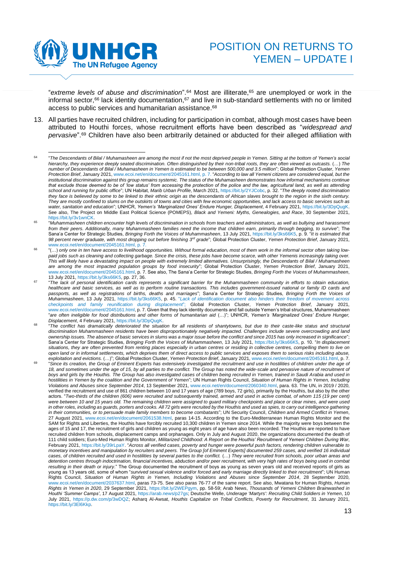

"*extreme levels of abuse and discrimination*".<sup>64</sup> Most are illiterate,<sup>65</sup> are unemployed or work in the informal sector,<sup>66</sup> lack identity documentation,<sup>67</sup> and live in sub-standard settlements with no or limited access to public services and humanitarian assistance. 68

13. All parties have recruited children, including for participation in combat, although most cases have been attributed to Houthi forces, whose recruitment efforts have been described as "*widespread and pervasive*". <sup>69</sup> Children have also been arbitrarily detained or abducted for their alleged affiliation with

<sup>64</sup> "*The Descendants of Bilal / Muhamasheen are among the most if not the most deprived people in Yemen. Sitting at the bottom of Yemen's social hierarchy, they experience deeply seated discrimination. Often distinguished by their non-tribal roots, they are often viewed as outcasts.* (…) *The number of Descendants of Bilal / Muhamasheen in Yemen is estimated to be between 500,000 and 3.5 million*"; Global Protection Cluster, *Yemen Protection Brief*, January 2021[, www.ecoi.net/en/document/2045161.html,](http://www.ecoi.net/en/document/2045161.html) p. 7. "*According to law all Yemeni citizens are considered equal, but the institutional discrimination against this group remains systemic. The status of the Muhamasheen demonstrates how informal mechanisms continue that exclude those deemed to be of 'low status' from accessing the protection of the police and the law, agricultural land, as well as attending school and running for public office*"; UN Habitat, *Marib Urban Profile*, March 2021[, https://bit.ly/2YJCobc,](https://bit.ly/2YJCobc) p. 32. "*The deeply rooted discrimination they face is believed by some to be linked to their ethnic origin as the descendants of African slaves brought to the region in the sixth century. They are mostly confined to slums on the outskirts of towns and cities with few economic opportunities, and lack access to basic services such as water, sanitation and education*"; UNHCR, *Yemen's 'Marginalized Ones' Endure Hunger, Displacement*, 4 February 2021[, https://bit.ly/3DpQugK.](https://bit.ly/3DpQugK) See also, The Project on Middle East Political Science (POMEPS), *Black and Yemeni: Myths, Genealogies, and Race*, 30 September 2021, [https://bit.ly/3v1wnCK.](https://bit.ly/3v1wnCK) 

<sup>65</sup> "*Muhammasheen children encounter high levels of discrimination in schools from teachers and administrators, as well as bullying and harassment from their peers. Additionally, many Muhammasheen families need the income that children earn, primarily through begging, to survive*"; The Sana'a Center for Strategic Studies, *Bringing Forth the Voices of Muhammasheen*, 13 July 2021, [https://bit.ly/3ks66K5,](https://bit.ly/3ks66K5) p. 9. "*It is estimated that 98 percent never graduate, with most dropping out before finishing 3rd grade*"; Global Protection Cluster, *Yemen Protection Brief*, January 2021, [www.ecoi.net/en/document/2045161.html,](http://www.ecoi.net/en/document/2045161.html) p. 7.

<sup>66</sup> "(…) *only one in ten have access to livelihood opportunities. Without formal education, most of them work in the informal sector often taking lowpaid jobs such as cleaning and collecting garbage. Since the crisis, these jobs have become scarce, with other Yemenis increasingly taking over. This will likely have a devastating impact on people with extremely limited alternatives. Unsurprisingly, the Descendants of Bilal / Muhamasheen are among the most impacted population groups by food insecurity*"; Global Protection Cluster, *Yemen Protection Brief*, January 2021, [www.ecoi.net/en/document/2045161.html,](http://www.ecoi.net/en/document/2045161.html) p. 7. See also, The Sana'a Center for Strategic Studies, *Bringing Forth the Voices of Muhammasheen*, 13 July 2021[, https://bit.ly/3ks66K5,](https://bit.ly/3ks66K5) pp. 27, 36.

<sup>67</sup> "*The lack of personal identification cards represents a significant barrier for the Muhammasheen community in efforts to obtain education, healthcare and basic services, as well as to perform routine transactions. This includes government-issued national or family ID cards and passports, as well as registrations of births, deaths and marriages*"; Sana'a Center for Strategic Studies, *Bringing Forth the Voices of Muhammasheen*, 13 July 2021, [https://bit.ly/3ks66K5,](https://bit.ly/3ks66K5) p. 45. "*Lack of identification document also hinders their freedom of movement across checkpoints and family reunification during displacement*"; Global Protection Cluster, *Yemen Protection Brief*, January 2021, [www.ecoi.net/en/document/2045161.html,](http://www.ecoi.net/en/document/2045161.html) p. 7. Given that they lack identity documents and fall outside Yemen's tribal structures, Muhammasheen "*are often ineligible for food distributions and other forms of humanitarian aid* (…)"; UNHCR, *Yemen's 'Marginalized Ones' Endure Hunger, Displacement*, 4 February 2021[, https://bit.ly/3DpQugK.](https://bit.ly/3DpQugK)

<sup>68</sup> "*The conflict has dramatically deteriorated the situation for all residents of shantytowns, but due to their caste-like status and structural discrimination Muhammasheen residents have been disproportionately negatively impacted. Challenges include severe overcrowding and land ownership issues. The absence of basic services in slums was a major issue before the conflict and since 2015 has only increased in significance*"; Sana'a Center for Strategic Studies, *Bringing Forth the Voices of Muhammasheen*, 13 July 2021, [https://bit.ly/3ks66K5,](https://bit.ly/3ks66K5) p. 10. "*In displacement situations, they are often prevented from renting places especially in urban centres or residing in collective centres, compelling them to live on open land or in informal settlements, which deprives them of direct access to public services and exposes them to serious risks including abuse,* 

*exploitation and evictions.* (…)"; Global Protection Cluster, *Yemen Protection Brief*, January 2021[, www.ecoi.net/en/document/2045161.html,](http://www.ecoi.net/en/document/2045161.html) p. 7. 69 "*Since its creation, the Group of Eminent Experts has extensively investigated the recruitment and use in hostilities of children under the age of 18, and sometimes under the age of 15, by all parties to the conflict. The Group has noted the wide-scale and pervasive nature of recruitment of boys and girls by the Houthis. The Group has also investigated cases of children being recruited in Yemen, trained in Saudi Arabia and used in hostilities in Yemen by the coalition and the Government of Yemen*"; UN Human Rights Council, *Situation of Human Rights in Yemen, Including Violations and Abuses since September 2014*, 13 September 2021[, www.ecoi.net/en/document/2060340.html,](http://www.ecoi.net/en/document/2060340.html) para. 63. The UN, in 2019 / 2020, verified the recruitment and use of 861 children between 10 and 17 years of age (789 boys, 72 girls), primarily by the Houthis, but also by the other actors. "*Two-thirds of the children (606) were recruited and subsequently trained, armed and used in active combat, of whom 115 (19 per cent) were between 10 and 15 years old. The remaining children were assigned to guard military checkpoints and place or clear mines, and were used in other roles, including as guards, porters and cooks. All 72 girls were recruited by the Houthis and used as spies, to carry out intelligence gathering in their communities, or to persuade male family members to become combatants*"; UN Security Council, *Children and Armed Conflict in Yemen*, 27 August 2021, [www.ecoi.net/en/document/2061538.html,](https://www.ecoi.net/en/document/2061538.html) paras 14-15. According to the Euro-Mediterranean Human Rights Monitor and the SAM for Rights and Liberties, the Houthis have forcibly recruited 10,300 children in Yemen since 2014. While the majority were boys between the ages of 15 and 17, the recruitment of girls and children as young as eight years of age have also been recorded. The Houthis are reported to have recruited children from schools, displacement camps and orphanages. Only in July and August 2020, the organizations documented the death of 111 child soldiers; Euro-Med Human Rights Monitor, *Militarized Childhood: A Report on the Houthis' Recruitment of Yemeni Children During War*, February 2021[, https://bit.ly/39rLpaY.](https://bit.ly/39rLpaY) "*Across all verified cases, poverty and hunger were powerful push factors, rendering children vulnerable to monetary incentives and manipulation by recruiters and peers. The Group [of Eminent Experts] documented 259 cases, and verified 16 individual cases, of children recruited and used in hostilities by several parties to the conflict.* (…) *They were recruited from schools, poor urban areas and detention centres through indoctrination, financial incentives, abduction and/or peer recruitment, with very high rates of boys being used in combat resulting in their death or injury*." The Group documented the recruitment of boys as young as seven years old and received reports of girls as young as 13 years old, some of whom "*survived sexual violence and/or forced and early marriage directly linked to their recruitment*"; UN Human Rights Council, *Situation of Human Rights in Yemen, Including Violations and Abuses since September 2014*, 28 September 2020, [www.ecoi.net/en/document/2037637.html,](https://www.ecoi.net/en/document/2037637.html) paras 73-75. See also paras 76-77 of the same report. See also, Mwatana for Human Rights, *Human Rights in Yemen in 2020*, 29 September 2021, [https://bit.ly/2WEPgym,](https://bit.ly/2WEPgym) pp. 58-59; Arab News, *Thousands of Yemeni Children Brainwashed in Houthi 'Summer Camps'*, 17 August 2021[, https://arab.news/p27gs;](https://arab.news/p27gs) Deutsche Welle, *Underage 'Martyrs': Recruiting Child Soldiers in Yemen*, 10 July 2021, [https://p.dw.com/p/3wDQZ;](https://p.dw.com/p/3wDQZ) Asharq Al-Awsat, *Houthis Capitalize on Tribal Conflicts, Poverty for Recruitment*, 31 January 2021, [https://bit.ly/3El6Kkp.](https://bit.ly/3El6Kkp)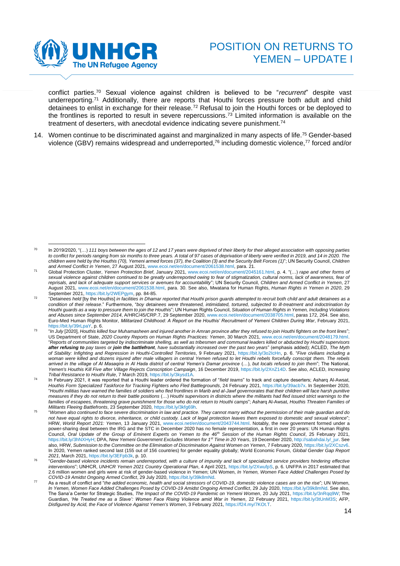

conflict parties.<sup>70</sup> Sexual violence against children is believed to be "*recurrent*" despite vast underreporting.<sup>71</sup> Additionally, there are reports that Houthi forces pressure both adult and child detainees to enlist in exchange for their release.<sup>72</sup> Refusal to join the Houthi forces or be deployed to the frontlines is reported to result in severe repercussions. <sup>73</sup> Limited information is available on the treatment of deserters, with anecdotal evidence indicating severe punishment. 74

14. Women continue to be discriminated against and marginalized in many aspects of life. <sup>75</sup> Gender-based violence (GBV) remains widespread and underreported, <sup>76</sup> including domestic violence,<sup>77</sup> forced and/or

<sup>70</sup> In 2019/2020, "(…) *111 boys between the ages of 12 and 17 years were deprived of their liberty for their alleged association with opposing parties to conflict for periods ranging from six months to three years. A total of 97 cases of deprivation of liberty were verified in 2019, and 14 in 2020. The children were held by the Houthis (70), Yemeni armed forces (37), the Coalition (3) and the Security Belt Forces (1)*"; UN Security Council, *Children and Armed Conflict in Yemen*, 27 August 2021, [www.ecoi.net/en/document/2061538.html,](https://www.ecoi.net/en/document/2061538.html) para. 21.

<sup>71</sup> Global Protection Cluster, *Yemen Protection Brief*, January 2021[, www.ecoi.net/en/document/2045161.html,](http://www.ecoi.net/en/document/2045161.html) p. 4. "(…) *rape and other forms of*  sexual violence against children continued to be greatly underreported owing to fear of stigmatization, cultural norms, lack of awareness, fear of *reprisals, and lack of adequate support services or avenues for accountability*"; UN Security Council, *Children and Armed Conflict in Yemen*, 27 August 2021, [www.ecoi.net/en/document/2061538.html,](https://www.ecoi.net/en/document/2061538.html) para. 30. See also, Mwatana for Human Rights, *Human Rights in Yemen in 2020*, 29 September 2021[, https://bit.ly/2WEPgym,](https://bit.ly/2WEPgym) pp. 84-85.

<sup>72</sup> "*Detainees held* [by the Houthis] *in facilities in Dhamar reported that Houthi prison guards attempted to recruit both child and adult detainees as a condition of their release*." Furthermore, "*boy detainees were threatened, intimidated, tortured, subjected to ill-treatment and indoctrination by Houthi guards as a way to pressure them to join the Houthis*"; UN Human Rights Council, *Situation of Human Rights in Yemen, Including Violations and Abuses since September 2014*, A/HRC/45/CRP.7, 29 September 2020, [www.ecoi.net/en/document/2038705.html,](http://www.ecoi.net/en/document/2038705.html) paras 172, 264. See also, Euro-Med Human Rights Monitor, *Militarized Childhood: A Report on the Houthis' Recruitment of Yemeni Children During War*, February 2021, [https://bit.ly/39rLpaY,](https://bit.ly/39rLpaY) p. 6.

<sup>73</sup> "*In July* [2020], *Houthis killed four Muhamasheen and injured another in Amran province after they refused to join Houthi fighters on the front lines*"; US Department of State, *2020 Country Reports on Human Rights Practices: Yemen*, 30 March 2021, [www.ecoi.net/en/document/2048179.html.](http://www.ecoi.net/en/document/2048179.html) "*Reports of communities targeted by indiscriminate shelling, as well as tribesmen and communal leaders killed or abducted by Houthi supervisors after refusing to pay taxes or join the battlefront, have substantially increased over the past two years*" (emphasis added); ACLED, *The Myth of Stability: Infighting and Repression in Houthi-Controlled Territories*, 9 February 2021, [https://bit.ly/3o2IcHn,](https://bit.ly/3o2IcHn) p. 6. "*Five civilians including a woman were killed and dozens injured after male villagers in central Yemen refused to let Houthi rebels forcefully conscript them. The rebels*  arrived in the village of Al Masaqira in Al Hada district of central Yemen's Damar province (...), but locals refused to join them"; The National, *Yemen's Houthis Kill Five after Village Rejects Conscription Campaign*, 16 December 2019[, https://bit.ly/2XnZ14D.](https://bit.ly/2XnZ14D) See also, ACLED, *Increasing Tribal Resistance to Houthi Rule*, 7 March 2019, [https://bit.ly/3kysd1A.](https://bit.ly/3kysd1A)

<sup>74</sup> In February 2021, it was reported that a Houthi leader ordered the formation of "*field teams*" to track and capture deserters; Asharq Al-Awsat, *Houthis Form Specialized Taskforce for Tracking Fighters who Fled Battlegrounds*, 24 February 2021[, https://bit.ly/39acb7x.](https://bit.ly/39acb7x) In September 2020, "*Houthi militias have warned the families of soldiers who fled frontlines in Marib and al-Jawf governorates that their children will face harsh punitive measures if they do not return to their battle positions* (…) *Houthi supervisors in districts where the militants had fled issued strict warnings to the families of escapees, threatening grave punishment for those who do not return to Houthi camps*"; Asharq Al-Awsat, *Houthis Threaten Families of Militants Fleeing Battlefronts*, 23 September 2020[, https://bit.ly/3kfg69h.](https://bit.ly/3kfg69h)

<sup>75</sup> "*Women also continued to face severe discrimination in law and practice. They cannot marry without the permission of their male guardian and do not have equal rights to divorce, inheritance, or child custody. Lack of legal protection leaves them exposed to domestic and sexual violence*"; HRW, *World Report 2021: Yemen*, 13 January 2021[, www.ecoi.net/en/document/2043744.html.](https://www.ecoi.net/en/document/2043744.html) Notably, the new government formed under a power-sharing deal between the IRG and the STC in December 2020 has no female representation, a first in over 20 years: UN Human Rights Council, *Oral Update of the Group of Eminent Experts on Yemen to the 46th Session of the Human Rights Council*, 25 February 2021, [https://bit.ly/3hNXHyH;](https://bit.ly/3hNXHyH) DPA, *New Yemeni Government Excludes Women for 1st Time in 20 Years*, 19 December 2020[, http://sabahdai.ly/\\_jur.](http://sabahdai.ly/_jur) See also, HRW, *Submission to the Committee on the Elimination of Discrimination Against Women on Yemen*, 7 February 2020[, https://bit.ly/2XCszv6.](https://bit.ly/2XCszv6) In 2020, Yemen ranked second last (155 out of 156 countries) for gender equality globally; World Economic Forum, *Global Gender Gap Report 2021*, March 2021[, https://bit.ly/3EFpb3k,](https://bit.ly/3EFpb3k) p. 10.

<sup>76</sup> "*Gender-based violence incidents remain underreported, with a culture of impunity and lack of specialized service providers hindering effective interventions*"; UNHCR, *UNHCR Yemen 2021 Country Operational Plan*, 4 April 2021, [https://bit.ly/2XwufpS,](https://bit.ly/2XwufpS) p. 6. UNFPA in 2017 estimated that 2.6 million women and girls were at risk of gender-based violence in Yemen; UN Women, *In Yemen, Women Face Added Challenges Posed by* 

COVID-19 Amidst Ongoing Armed Conflict, 29 July 2020[, https://bit.ly/39k8mNd.](https://bit.ly/39k8mNd)<br>As a result of conflict and "*the added economic, health and social stressors of COVID-19, domestic violence cases are on the rise*"; UN Women, *In Yemen, Women Face Added Challenges Posed by COVID-19 Amidst Ongoing Armed Conflict*, 29 July 2020[, https://bit.ly/39k8mNd.](https://bit.ly/39k8mNd) See also, The Sana'a Center for Strategic Studies, *The Impact of the COVID-19 Pandemic on Yemeni Women*, 20 July 2021[, https://bit.ly/3nRqq9W;](https://bit.ly/3nRqq9W) The Guardian, *'He Treated me as a Slave': Women Face Rising Violence amid War in Yemen*, 22 February 2021, [https://bit.ly/3tUnM3S;](https://bit.ly/3tUnM3S) AFP, *Disfigured by Acid, the Face of Violence Against Yemen's Women*, 3 February 2021[, https://f24.my/7KOt.T.](https://f24.my/7KOt.T)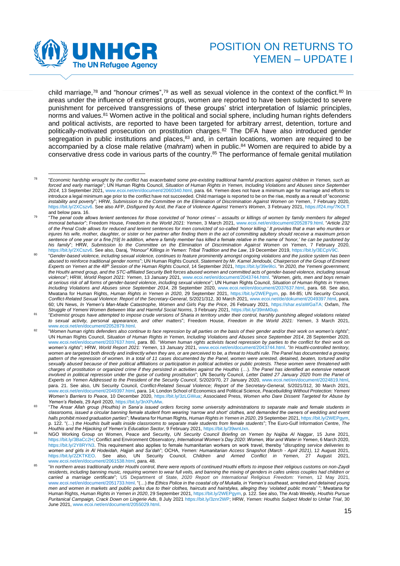

<span id="page-14-0"></span>child marriage,<sup>78</sup> and "honour crimes",<sup>79</sup> as well as sexual violence in the context of the conflict.<sup>80</sup> In areas under the influence of extremist groups, women are reported to have been subjected to severe punishment for perceived transgressions of these groups' strict interpretation of Islamic principles, norms and values.<sup>81</sup> Women active in the political and social sphere, including human rights defenders and political activists, are reported to have been targeted for arbitrary arrest, detention, torture and politically-motivated prosecution on prostitution charges. <sup>82</sup> The DFA have also introduced gender segregation in public institutions and places,<sup>83</sup> and, in certain locations, women are required to be accompanied by a close male relative (*mahram*) when in public. <sup>84</sup> Women are required to abide by a conservative dress code in various parts of the country. <sup>85</sup> The performance of female genital mutilation

<sup>78</sup> "*Economic hardship wrought by the conflict has exacerbated some pre-existing traditional harmful practices against children in Yemen, such as forced and early marriage*"; UN Human Rights Council, *Situation of Human Rights in Yemen, Including Violations and Abuses since September 2014*, 13 September 2021, [www.ecoi.net/en/document/2060340.html,](http://www.ecoi.net/en/document/2060340.html) para. 64. Yemen does not have a minimum age for marriage and efforts to introduce a legal minimum age prior to the conflict have not succeeded. Child marriage is reported to be on the rise, mostly as a result of "e*conomic instability and poverty*"; HRW, *Submission to the Committee on the Elimination of Discrimination Against Women on Yemen*, 7 February 2020, [https://bit.ly/2XCszv6.](https://bit.ly/2XCszv6) See also AFP, *Disfigured by Acid, the Face of Violence Against Yemen's Women*, 3 February 2021,<https://f24.my/7KOt.T> and below para. 16.

<sup>79</sup> "*The penal code allows lenient sentences for those convicted of 'honor crimes' – assaults or killings of women by family members for alleged immoral behavior*"; Freedom House, *Freedom in the World 2021: Yemen*, 3 March 2021[, www.ecoi.net/en/document/2052879.html.](http://www.ecoi.net/en/document/2052879.html) "*Article 232 of the Penal Code allows for reduced and lenient sentences for men convicted of so-called 'honor killing.' It provides that a man who murders or*  injures his wife, mother, daughter, or sister or her partner after finding them in the act of committing adultery should receive a maximum prison *sentence of one year or a fine.[19] In addition, where a family member has killed a female relative in the name of 'honor,' he can be pardoned by his family*"; HRW, *Submission to the Committee on the Elimination of Discrimination Against Women on Yemen*, 7 February 2020, [https://bit.ly/2XCszv6.](https://bit.ly/2XCszv6) See also, Daraj, *"Honour" Killings in Yemen: Tribal Tradition and the Law*, 19 December 2019, [https://bit.ly/3ECpV9C.](https://bit.ly/3ECpV9C) 

<sup>80</sup> "*Gender-based violence, including sexual violence, continues to feature prominently amongst ongoing violations and the justice system has been abused to reinforce traditional gender norms*"; UN Human Rights Council, *Statement by Mr. Kamel Jendoubi, Chairperson of the Group of Eminent Experts on Yemen at the 48th Session of the Human Rights Council*, 14 September 2021[, https://bit.ly/39e9Ici.](https://bit.ly/39e9Ici) "*In 2020, the Yemeni government, the Houthi armed group, and the STC-affiliated Security Belt forces abused women and committed acts of gender-based violence, including sexual violence*"; HRW, *World Report 2021: Yemen*, 13 January 2021, [www.ecoi.net/en/document/2043744.html.](https://www.ecoi.net/en/document/2043744.html) "*Women, girls, men and boys remain at serious risk of all forms of gender-based violence, including sexual violence*"; UN Human Rights Council, *Situation of Human Rights in Yemen, Including Violations and Abuses since September 2014*, 28 September 2020, [www.ecoi.net/en/document/2037637.html,](https://www.ecoi.net/en/document/2037637.html) para. 68. See also, Mwatana for Human Rights, *Human Rights in Yemen in 2020*, 29 September 2021, [https://bit.ly/2WEPgym,](https://bit.ly/2WEPgym) pp. 84-85; UN Security Council, *Conflict-Related Sexual Violence: Report of the Secretary-General*, S/2021/312, 30 March 2021, [www.ecoi.net/de/dokument/2049397.html,](https://www.ecoi.net/de/dokument/2049397.html) para. 60; UN News, *In Yemen's Man-Made Catastrophe, Women and Girls Pay the Price*, 26 February 2021, [https://shar.es/aWGaTA;](https://shar.es/aWGaTA) Oxfam, *The Struggle of Yemeni Women Between War and Harmful Social Norms*, 3 February 2021[, https://bit.ly/39mM0up](https://bit.ly/39mM0up)*.*

<sup>81</sup> "*Extremist groups have attempted to impose crude versions of Sharia in territory under their control, harshly punishing alleged violations related to sexual activity, personal appearance, and other matters*"; Freedom House, *Freedom in the World 2021: Yemen*, 3 March 2021, [www.ecoi.net/en/document/2052879.html.](http://www.ecoi.net/en/document/2052879.html)

<sup>82</sup> "*Women human rights defenders also continue to face repression by all parties on the basis of their gender and/or their work on women's rights*"; UN Human Rights Council, *Situation of Human Rights in Yemen, Including Violations and Abuses since September 2014*, 28 September 2020, [www.ecoi.net/en/document/2037637.html,](https://www.ecoi.net/en/document/2037637.html) para. 80. "*Women human rights activists faced repression by parties to the conflict for their work on women's rights*"; HRW, *World Report 2021: Yemen*, 13 January 2021[, www.ecoi.net/en/document/2043744.html.](https://www.ecoi.net/en/document/2043744.html) "*In Houthi-controlled territory, women are targeted both directly and indirectly when they are, or are perceived to be, a threat to Houthi rule. The Panel has documented a growing pattern of the repression of women. In a total of 11 cases documented by the Panel, women were arrested, detained, beaten, tortured and/or sexually abused because of their political affiliations or participation in political activities or public protests. These women were threatened with charges of prostitution or organized crime if they persisted in activities against the Houthis (...). The Panel has identified an extensive network involved in political repression under the guise of curbing prostitution*"; UN Security Council, *Letter Dated 27 January 2020 from the Panel of Experts on Yemen Addressed to the President of the Security Council*, S/2020/70, 27 January 2020, [www.ecoi.net/en/document/2024819.html,](http://www.ecoi.net/en/document/2024819.html) para. 21. See also, UN Security Council, *Conflict-Related Sexual Violence; Report of the Secretary-General*, S/2021/312, 30 March 2021, [www.ecoi.net/en/document/2049397.html,](http://www.ecoi.net/en/document/2049397.html) para. 14; London School of Economics and Political Science, *Peacebuilding Without Protection: Yemeni Women's Barriers to Peace*, 10 December 2020, [https://bit.ly/3zLGWua;](https://bit.ly/3zLGWua) Associated Press, *Women who Dare Dissent Targeted for Abuse by Yemen's Rebels*, 29 April 2020, [https://bit.ly/3nXPuMw.](https://bit.ly/3nXPuMw)

<sup>83</sup> "*The Ansar Allah group (Houthis) in Sana'a issued orders forcing some university administrations to separate male and female students in classrooms, issued a circular banning female student from wearing 'narrow and short' clothes, and demanded the owners of wedding and event halls prohibit mixed graduation parties*"; Mwatana for Human Rights, *Human Rights in Yemen in 2020*, 29 September 2021[, https://bit.ly/2WEPgym,](https://bit.ly/2WEPgym) p. 122. "(…) *the Houthis built walls inside classrooms to separate male students from female students*"; The Euro-Gulf Information Centre, *The Houthis and the Hijacking of Yemen's Education Sector*, 9 February 2021[, https://bit.ly/39wnUxn.](https://bit.ly/39wnUxn)

<sup>84</sup> NGO Working Group on Women, Peace and Security, *UN Security Council Briefing on Yemen by Najiba Al Naggar*, 15 June 2021, [https://bit.ly/3BaCc2H;](https://bit.ly/3BaCc2H) Conflict and Environment Observatory, *International Women's Day 2020: Women, War and Water in Yemen*, 6 March 2020, [https://bit.ly/2Y8RYN3.](https://bit.ly/2Y8RYN3) This requirement also applies to female humanitarian workers on work travel, thereby "*disrupting service deliveries to women and girls in Al Hodeidah, Hajjah and Sa'dah*"; OCHA, *Yemen: Humanitarian Access Snapshot (March - April 2021)*, 12 August 2021, [https://bit.ly/2ZKTKEO.](https://bit.ly/2ZKTKEO) See also, UN Security Council, *Children and Armed Conflict in Yemen*, 27 August 2021, [www.ecoi.net/en/document/2061538.html,](https://www.ecoi.net/en/document/2061538.html) para. 48.

<sup>85</sup> "*In northern areas traditionally under Houthi control, there were reports of continued Houthi efforts to impose their religious customs on non-Zaydi residents, including banning music, requiring women to wear full veils, and banning the mixing of genders in cafes unless couples had children or carried a marriage certificate*"; US Department of State, *2020 Report on International Religious Freedom: Yemen*, 12 May 2021, [www.ecoi.net/en/document/2051733.html.](http://www.ecoi.net/en/document/2051733.html) "(…) *the Ethics Police in the coastal city of Mukalla, in Yemen's southeast, arrested and detained young men and women in markets and public parks due to their clothes, haircuts and hairstyles, alleging they 'violated public morals'* "; Mwatana for Human Rights, *Human Rights in Yemen in 2020*, 29 September 2021[, https://bit.ly/2WEPgym,](https://bit.ly/2WEPgym) p. 122. See also, The Arab Weekly, *Houthis Pursue Puritanical Campaign, Crack Down on Lingerie Ads*, 8 July 202[1 https://bit.ly/3znr2WP;](https://bit.ly/3znr2WP) HRW, *Yemen: Houthis Subject Model to Unfair Trial*, 30 June 2021[, www.ecoi.net/en/document/2055029.html.](https://www.ecoi.net/en/document/2055029.html)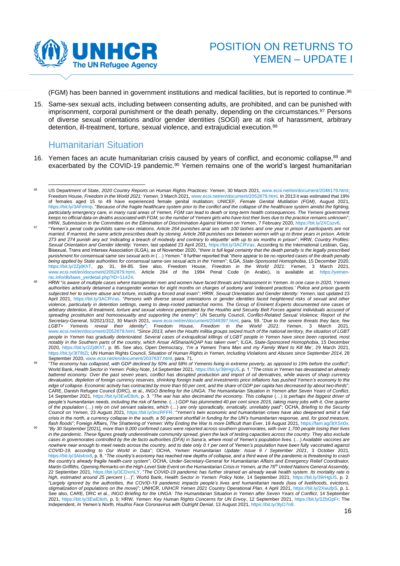

(FGM) has been banned in government institutions and medical facilities, but is reported to continue. 86

15. Same-sex sexual acts, including between consenting adults, are prohibited, and can be punished with imprisonment, corporal punishment or the death penalty, depending on the circumstances. <sup>87</sup> Persons of diverse sexual orientations and/or gender identities (SOGI) are at risk of harassment, arbitrary detention, ill-treatment, torture, sexual violence, and extrajudicial execution. 88

#### <span id="page-15-0"></span>Humanitarian Situation

16. Yemen faces an acute humanitarian crisis caused by years of conflict, and economic collapse, <sup>89</sup> and exacerbated by the COVID-19 pandemic.<sup>90</sup> Yemen remains one of the world's largest humanitarian

<sup>86</sup> US Department of State, 2020 Country Reports on Human Rights Practices: Yemen, 30 March 2021, [www.ecoi.net/en/document/2048179.html;](http://www.ecoi.net/en/document/2048179.html) Freedom House, *Freedom in the World 2021: Yemen*, 3 March 2021[, www.ecoi.net/en/document/2052879.html.](http://www.ecoi.net/en/document/2052879.html) In 2013 it was estimated that 19% of females aged 15 to 49 have experienced female genital mutilation; UNICEF, *Female Genital Mutilation (FGM)*, August 2021, [https://bit.ly/3AFeImp.](https://bit.ly/3AFeImp) "*Because of the fragile healthcare system prior to the conflict and the collapse of the healthcare system amidst the fighting, particularly emergency care, in many rural areas of Yemen, FGM can lead to death or long-term health consequences. The Yemeni government keeps no official data on deaths associated with FGM, so the number of Yemeni girls who have lost their lives due to the practice remains unknown*"; HRW, *Submission to the Committee on the Elimination of Discrimination Against Women on Yemen*, 7 February 2020[, https://bit.ly/2XCszv6.](https://bit.ly/2XCszv6)

<sup>87</sup> "*Yemen's penal code prohibits same-sex relations. Article 264 punishes anal sex with 100 lashes and one year in prison if participants are not*  married. If married, the same article prescribes death by stoning. Article 268 punishes sex between women with up to three years in prison. Article *273 and 274 punish any act 'indicating a breach of modesty and contrary to etiquette' with up to six months in prison*"; HRW, *Country Profiles: Sexual Orientation and Gender Identity: Yemen*, last updated 23 April 2021[, https://bit.ly/3ACRVas.](https://bit.ly/3ACRVas) According to the International Lesbian, Gay, Bisexual, Trans and Intersex Association (ILGA), as of November 2020, "*there is full legal certainty that the death penalty is the legally prescribed punishment for consensual same sex sexual acts in* (…) *Yemen.*" It further reported that "*there appear to be no reported cases of the death penalty being applied by State authorities for consensual same-sex sexual acts in the Yemen*"; ILGA, *State-Sponsored Homophobia*, 15 December 2020, [https://bit.ly/2ZjdKhT,](https://bit.ly/2ZjdKhT) pp. 31, 84-85. See also, Freedom House, *Freedom in the World 2021: Yemen*, 3 March 2021, [www.ecoi.net/en/document/2052879.html.](http://www.ecoi.net/en/document/2052879.html) Article 264 of the 1994 Penal Code (in Arabic), is available at: [https://yemen](https://yemen-nic.info/db/laws_ye/detail.php?ID=11424)[nic.info/db/laws\\_ye/detail.php?ID=11424.](https://yemen-nic.info/db/laws_ye/detail.php?ID=11424) 

<sup>88</sup> HRW "*is aware of multiple cases where transgender men and women have faced threats and harassment in Yemen. In one case in 2020, Yemeni authorities arbitrarily detained a transgender woman for eight months on charges of sodomy and 'indecent practices.' Police and prison guards subjected her to severe abuse and torture, including a forced anal exam*"; HRW, *Sexual Orientation and Gender Identity: Yemen*, last updated 23 April 2021, [https://bit.ly/3ACRVas.](https://bit.ly/3ACRVas) "*Persons with diverse sexual orientations or gender identities faced heightened risks of sexual and other violence, particularly in detention settings, owing to deep-rooted patriarchal norms. The Group of Eminent Experts documented nine cases of*  arbitrary detention, ill-treatment, torture and sexual violence perpetrated by the Houthis and Security Belt Forces against individuals accused of *spreading prostitution and homosexuality and supporting the enemy*"; UN Security Council, *Conflict-Related Sexual Violence; Report of the Secretary-General*, S/2021/312, 30 March 2021, [www.ecoi.net/en/document/2049397.html,](http://www.ecoi.net/en/document/2049397.html) para. 59. "*Due to the severe threats they face, few LGBT+ Yemenis reveal their identity*"; Freedom House, *Freedom in the World 2021: Yemen*, 3 March 2021, [www.ecoi.net/en/document/2052879.html.](http://www.ecoi.net/en/document/2052879.html) "*Since 2013, when the Houthi militia groups seized much of the national territory, the situation of LGBT people in Yemen has gradually deteriorated. Several cases of extrajudicial killings of LGBT people in Yemen have since been reported, most notably in the Southern parts of the country, which Ansar AlSharia/AQAP has taken over*"; ILGA, *State-Sponsored Homophobia*, 15 December 2020, [https://bit.ly/2ZjdKhT,](https://bit.ly/2ZjdKhT) p. 85. See also, Open Democracy, *'I'm a Yemeni Trans Man and my Family Want to Kill Me'*, 29 March 2021, [https://bit.ly/3tT8tZi;](https://bit.ly/3tT8tZi) UN Human Rights Council, *Situation of Human Rights in Yemen, Including Violations and Abuses since September 2014*, 28 September 2020[, www.ecoi.net/en/document/2037637.html,](https://www.ecoi.net/en/document/2037637.html) para. 71.

<sup>89</sup> "*The economy has collapsed, with GDP declined by 50% and 58% of Yemenis living in extreme poverty, as opposed to 19% before the conflict*"; World Bank, *Health Sector in Yemen: Policy Note*, 14 September 2021[, https://bit.ly/39rHgU5,](https://bit.ly/39rHgU5) p. 1. "*The crisis in Yemen has devastated an already battered economy. Over the past seven years, conflict has disrupted production and import of oil derivatives, while waves of sharp currency devaluation, depletion of foreign currency reserves, shrinking foreign trade and investments price inflations has pushed Yemen's economy to the edge of collapse. Economic activity has contracted by more than 50 per cent, and the share of GDP per capita has decreased by about two-thirds*"; CARE, Danish Refugee Council (DRC), et al., *INGO Briefing for the UNGA: The Humanitarian Situation in Yemen after Seven Years of Conflict*, 14 September 2021[, https://bit.ly/3EwE8oh,](https://bit.ly/3EwE8oh) p. 3. "*The war has also decimated the economy. This collapse* (…) *is perhaps the biggest driver of people's humanitarian needs, including the risk of famine.* (…) *GDP has plummeted 40 per cent since 2015, taking many jobs with it. One quarter of the population* (…) *rely on civil servant salaries, which* (…) *are only sporadically, erratically, unreliably paid*"; OCHA, *Briefing to the Security Council on Yemen*, 23 August 2021, [https://bit.ly/3nzRFFR.](https://bit.ly/3nzRFFR) "*Yemen's twin economic and humanitarian crises have also deepened amid a fuel crisis in the north, a currency collapse in the south, a 50 percent shortfall in funding for the UN's humanitarian response, and, for good measure, flash floods*"; Foreign Affairs, *The Shattering of Yemen: Why Ending the War Is more Difficult than Ever*, 19 August 2021[, https://fam.ag/3tXSn0x.](https://fam.ag/3tXSn0x)

<sup>90</sup> "*By 30 September* [2021]*, more than 9,000 confirmed cases were reported across southern governorates, with over 1,700 people losing their lives*  in the pandemic. These figures greatly underestimate community spread, given the lack of testing capacities across the country. They also exclude *cases in governorates controlled by the de facto authorities (DFA) in Sana'a, where most of Yemen's population lives.* (…) *Available vaccines are nowhere near enough to meet needs across the country, and to date only 0.1 per cent of Yemen's population have been fully vaccinated against COVID-19, according to Our World in Data*"; OCHA, *Yemen Humanitarian Update: Issue 9 / September 2021*, 3 October 2021, [https://bit.ly/3Ab4nx8,](https://bit.ly/3Ab4nx8) p. 8. "*The country's economy has reached new depths of collapse, and a third wave of the pandemic is threatening to crash*  the country's already fragile health-care system"; OCHA, Under-Secretary-General for Humanitarian Affairs and Emergency Relief Coordinator,<br>Martin Griffiths, Opening Remarks on the High-Level Side Event on the Humanitarian 22 September 2021[, https://bit.ly/3CDxmLY.](https://bit.ly/3CDxmLY) "*The COVID-19 pandemic has further strained an already weak health system. Its mortality rate is high, estimated around 25 percent* (…)"; World Bank, *Health Sector in Yemen: Policy Note*, 14 September 2021, [https://bit.ly/39rHgU5,](https://bit.ly/39rHgU5) p. 2. "*Largely ignored by the authorities, the COVID-19 pandemic impacts people's lives and humanitarian needs (loss of livelihoods, evictions, stigmatization of populations on the move)*"; UNHCR, *UNHCR Yemen 2021 Country Operational Plan*, 4 April 2021, [https://bit.ly/2XwufpS,](https://bit.ly/2XwufpS) p. 1. See also, CARE, DRC et al., *INGO Briefing for the UNGA: The Humanitarian Situation in Yemen after Seven Years of Conflict*, 14 September 2021, [https://bit.ly/3EwE8oh,](https://bit.ly/3EwE8oh) p. 5; HRW, *Yemen: Key Human Rights Concerns for UN Envoy*, 12 September 2021, [https://bit.ly/2ZbGpFr;](https://bit.ly/2ZbGpFr) The Independent, *In Yemen's North, Houthis Face Coronavirus with Outright Denial*, 13 August 2021[, https://bit.ly/3lyD7n8.](https://bit.ly/3lyD7n8)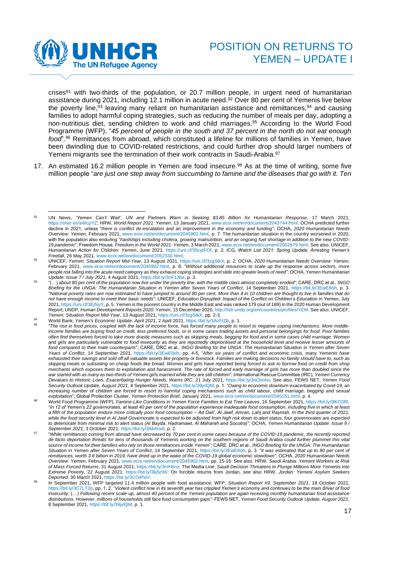

crises<sup>91</sup> with two-thirds of the population, or 20.7 million people, in urgent need of humanitarian assistance during 2021, including 12.1 million in acute need.<sup>92</sup> Over 80 per cent of Yemenis live below the poverty line,<sup>93</sup> leaving many reliant on humanitarian assistance and remittances,<sup>94</sup> and causing families to adopt harmful coping strategies, such as reducing the number of meals per day, adopting a non-nutritious diet, sending children to work and child marriages. <sup>95</sup> According to the World Food Programme (WFP), "*45 percent of people in the south and 37 percent in the north do not eat enough food*".<sup>96</sup> Remittances from abroad, which constituted a lifeline for millions of families in Yemen, have been dwindling due to COVID-related restrictions, and could further drop should larger numbers of Yemeni migrants see the termination of their work contracts in Saudi-Arabia.<sup>97</sup>

17. An estimated 16.2 million people in Yemen are food insecure.<sup>98</sup> As at the time of writing, some five million people "*are just one step away from succumbing to famine and the diseases that go with it. Ten* 

<sup>91</sup> UN News, *'Yemen Can't Wait', UN and Partners Warn in Seeking \$3.85 Billion for Humanitarian Response*, 17 March 2021, [https://shar.es/aWcpYZ;](https://shar.es/aWcpYZ) HRW, *World Report 2021: Yemen*, 13 January 2021[, www.ecoi.net/en/document/2043744.html.](http://www.ecoi.net/en/document/2043744.html) OCHA predicted further decline in 2021, unless "*there is conflict de-escalation and an improvement in the economy and funding*"; OCHA, *2020 Humanitarian Needs Overview: Yemen*, February 2021, [www.ecoi.net/en/document/2045902.html,](http://www.ecoi.net/en/document/2045902.html) p. 7. The humanitarian situation in the country worsened in 2020, with the population also enduring "*hardships including cholera, growing malnutrition, and an ongoing fuel shortage in addition to the new COVID-19 pandemic*"; Freedom House, *Freedom in the World 2021: Yemen*, 3 March 2021[, www.ecoi.net/en/document/2052879.html.](http://www.ecoi.net/en/document/2052879.html) See also, UNICEF, *Humanitarian Action for Children: Yemen*, June 2021, [https://uni.cf/39cytFOf,](https://uni.cf/39cytFOf) p. 2; ICG, *Watch List 2021: Spring Update; Arresting Yemen's Freefall*, 26 May 2021[, www.ecoi.net/en/document/2052330.html.](http://www.ecoi.net/en/document/2052330.html)

<sup>92</sup> UNICEF, *Yemen: Situation Report Mid-Year*, 13 August 2021, [https://uni.cf/3zgStkX,](https://reliefweb.int/report/yemen/unicef-yemen-humanitarian-situation-report-1-january-30-june-2021) p. 2; OCHA, *2020 Humanitarian Needs Overview: Yemen*, February 2021, [www.ecoi.net/en/document/2045902.html,](http://www.ecoi.net/en/document/2045902.html) p. 6. "*Without additional resources to scale up the response across sectors, more people risk falling into the acute need category as they exhaust coping strategies and slide into greater levels of need*"; OCHA, *Yemen Humanitarian Update: Issue 7 / July 2021*, 4 August 2021, [https://bit.ly/3nF13be,](https://bit.ly/3nF13be) p. 3.

<sup>93</sup> "(…) *about 80 per cent of the population now live under the poverty line, with the middle class almost completely eroded*"; CARE, DRC et al*., INGO Briefing for the UNGA: The Humanitarian Situation in Yemen after Seven Years of Conflict*, 14 September 2021, [https://bit.ly/3EwE8oh,](https://bit.ly/3EwE8oh) p. 3. "*National poverty rates are now estimated to have jumped to around 80 per cent. More than 8 in 10 children are thought to live in families that do not have enough income to meet their basic needs*"; UNICEF, *Education Disrupted: Impact of the Conflict on Children's Education in Yemen*, July 2021[, https://uni.cf/3Ej5iyY,](https://uni.cf/3Ej5iyY) p. 5. Yemen is the poorest country in the Middle East and was ranked 179 (out of 189) in the 2020 Human Development Report; UNDP, *Human Development Reports 2020: Yemen*, 15 December 2020[, http://hdr.undp.org/en/countries/profiles/YEM.](http://hdr.undp.org/en/countries/profiles/YEM) See also, UNICEF, *Yemen: Situation Report Mid-Year*, 13 August 2021[, https://uni.cf/3zgStkX,](https://uni.cf/3zgStkX) pp. 2-3.

<sup>94</sup> World Bank, *Yemen's Economic Update: April 2021*, 2 April 2021, [https://bit.ly/3AzFtZb,](https://bit.ly/3AzFtZb) p. 1.

<sup>95</sup> "*The rise in food prices, coupled with the lack of income force, has forced many people to resort to negative coping mechanisms. More middleincome families are buying food on credit, less preferred foods, or in some cases trading assets and personal belongings for food. Poor families often find themselves forced to take more drastic measures such as skipping meals, begging for food and in some cases child marriage. Women and girls are particularly vulnerable to food insecurity as they are reportedly deprioritised at the household level and receive lesser amounts of food compared to their male counterparts*"; CARE, DRC et al*., INGO Briefing for the UNGA: The Humanitarian Situation in Yemen after Seven Years of Conflict*, 14 September 2021, [https://bit.ly/3EwE8oh,](https://bit.ly/3EwE8oh) pp. 4-5. "*After six years of conflict and economic crisis, many Yemenis have exhausted their savings and sold off all valuable assets like property or livestock. Families are making decisions no family should have to, such as skipping meals or subsisting on cheap foods like bread. Women and girls have reported being forced to ask to borrow food on credit from shop merchants which exposes them to exploitation and harassment. The rate of forced and early marriage of girls has more than doubled since the war started with as many as two-thirds of Yemeni girls married while they are still children*"; International Rescue Committee (IRC), *Yemen Currency Devalues to Historic Lows, Exacerbating Hunger Needs, Warns IRC*, 21 July 2021, [https://bit.ly/3nOeoho.](https://bit.ly/3nOeoho) See also, FEWS NET, *Yemen Food Security Outlook Update, August 2021*, 8 September 2021[, https://bit.ly/39jxlQM,](https://bit.ly/39jxlQM) p. 1. "*Owing to economic downturn exacerbated by Covid-19, an increasing number of children are forced to resort to harmful coping mechanisms such as child labour, child marriage, begging and sexual exploitation*"; Global Protection Cluster, *Yemen Protection Brief*, January 2021[, www.ecoi.net/en/document/2045161.html,](http://www.ecoi.net/en/document/2045161.html) p. 4.

<sup>96</sup> World Food Programme (WFP), *Famine-Like Conditions in Yemen Force Families to Eat Tree Leaves*, 16 September 2021[, https://bit.ly/3lKC0Rl.](https://bit.ly/3lKC0Rl) "*In 12 of Yemen's 22 governorates, at least 40 per cent of the population experience inadequate food consumption, including five in which at least a fifth of the population endure more critically poor food consumption – Ad Dali', Al Jawf, Amran, Lahj and Raymah. In the third quarter of 2021, while the food security level in Al Jawf Governorate is expected to be adjusted from high risk down to alert status, four governorates are expected to deteriorate from minimal risk to alert status (Al Bayda, Hadramawt, Al Maharah and Socotra)";* OCHA, *Yemen Humanitarian Update: Issue 9 / September 2021*, 3 October 2021, [https://bit.ly/3Ab4nx8,](https://bit.ly/3Ab4nx8) p. 2.

<sup>97</sup> "*While remittances coming from abroad have decreased by 70 per cent in some cases because of the COVID-19 pandemic, the recently reported de facto deportation threats for tens of thousands of Yemenis working on the southern regions of Saudi Arabia could further plummet this vital source of income for their families who rely on those remittances inside Yemen*"; CARE, DRC et al., *INGO Briefing for the UNGA: The Humanitarian Situation in Yemen after Seven Years of Conflict*, 14 September 2021, [https://bit.ly/3EwE8oh,](https://bit.ly/3EwE8oh) p. 3. "*It was estimated that up to 80 per cent of remittances, worth 3.8 billion in 2019, have dried up in the wake of the COVID-19 global economic slowdown*"; OCHA, *2020 Humanitarian Needs Overview: Yemen*, February 2021[, www.ecoi.net/en/document/2045902.html,](http://www.ecoi.net/en/document/2045902.html) pp. 15-16. See also, HRW, *Saudi Arabia: Yemeni Workers at Risk of Mass Forced Returns*, 31 August 2021[, https://bit.ly/3nIHbnz;](https://bit.ly/3nIHbnz) The Media Line, *Saudi Decision Threatens to Plunge Millions More Yemenis into Extreme Poverty*, 22 August 2021, [https://bit.ly/3kj5ciW.](https://bit.ly/3kj5ciW) On forcible returns from Jordan, see also HRW, *Jordan: Yemeni Asylum Seekers Deported*, 30 March 2021[, https://bit.ly/3COiPwV.](https://bit.ly/3COiPwV)

<sup>98</sup> In September 2021, WFP targeted 11.4 million people with food assistance; WFP, *Situation Report #9, September 2021*, 18 October 2021, [https://bit.ly/3C7LT2p,](https://bit.ly/3C7LT2p) pp. 1, 2. "*Violent conflict now in its seventh year has crippled Yemen's economy and continues to be the main driver of food insecurity.* (…) *Following recent scale-up, almost 40 percent of the Yemeni population are again receiving monthly humanitarian food assistance distributions. However, millions of households still face food consumption gaps*"; FEWS NET, *Yemen Food Security Outlook Update, August 2021*, 8 September 2021[, https://bit.ly/39jxlQM,](https://bit.ly/39jxlQM) p. 1.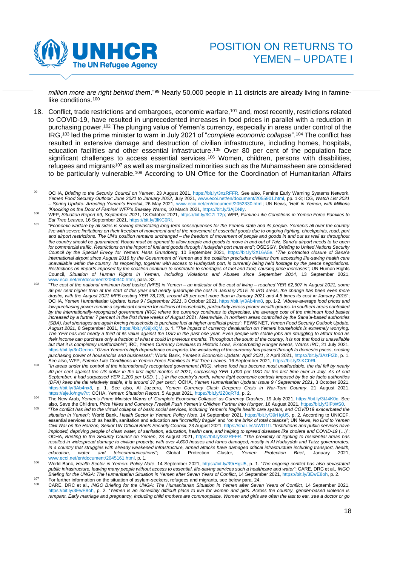

million more are right behind them."<sup>99</sup> Nearly 50,000 people in 11 districts are already living in faminelike conditions.<sup>100</sup>

18. Conflict, trade restrictions and embargoes, economic warfare,<sup>101</sup> and, most recently, restrictions related to COVID-19, have resulted in unprecedented increases in food prices in parallel with a reduction in purchasing power.<sup>102</sup> The plunging value of Yemen's currency, especially in areas under control of the IRG, <sup>103</sup> led the prime minister to warn in July 2021 of "*complete economic collapse*".<sup>104</sup> The conflict has resulted in extensive damage and destruction of civilian infrastructure, including homes, hospitals, education facilities and other essential infrastructure.<sup>105</sup> Over 80 per cent of the population face significant challenges to access essential services.<sup>106</sup> Women, children, persons with disabilities, refugees and migrants<sup>107</sup> as well as marginalized minorities such as the Muhamasheen are considered to be particularly vulnerable.<sup>108</sup> According to UN Office for the Coordination of Humanitarian Affairs

<sup>99</sup> OCHA, *Briefing to the Security Council on Yemen*, 23 August 2021, [https://bit.ly/3nzRFFR.](https://bit.ly/3nzRFFR) See also, Famine Early Warning Systems Network, *Yemen Food Security Outlook: June 2021 to January 2022*, July 2021[, www.ecoi.net/en/document/2055901.html,](http://www.ecoi.net/en/document/2055901.html) pp. 1-3; ICG, *Watch List 2021 – Spring Update: Arresting Yemen's Freefall*, 26 May 2021, [www.ecoi.net/en/document/2052330.html;](http://www.ecoi.net/en/document/2052330.html) UN News, *'Hell' in Yemen, with Millions 'Knocking on the Door of Famine' WFP's Beasley Warns*, 10 March 2021[, https://bit.ly/3AjDNly.](https://bit.ly/3AjDNly)

<sup>100</sup> WFP, *Situation Report #9, September 2021*, 18 October 2021[, https://bit.ly/3C7LT2p;](https://bit.ly/3C7LT2p) WFP, *Famine-Like Conditions in Yemen Force Families to Eat Tree Leaves*, 16 September 2021[, https://bit.ly/3lKC0Rl.](https://bit.ly/3lKC0Rl) 

 $101$ "*Economic warfare by all sides is sowing devastating long-term consequences for the Yemeni state and its people. Yemenis all over the country live with severe limitations on their freedom of movement and of the movement of essential goods due to ongoing fighting, checkpoints, road, port and airport restrictions. The UN's position remains unchanged – the freedom of movement of people and goods in and out as well as throughout the country should be guaranteed. Roads must be opened to allow people and goods to move in and out of Taiz. Sana'a airport needs to be open for commercial traffic. Restrictions on the import of fuel and goods through Hudaydah port must end*"; OSESGY, *Briefing to United Nations Security Council by the Special Envoy for Yemen: Hans Grundberg*, 10 September 2021, [https://bit.ly/2XL6A5e.](https://bit.ly/2XL6A5e) "*The protracted closure of Sana'a international airport since August 2016 by the Government of Yemen and the coalition precludes civilians from accessing life-saving health care unavailable within the country. Its reopening, together with access to Hudaydah port, is currently being held hostage by the peace negotiations. Restrictions on imports imposed by the coalition continue to contribute to shortages of fuel and food, causing price increases*"; UN Human Rights Council, *Situation of Human Rights in Yemen, Including Violations and Abuses since September 2014*, 13 September 2021, [www.ecoi.net/en/document/2060340.html,](http://www.ecoi.net/en/document/2060340.html) para. 33.

<sup>102</sup> "*The cost of the national minimum food basket (MFB) in Yemen – an indicator of the cost of living – reached YER 62,607 in August 2021, some 36 per cent higher than at the start of this year and nearly quadruple the cost in January 2015. In IRG areas, the change has been even more drastic, with the August 2021 MFB costing YER 78,136, around 45 per cent more than in January 2021 and 4.5 times its cost in January 2015*"; OCHA, *Yemen Humanitarian Update: Issue 9 / September 2021*, 3 October 2021[, https://bit.ly/3Ab4nx8,](https://bit.ly/3Ab4nx8) pp. 1-2. "*Above-average food prices and low purchasing power remain a significant concern for millions of households, particularly across poorer wealth groups. In southern areas controlled by the internationally-recognized government (IRG) where the currency continues to depreciate, the average cost of the minimum food basket increased by a further 7 percent in the first three weeks of August 2021. Meanwhile, in northern areas controlled by the Sana'a-based authorities (SBA), fuel shortages are again forcing households to purchase fuel at higher unofficial prices*"; FEWS NET, *Yemen Food Security Outlook Update, August 2021*, 8 September 2021[, https://bit.ly/39jxlQM,](https://bit.ly/39jxlQM) p. 1. "*The impact of currency devaluation on Yemeni households is extremely worrying. The YER has lost nearly a third of its value against the USD in the past one year. Even people with stable jobs are struggling to afford food as their income can purchase only a fraction of what it could in previous months. Throughout the south of the country, it is not that food is unavailable but that it is completely unaffordable*"; IRC, *Yemen Currency Devalues to Historic Lows, Exacerbating Hunger Needs, Warns IRC*, 21 July 2021, [https://bit.ly/3nOeoho.](https://bit.ly/3nOeoho) "*Given Yemen's high dependence on imports, the weakening of the currency has passed through to domestic prices, eroding purchasing power of households and businesses*"; World Bank, *Yemen's Economic Update: April 2021*, 2 April 2021[, https://bit.ly/3AzFtZb,](https://bit.ly/3AzFtZb) p. 1. See also, WFP, *Famine-Like Conditions in Yemen Force Families to Eat Tree Leaves*, 16 September 2021, [https://bit.ly/3lKC0Rl.](https://bit.ly/3lKC0Rl)

<sup>103</sup> "*In areas under the control of the internationally recognized government (IRG), where food has become most unaffordable, the rial fell by nearly 40 per cent against the US dollar in the first eight months of 2021, surpassing YER 1,000 per USD for the first time ever in July. As of end September, it had surpassed YER 1,200 per USD.* (…) *In the country's north, where tight economic controls imposed by the de facto authorities (DFA) keep the rial relatively stable, it is around 37 per cent*"; OCHA, *Yemen Humanitarian Update: Issue 9 / September 2021*, 3 October 2021, [https://bit.ly/3Ab4nx8,](https://bit.ly/3Ab4nx8) p. 1. See also, Al Jazeera, *Yemen Currency Clash Deepens Crisis in War-Torn Country*, 21 August 2021,

[https://aje.io/ngw7tr;](https://aje.io/ngw7tr) OCHA, *Yemen: Situation Report*, 5 August 2021, [https://bit.ly/2Z0qR7d,](https://reliefweb.int/report/yemen/yemen-situation-report-5-aug-2021) p. 2.<br><sup>104</sup> The New Arab, *Yemen's Prime Minister Warns of 'Complete Economic Collapse' as Currency Crashes, 19 July 202* also, Save the Children, *Price Hikes and Currency Freefall Push Yemen's Children Further into Hunger*, 16 August 2021[, https://bit.ly/3lFtWS0.](https://bit.ly/3lFtWS0) 

<sup>105</sup> "*The conflict has led to the virtual collapse of basic social services, including Yemen's fragile health care system, and COVID19 exacerbated the situation in Yemen*"; World Bank, *Health Sector in Yemen: Policy Note*, 14 September 2021, [https://bit.ly/39rHgU5,](https://bit.ly/39rHgU5) p. 2. According to UNICEF, essential services such as health, sanitation and education are "*incredibly fragile*" and "*on the brink of total collapse*"; UN News, *No End to Yemen Civil War on the Horizon, Senior UN Official Briefs Security Council*, 23 August 2021, [https://shar.es/aWG1fI.](https://shar.es/aWG1fI) "*Institutions and public services have imploded, depriving people of clean water, of sanitation, education, health care, and helping to spread diseases like cholera and COVID-19* (…)"; OCHA, *Briefing to the Security Council on Yemen*, 23 August 2021, [https://bit.ly/3nzRFFR.](https://bit.ly/3nzRFFR) "*The proximity of fighting to residential areas has resulted in widespread damage to civilian property, with over 4,600 houses and farms damaged, mostly in Al Hudaydah and Taizz governorates. In a country that struggles with already weakened infrastructure, armed attacks have damaged critical infrastructure including transport, health, education, water and telecommunications*"; Global Protection Cluster, *Yemen Protection Brief*, January 2021, [www.ecoi.net/en/document/2045161.html,](http://www.ecoi.net/en/document/2045161.html) p. 1.

<sup>106</sup> World Bank, *Health Sector in Yemen: Policy Note*, 14 September 2021, [https://bit.ly/39rHgU5,](https://bit.ly/39rHgU5) p. 1. "*The ongoing conflict has also devastated public infrastructure, leaving many people without access to essential, life-saving services such a healthcare and water*"; CARE, DRC et al., *INGO Briefing for the UNGA: The Humanitarian Situation in Yemen after Seven Years of Conflict*, 14 September 2021[, https://bit.ly/3EwE8oh,](https://bit.ly/3EwE8oh) p. 2.

<sup>107</sup> For further information on the situation of asylum-seekers, refugees and migrants, see below para. 24.<br>CARE DRE SHOW PART IN CARE TO A SUMPLE THE LIMIT OF A SUMPLE OF A SUMPLE OF A SUMPLE OF A SUMPLE OF A SUMPLE O <sup>108</sup> CARE, DRC et al., *INGO Briefing for the UNGA: The Humanitarian Situation in Yemen after Seven Years of Conflict*, 14 September 2021, [https://bit.ly/3EwE8oh,](https://bit.ly/3EwE8oh) p. 2. "*Yemen is an incredibly difficult place to live for women and girls. Across the country, gender-based violence is rampant. Early marriage and pregnancy, including child mothers are commonplace. Women and girls are often the last to eat, see a doctor or go*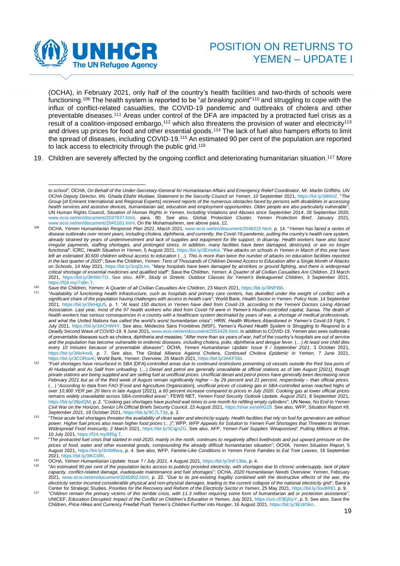

(OCHA), in February 2021, only half of the country's health facilities and two-thirds of schools were functioning.<sup>109</sup> The health system is reported to be "*at breaking point*" <sup>110</sup> and struggling to cope with the influx of conflict-related casualties, the COVID-19 pandemic and outbreaks of cholera and other preventable diseases.<sup>111</sup> Areas under control of the DFA are impacted by a protracted fuel crisis as a result of a coalition-imposed embargo, $^{\text{112}}$  which also threatens the provision of water and electricity $^{\text{113}}$ and drives up prices for food and other essential goods. <sup>114</sup> The lack of fuel also hampers efforts to limit the spread of diseases, including COVID-19.<sup>115</sup> An estimated 90 per cent of the population are reported to lack access to electricity through the public grid.<sup>116</sup>

19. Children are severely affected by the ongoing conflict and deteriorating humanitarian situation.<sup>117</sup> More

"*Children remain the primary victims of this terrible crisis, with 11.3 million requiring some form of humanitarian aid or protection assista*nce"; UNICEF, *Education Disrupted: Impact of the Conflict on Children's Education in Yemen*, July 2021, [https://uni.cf/3Ej5iyY,](https://uni.cf/3Ej5iyY) p. 5. See also, Save the Children, *Price Hikes and Currency Freefall Push Yemen's Children Further into Hunger*, 16 August 2021[, https://bit.ly/3EzK5kn.](https://bit.ly/3EzK5kn) 

*to school*"; OCHA, *On Behalf of the Under-Secretary-General for Humanitarian Affairs and Emergency Relief Coordinator, Mr. Martin Griffiths, UN OCHA Deputy Director, Ms. Ghada Eltahir Mudawi, Statement to the Security Council on Yemen*, 10 September 2021[, https://bit.ly/39i6rIZ.](https://bit.ly/39i6rIZ) "*The Group* [of Eminent International and Regional Experts] *received reports of the numerous obstacles faced by persons with disabilities in accessing health services and assistive devices, humanitarian aid, education and employment opportunities. Older people are also particularly vulnerable*"; UN Human Rights Council, *Situation of Human Rights in Yemen, Including Violations and Abuses since September 2014*, 28 September 2020, [www.ecoi.net/en/document/2037637.html,](https://www.ecoi.net/en/document/2037637.html) para. 80. See also, Global Protection Cluster, *Yemen Protection Brief*, January 2021, [www.ecoi.net/en/document/2045161.html.](http://www.ecoi.net/en/document/2045161.html) On the Muhamasheen, see above para. 12.

<sup>109</sup> OCHA, *Yemen Humanitarian Response Plan 2021*, March 2021[, www.ecoi.net/en/document/2048315.html,](http://www.ecoi.net/en/document/2048315.html) p. 14. "*Yemen has faced a series of disease outbreaks over recent years, including cholera, diphtheria, and currently, the Covid-19 pandemic, putting the country's health care system, already strained by years of underinvestment and lack of supplies and equipment for life support, in disarray. Health workers have also faced irregular payments, staffing shortages, and prolonged stress. In addition, many facilities have been damaged, destroyed, or are no longer functional*"; ICRC, *Health Situation in Yemen*, 5 August 2021[, https://bit.ly/3EriwKd.](https://bit.ly/3EriwKd) "*Five attacks on schools in Yemen in March of this year have left an estimated 30,600 children without access to education* (…). *This is more than twice the number of attacks on education facilities reported in the last quarter of 2020*"; Save the Children, *Yemen: Tens of Thousands of Children Denied Access to Education after a Single Month of Attacks on Schools*, 14 May 2021, [https://bit.ly/3zqDLIm.](https://bit.ly/3zqDLIm) "*Many hospitals have been damaged by airstrikes or ground fighting, and there is widespread critical shortage of essential medicines and qualified staff*"; Save the Children, *Yemen: A Quarter of all Civilian Casualties Are Children*, 23 March 2021, [https://bit.ly/3lHWcTO.](https://bit.ly/3lHWcTO) See also, AFP, *Study in Streets: Outdoor Classes for Yemen's Beleaguered Children*, 3 September 2021, [https://f24.my/7xBn.T.](https://f24.my/7xBn.T)

<sup>110</sup> Save the Children, *Yemen: A Quarter of all Civilian Casualties Are Children*, 23 March 2021[, https://bit.ly/3lNPI6b.](https://bit.ly/3lNPI6b) 111 "*Availability of functioning health infrastructure, such as hospitals and primary care centers, has dwindled under the weight of conflict, with a significant share of the population having challenges with access to health care*"; World Bank, *Health Sector in Yemen: Policy Note*, 14 September 2021, [https://bit.ly/39rHgU5,](https://bit.ly/39rHgU5) p. 1. "*At least 150 doctors in Yemen have died from Covid-19, according to the Yemeni Doctors Living Abroad Association. Last year, most of the 97 health workers who died from Covid-19 were in Yemen's Houthi-controlled capital, Sanaa. The death of health workers has serious consequences in a country with a healthcare system decimated by years of war, a shortage of medical professionals, and what the United Nations has called the world's worst humanitarian crisis*"; HRW, *Health Workers Abandoned in Yemen's Covid-19 Fight*, 7 July 2021, [https://bit.ly/3ACHW4Y.](https://bit.ly/3ACHW4Y) See also, Médecins Sans Frontières (MSF), *Yemen's Ruined Health System is Struggling to Respond to a Deadly Second Wave of COVID-19*, 9 June 2021[, www.ecoi.net/en/document/2053426.html.](http://www.ecoi.net/en/document/2053426.html) In addition to COVID-19, Yemen also sees outbreaks of preventable diseases such as cholera, diphtheria and measles: "*After more than six years of war, half of the country's hospitals are out of service and the population has become vulnerable to endemic diseases, including cholera, polio, diphtheria and dengue fever.* (…) *At least one child dies every 10 minutes because of preventable diseases*"; OCHA, *Yemen Humanitarian Update: Issue 9 / September 2021*, 3 October 2021, [https://bit.ly/3Ab4nx8,](https://bit.ly/3Ab4nx8) p. 7. See also, The Global Alliance Against Cholera, *Continued Cholera Epidemic in Yemen*, 7 June 2021, [https://bit.ly/3CORavK;](https://bit.ly/3CORavK) World Bank, *Yemen: Overview*, 25 March 2021[, https://bit.ly/3AKFSbt.](https://bit.ly/3AKFSbt)

<sup>112</sup> "*Fuel shortages have resurfaced in SBA* [DFA]*-controlled areas due to continued restrictions preventing oil vessels outside the Red Sea ports of Al Hudaydah and As Salif from unloading.* (…) *Diesel and petrol are generally unavailable at official stations as of late August [2021], though private stations are being supplied and are selling fuel at unofficial prices. Unofficial diesel and petrol prices have generally been decreasing since February 2021 but as of the third week of August remain significantly higher – by 29 percent and 21 percent, respectively – than official prices.*  (…) "*According to data from FAO* [Food and Agriculture Organization]*, unofficial prices of cooking gas in SBA-controlled areas reached highs of over 10,900 YER per 20 liters in late August* [2021]*, a 60 percent increase compared to prices in July 2020. Cooking gas at lower official prices remains widely unavailable across SBA-controlled areas*"; FEWS NET, *Yemen Food Security Outlook Update, August 2021*, 8 September 2021, [https://bit.ly/39jxlQM,](https://bit.ly/39jxlQM) p. 2. "*Cooking gas shortages have pushed wait times to one month for refilling empty cylinders*"; UN News, *No End to Yemen Civil War on the Horizon, Senior UN Official Briefs Security Council*, 23 August 2021, [https://shar.es/aWG1fI.](https://shar.es/aWG1fI) See also, WFP, *Situation Report #9, September 2021*, 18 October 2021[, https://bit.ly/3C7LT2p,](https://bit.ly/3C7LT2p) p. 2.

<sup>113</sup> "*These acute fuel shortages threaten the availability of clean water and electricity supply. Health facilities that rely on fuel for generators are without power. Higher fuel prices also mean higher food prices* (…)"; WFP, *WFP Appeals for Solution to Yemen Fuel Shortages that Threaten to Worsen Widespread Food Insecurity*, 2 March 2021, [https://bit.ly/3CqjnZG.](https://bit.ly/3CqjnZG) See also, AFP, *Yemen Fuel Supplies 'Weaponised', Putting Millions at Risk*, 10 July 2021[, https://f24.my/6fSg.T.](https://f24.my/6fSg.T)

<sup>114</sup> "*The protracted fuel crisis that started in mid-2020, mainly in the north, continues to negatively affect livelihoods and put upward pressure on the prices of food, water and other essential goods, compounding the already difficult humanitarian situation*"; OCHA, *Yemen Situation Report*, 5 August 2021, [https://bit.ly/3tXMNva,](https://bit.ly/3tXMNva) p. 4. See also, WFP, *Famine-Like Conditions in Yemen Force Families to Eat Tree Leaves*, 16 September 2021[, https://bit.ly/3lKC0Rl.](https://bit.ly/3lKC0Rl)

<sup>115</sup> OCHA, *Yemen Humanitarian Update: Issue 7 / July 2021*, 4 August 2021[, https://bit.ly/3nF13be,](https://bit.ly/3nF13be) p. 4.

<sup>116</sup> "*An estimated 90 per cent of the population lacks access to publicly provided electricity, with shortages due to chronic undersupply, lack of plant capacity, conflict-related damage, inadequate maintenance and fuel shortages*"; OCHA, *2020 Humanitarian Needs Overview: Yemen*, February 2021, [www.ecoi.net/en/document/2045902.html,](http://www.ecoi.net/en/document/2045902.html) p. 22. "*Due to its pre-existing fragility combined with the destructive effects of the war, the electricity sector incurred considerable physical and non-physical damages, leading to the current collapse of the national electricity grid*"; Sana'a Center for Strategic Studies, *Priorities for the Recovery and Reform of the Electricity Sector in Yemen*, 25 May 2021[, https://bit.ly/3ovBREl,](https://bit.ly/3ovBREl) p. 9. 117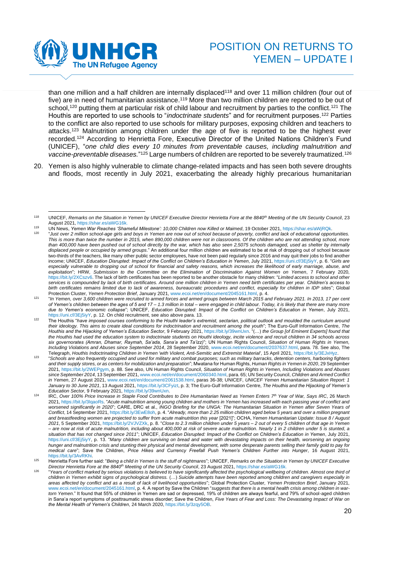

than one million and a half children are internally displaced<sup>118</sup> and over 11 million children (four out of five) are in need of humanitarian assistance.<sup>119</sup> More than two million children are reported to be out of school,<sup>120</sup> putting them at particular risk of child labour and recruitment by parties to the conflict.<sup>121</sup> The Houthis are reported to use schools to "*indoctrinate students*" and for recruitment purposes.<sup>122</sup> Parties to the conflict are also reported to use schools for military purposes, exposing children and teachers to attacks.<sup>123</sup> Malnutrition among children under the age of five is reported to be the highest ever recorded.<sup>124</sup> According to Henrietta Fore, Executive Director of the United Nations Children's Fund (UNICEF), "*one child dies every 10 minutes from preventable causes, including malnutrition and vaccine-preventable diseases.*" <sup>125</sup> Large numbers of children are reported to be severely traumatized.<sup>126</sup>

20. Yemen is also highly vulnerable to climate change-related impacts and has seen both severe droughts and floods, most recently in July 2021, exacerbating the already highly precarious humanitarian

<sup>118</sup> UNICEF, *Remarks on the Situation in Yemen by UNICEF Executive Director Henrietta Fore at the 8840th Meeting of the UN Security Council*, 23 August 2021, https://shar.es/aWG16k.

<sup>119</sup> UN News, *Yemen War Reaches 'Shameful Milestone': 10,000 Children now Killed or Maimed*, 19 October 2021, [https://shar.es/aWjRQk.](https://shar.es/aWjRQk) 120 "*Just over 2 million school-age girls and boys in Yemen are now out of school because of poverty, conflict and lack of educational opportunities. This is more than twice the number in 2015, when 890,000 children were not in classrooms. Of the children who are not attending school, more than 400,000 have been pushed out of school directly by the war, which has also seen 2,5075 schools damaged, used as shelter by internally displaced people or occupied by armed groups*." An additional four million children are estimated to be at risk of dropping out of school because two-thirds of the teachers, like many other public sector employees, have not been paid regularly since 2016 and may quit their jobs to find another income; UNICEF, *Education Disrupted: Impact of the Conflict on Children's Education in Yemen*, July 2021, [https://uni.cf/3Ej5iyY,](https://uni.cf/3Ej5iyY) p. 6. "*Girls are especially vulnerable to dropping out of school for financial and safety reasons, which increases the likelihood of early marriage, abuse, and exploitation*"; HRW, *Submission to the Committee on the Elimination of Discrimination Against Women on Yemen*, 7 February 2020, [https://bit.ly/2XCszv6.](https://bit.ly/2XCszv6) The lack of birth certificates has been reported to be another obstacle for many children: "*Limited access to school and other services is compounded by lack of birth certificates. Around one million children in Yemen need birth certificates per year. Children's access to birth certificates remains limited due to lack of awareness, bureaucratic procedures and conflict, especially for children in IDP sites*"; Global Protection Cluster, *Yemen Protection Brief*, January 2021[, www.ecoi.net/en/document/2045161.html,](http://www.ecoi.net/en/document/2045161.html) p. 4.

<sup>121</sup> "*In Yemen, over 3,600 children were recruited to armed forces and armed groups between March 2015 and February 2021. In 2013, 17 per cent of Yemen's children between the ages of 5 and 17 – 1.3 million in total – were engaged in child labour. Today, it is likely that there are many more due to Yemen's economic collapse*"; UNICEF, *Education Disrupted: Impact of the Conflict on Children's Education in Yemen*, July 2021, [https://uni.cf/3Ej5iyY,](https://uni.cf/3Ej5iyY) p. 12. On child recruitment, see also above para. 13.

<sup>&</sup>lt;sup>122</sup> The Houthis "have imposed courses conforming to the Houthi leader's extremist, sectarian, political outlook and moulded the curriculum around *their ideology. This aims to create ideal conditions for indoctrination and recruitment among the youth*"; The Euro-Gulf Information Centre, *The Houthis and the Hijacking of Yemen's Education Sector*, 9 February 2021, [https://bit.ly/39wnUxn.](https://bit.ly/39wnUxn) "(…) *the Group [of Eminent Experts] found that the Houthis had used the education system to indoctrinate students on Houthi ideology, incite violence and recruit children in 34 schools across six governorates (Amran, Dhamar, Raymah, Sa'ada, Sana'a and Ta'izz)*"; UN Human Rights Council, *Situation of Human Rights in Yemen, Including Violations and Abuses since September 2014*, 28 September 2020, [www.ecoi.net/en/document/2037637.html,](https://www.ecoi.net/en/document/2037637.html) para. 78. See also, The Telegraph, *Houthis Indoctrinating Children in Yemen 'with Violent, Anti-Semitic and Extremist Material'*, 15 April 2021, [https://bit.ly/3EJxHyz.](https://bit.ly/3EJxHyz) 

<sup>123</sup> "*Schools are also frequently occupied and used for military and combat purposes; such as military barracks, detention centers, harboring fighters and their supply stores, or as centers for mobilization and preparation*"; Mwatana for Human Rights, *Human Rights in Yemen in 2020*, 29 September 2021[, https://bit.ly/2WEPgym,](https://bit.ly/2WEPgym) p. 88. See also, UN Human Rights Council, *Situation of Human Rights in Yemen, Including Violations and Abuses since September 2014*, 13 September 2021[, www.ecoi.net/en/document/2060340.html,](http://www.ecoi.net/en/document/2060340.html) para. 65; UN Security Council, *Children and Armed Conflict in Yemen*, 27 August 2021, [www.ecoi.net/en/document/2061538.html,](https://www.ecoi.net/en/document/2061538.html) paras 36-38; UNICEF, *UNICEF Yemen Humanitarian Situation Report: 1 January to 30 June 2021*, 13 August 2021[, https://bit.ly/3CFyizt,](https://bit.ly/3CFyizt) p. 3; The Euro-Gulf Information Centre, *The Houthis and the Hijacking of Yemen's Education Sector*, 9 February 2021[, https://bit.ly/39wnUxn.](https://bit.ly/39wnUxn)

<sup>124</sup> IRC, *Over 100% Price Increase in Staple Food Contributes to Dire Humanitarian Need as Yemen Enters 7th Year of War, Says IRC*, 26 March 2021[, https://bit.ly/3lqaoRs.](https://bit.ly/3lqaoRs) "*Acute malnutrition among young children and mothers in Yemen has increased with each passing year of conflict and worsened significantly in 2020*"; CARE, DRC et al., *INGO Briefing for the UNGA: The Humanitarian Situation in Yemen after Seven Years of Conflict*, 14 September 2021[, https://bit.ly/3EwE8oh,](https://bit.ly/3EwE8oh) p. 4. "*Already, more than 2.25 million children aged below 5 years and over a million pregnant and breastfeeding women are projected to suffer from acute malnutrition this year* [2021]"; OCHA, *Yemen Humanitarian Update: Issue 8 / August 2021*, 5 September 2021, [https://bit.ly/2VJVZXk,](https://bit.ly/2VJVZXk) p. 8. "*Close to 2.3 million children under 5 years – 2 out of every 5 children of that age in Yemen – are now at risk of acute malnutrition, including about 400,000 at risk of severe acute malnutrition. Nearly 1 in 2 children under 5 is stunted, a situation that has not changed since 2011*"; UNICEF, *Education Disrupted: Impact of the Conflict on Children's Education in Yemen*, July 2021, [https://uni.cf/3Ej5iyY,](https://uni.cf/3Ej5iyY) p. 13. "*Many children are surviving on bread and water with devastating impacts on their health, worsening an ongoing hunger and malnutrition crisis and stunting their physical and mental development, with some desperate parents selling their family gold to pay for medical care*"; Save the Children, *Price Hikes and Currency Freefall Push Yemen's Children Further into Hunger*, 16 August 2021, [https://bit.ly/3AvRKhi.](https://bit.ly/3AvRKhi) 

<sup>125</sup> Henrietta Fore further said: "*Being a child in Yemen is the stuff of nightmares*"; UNICEF, *Remarks on the Situation in Yemen by UNICEF Executive Director Henrietta Fore at the 8840th Meeting of the UN Security Council*, 23 August 2021, https://shar.es/aWG16k.

<sup>126</sup> "*Years of conflict marked by serious violations is believed to have significantly affected the psychological wellbeing of children. Almost one third of children in Yemen exhibit signs of psychological distress.* (…) *Suicide attempts have been reported among children and caregivers especially in areas affected by conflict and as a result of lack of livelihood opportunities*"; Global Protection Cluster, *Yemen Protection Brief*, January 2021, [www.ecoi.net/en/document/2045161.html,](http://www.ecoi.net/en/document/2045161.html) p. 4. A report by Save the Children "*suggests that there is a mental health crisis among children in wartorn Yemen*." It found that 55% of children in Yemen are sad or depressed, 19% of children are always fearful, and 79% of school-aged children in Sana'a report symptoms of posttraumatic stress disorder; Save the Children, *Five Years of Fear and Loss: The Devastating Impact of War on the Mental Health of Yemen's Children*, 24 March 2020[, https://bit.ly/3zqy5OB.](https://bit.ly/3zqy5OB)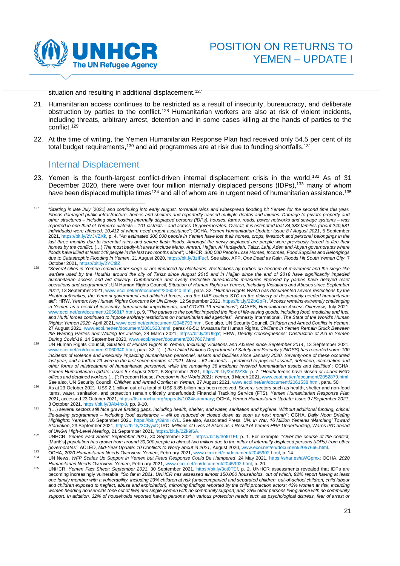

<span id="page-20-1"></span>situation and resulting in additional displacement.<sup>127</sup>

- 21. Humanitarian access continues to be restricted as a result of insecurity, bureaucracy, and deliberate obstruction by parties to the conflict.<sup>128</sup> Humanitarian workers are also at risk of violent incidents, including threats, arbitrary arrest, detention and in some cases killing at the hands of parties to the conflict. 129
- 22. At the time of writing, the Yemen Humanitarian Response Plan had received only 54.5 per cent of its total budget requirements,<sup>130</sup> and aid programmes are at risk due to funding shortfalls.<sup>131</sup>

### <span id="page-20-0"></span>Internal Displacement

23. Yemen is the fourth-largest conflict-driven internal displacement crisis in the world. <sup>132</sup> As of 31 December 2020, there were over four million internally displaced persons (IDPs),<sup>133</sup> many of whom have been displaced multiple times $^{\rm 134}$  and all of whom are in urgent need of humanitarian assistance. $^{\rm 135}$ 

<sup>127</sup> "*Starting in late July* [2021] *and continuing into early August, torrential rains and widespread flooding hit Yemen for the second time this year. Floods damaged public infrastructure, homes and shelters and reportedly caused multiple deaths and injuries. Damage to private property and other structures – including sites hosting internally displaced persons (IDPs), houses, farms, roads, power networks and sewage systems – was reported in one-third of Yemen's districts – 101 districts – and across 18 governorates. Overall, it is estimated that 34,383 families (about 240,681 individuals) were affected, 10,412 of whom need urgent assistance*"; OCHA, *Yemen Humanitarian Update: Issue 8 / August 2021*, 5 September 2021[, https://bit.ly/2VJVZXk,](https://bit.ly/2VJVZXk) p. 4. "*An estimated 300,000 people in Yemen have lost their homes, crops, livestock and personal belongings in the*  last three months due to torrential rains and severe flash floods. Amongst the newly displaced are people were previously forced to flee their *homes by the conflict.* (…) *The most badly-hit areas include Marib, Amran, Hajjah, Al Hudaydah, Taizz, Lahj, Aden and Abyan governorates where floods have killed at least 148 people in the last two months alone*"; UNHCR, *300,000 People Lose Homes, Incomes, Food Supplies and Belongings due to Catastrophic Flooding in Yemen*, 21 August 2020[, https://bit.ly/3zIFucf.](https://bit.ly/3zIFucf) See also, AFP, *One Dead as Rain, Floods Hit South Yemen City*, 7 October 2021[, https://bit.ly/2YCtifZ.](https://bit.ly/2YCtifZ) 

<sup>128</sup> "*Several cities in Yemen remain under siege or are impacted by blockades. Restrictions by parties on freedom of movement and the siege-like warfare used by the Houthis around the city of Ta'izz since August 2015 and in Hajjah since the end of 2018 have significantly impeded humanitarian access and aid delivery. Cumbersome and overly restrictive bureaucratic measures imposed by parties have delayed relief operations and programmes*"; UN Human Rights Council, *Situation of Human Rights in Yemen, Including Violations and Abuses since September 2014*, 13 September 2021[, www.ecoi.net/en/document/2060340.html,](http://www.ecoi.net/en/document/2060340.html) para. 32. "*Human Rights Watch has documented severe restrictions by the Houthi authorities, the Yemeni government and affiliated forces, and the UAE-backed STC on the delivery of desperately needed humanitarian aid*"; HRW, *Yemen: Key Human Rights Concerns for UN Envoy*, 12 September 2021[, https://bit.ly/2ZbGpFr.](https://bit.ly/2ZbGpFr) "*Access remains extremely challenging in Yemen as a result of insecurity, bureaucratic impediments, and COVID-19 restrictions*"; ACAPS, *Humanitarian Access Overview*, July 2021, [www.ecoi.net/en/document/2056817.html,](http://www.ecoi.net/en/document/2056817.html) p. 9. "*The parties to the conflict impeded the flow of life-saving goods, including food, medicine and fuel, and Huthi forces continued to impose arbitrary restrictions on humanitarian aid agencies*"; Amnesty International, *The State of the World's Human Rights: Yemen 2020*, April 2021[, www.ecoi.net/en/document/2048793.html.](https://www.ecoi.net/en/document/2048793.html) See also, UN Security Council, *Children and Armed Conflict in Yemen*, 27 August 2021[, www.ecoi.net/en/document/2061538.html,](https://www.ecoi.net/en/document/2061538.html) paras 46-51; Mwatana for Human Rights, *Civilians in Yemen Remain Stuck Between the Warring Parties and Waiting for Justice*, 28 March 2021, [https://bit.ly/3tUIlgY;](https://bit.ly/3tUIlgY) HRW, *Deadly Consequences: Obstruction of Aid in Yemen During Covid-19*, 14 September 2020, [www.ecoi.net/en/document/2037607.html,](http://www.ecoi.net/en/document/2037607.html)

<sup>129</sup> UN Human Rights Council, *Situation of Human Rights in Yemen, Including Violations and Abuses since September 2014*, 13 September 2021, [www.ecoi.net/en/document/2060340.html,](http://www.ecoi.net/en/document/2060340.html) para. 32. "(…) *the United Nations Department of Safety and Security (UNDSS) has recorded some 100 incidents of violence and insecurity impacting humanitarian personnel, assets and facilities since January 2020. Seventy-one of these occurred last year, and a further 29 were in the first seven months of 2021. Most – 62 incidents – pertained to physical assault, detention, intimidation and other forms of mistreatment of humanitarian personnel, while the remaining 38 incidents involved humanitarian assets and facilities*"; OCHA, *Yemen Humanitarian Update: Issue 8 / August 2021*, 5 September 2021[, https://bit.ly/2VJVZXk,](https://bit.ly/2VJVZXk) p. 7. "*Houthi forces have closed or raided NGO*  offices and detained workers (...)"; Freedom House, Freedom in the World 2021: Yemen, 3 March 2021, www.ecoi.net/en/document/2052879.html See also, UN Security Council, *Children and Armed Conflict in Yemen*, 27 August 2021[, www.ecoi.net/en/document/2061538.html,](https://www.ecoi.net/en/document/2061538.html) para. 50.

<sup>130</sup> As at 23 October 2021, US\$ 2.1 billion out of a total of US\$ 3.85 billion has been received. Several sectors such as health, shelter and non-food items, water, sanitation, and protection remain critically underfunded; Financial Tracking Service (FTS), *Yemen Humanitarian Response Plan 2021*, accessed 23 October 2021[, https://fts.unocha.org/appeals/1024/summary;](https://fts.unocha.org/appeals/1024/summary) OCHA, *Yemen Humanitarian Update: Issue 9 / September 2021*, 3 October 2021[, https://bit.ly/3Ab4nx8,](https://bit.ly/3Ab4nx8) pp. 9-10.

<sup>131</sup> "(…) *several sectors still face grave funding gaps, including health, shelter, and water, sanitation and hygiene. Without additional funding, critical life-saving programmes – including food assistance – will be reduced or closed down as soon as next month*"; OCHA, *Daily Noon Briefing Highlights: Yemen*, 16 September 2021[, https://bit.ly/39mHxYL.](https://bit.ly/39mHxYL) See also, Associated Press, *UN: In War, 16 Million Yemenis 'Marching' Toward Starvation*, 23 September 2021[, https://bit.ly/3CIyyxD;](https://bit.ly/3CIyyxD) IRC, *Millions of Lives at Stake as a Result of Yemen HRP Underfunding, Warns IRC ahead* 

of UNGA High-Level Meeting, 21 September 2021[, https://bit.ly/2Zk9f6A.](https://bit.ly/2Zk9f6A)<br><sup>132</sup> UNHCR, *Yemen Fact Sheet: September 2021*, 30 September 2021, [https://bit.ly/3ot0TEf,](https://bit.ly/3ot0TEf) p. 1. For example: "*Over the course of the conflict,* [Marib's] *population has grown from around 30,000 people to almost two million due to the influx of internally displaced persons (IDPs) from other governorates*"; ACLED, *Mid-Year Update: 10 Conflicts to Worry about in 2021*, August 2020[, www.ecoi.net/en/document/2057666.html.](http://www.ecoi.net/en/document/2057666.html)

<sup>133</sup> OCHA, *2020 Humanitarian Needs Overview: Yemen*, February 2021, [www.ecoi.net/en/document/2045902.html,](http://www.ecoi.net/en/document/2045902.html) p. 14.

<sup>134</sup> UN News, *WFP Scales Up Support in Yemen but Fears Response Could Be Hampered*, 24 May 2021, [https://shar.es/aWGpmx;](https://shar.es/aWGpmx) OCHA, *2020 Humanitarian Needs Overview: Yemen*, February 2021[, www.ecoi.net/en/document/2045902.html,](http://www.ecoi.net/en/document/2045902.html) p. 20.

<sup>135</sup> UNHCR, *Yemen Fact Sheet: September 2021*, 30 September 2021, [https://bit.ly/3ot0TEf,](https://bit.ly/3ot0TEf) p. 2. UNHCR assessments revealed that IDPs are becoming increasingly vulnerable: "*So far in 2021, UNHCR has assessed almost 150,000 households, out of which, 92% report having at least one family member with a vulnerability, including 23% children at risk (unaccompanied and separated children, out-of-school children, child labour*  and children exposed to neglect, abuse and exploitation), mirroring findings reported by the child protection actors; 43% women at risk, including women heading households (one out of five) and single women with no community support; and, 25% older persons living alone with no community *support. In addition, 32% of households reported having persons with various protection needs such as psychological distress, fear of arrest or*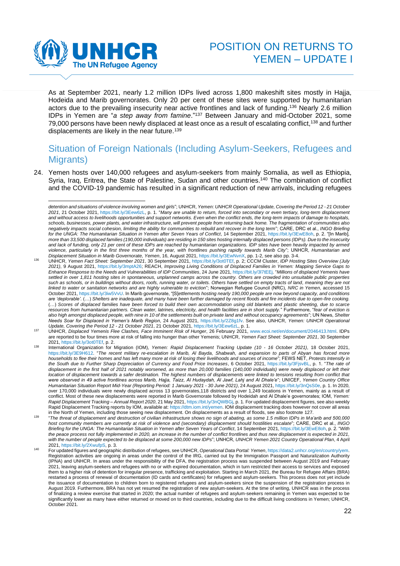

As at September 2021, nearly 1.2 million IDPs lived across 1,800 makeshift sites mostly in Hajja, Hodeida and Marib governorates. Only 20 per cent of these sites were supported by humanitarian actors due to the prevailing insecurity near active frontlines and lack of funding. <sup>136</sup> Nearly 2.6 million IDPs in Yemen are "*a step away from famine*."<sup>137</sup> Between January and mid-October 2021, some 79,000 persons have been newly displaced at least once as a result of escalating conflict, <sup>138</sup> and further displacements are likely in the near future.<sup>139</sup>

# <span id="page-21-0"></span>Situation of Foreign Nationals (Including Asylum-Seekers, Refugees and Migrants)

24. Yemen hosts over 140,000 refugees and asylum-seekers from mainly Somalia, as well as Ethiopia, Syria, Iraq, Eritrea, the State of Palestine, Sudan and other countries.<sup>140</sup> The combination of conflict and the COVID-19 pandemic has resulted in a significant reduction of new arrivals, including refugees

*detention and situations of violence involving women and girls*"; UNHCR, *Yemen: UNHCR Operational Update, Covering the Period 12 - 21 October 2021*, 21 October 2021, [https://bit.ly/3Eew6zL,](https://bit.ly/3Eew6zL) p. 1. "*Many are unable to return, forced into secondary or even tertiary, long-term displacement and without access to livelihoods opportunities and support networks. Even when the conflict ends, the long-term impacts of damage to hospitals, schools, businesses, power plants, and water infrastructure, will prevent people from returning back home. The fragmentation of communities also negatively impacts social cohesion, limiting the ability for communities to rebuild and recover in the long term*"; CARE, DRC et al., *INGO Briefing for the UNGA: The Humanitarian Situation in Yemen after Seven Years of Conflict*, 14 September 2021, [https://bit.ly/3EwE8oh,](https://bit.ly/3EwE8oh) p. 2. "[In Marib]*, more than 33,500 displaced families (190,000 individuals) are residing in 150 sites hosting internally displaced persons (IDPs). Due to the insecurity and lack of funding, only 21 per cent of these IDPs are reached by humanitarian organizations. IDP sites have been heavily impacted by armed violence, particularly in the first three months of the year, with frontlines pushing rapidly towards Marib City*"; UNHCR, *Humanitarian and* 

Displacement Situation in Marib Governorate, Yemen, 16, August 2021[, https://bit.ly/3EwNvnX,](https://bit.ly/3EwNvnX) pp. 1-2, see also pp. 3-4.<br><sup>136</sup> UNHCR, Yemen *Fact Sheet: September 2021*, 30 September 2021[, https://bit.ly/3ot0TEf,](https://bit.ly/3ot0TEf) p. 2; CCC *2021)*, 9 August 2021, [https://bit.ly/3mptA26;](https://bit.ly/3mptA26) REACH, *Improving Living Conditions of Displaced Families in Yemen: Mapping Service Gaps to Enhance Response to the Needs and Vulnerabilities of IDP Communities*, 24 June 2021[, https://bit.ly/3l7tEEj.](https://bit.ly/3l7tEEj) "*Millions of displaced Yemenis have*  settled in over 1,811 hosting sites in spontaneous, unplanned camps across the country. Others are crowded into unsuitable public properties *such as schools, or in buildings without doors, roofs, running water, or toilets. Others have settled on empty tracts of land, meaning they are not linked to water or sanitation networks and are highly vulnerable to eviction*"; Norwegian Refugee Council (NRC), *NRC in Yemen*, accessed 15 October 2021[, https://bit.ly/3iw5VvU.](https://bit.ly/3iw5VvU) In Marib governorate, "[S]*ettlements hosting nearly 190,000 people are now beyond capacity, and conditions are 'deplorable'.* (…) *Shelters are inadequate, and many have been further damaged by recent floods and fire incidents due to open-fire cooking.* (…) *Scores of displaced families have been forced to build their own accommodation using old blankets and plastic sheeting, due to scarce resources from humanitarian partners. Clean water, latrines, electricity, and health facilities are in short supply.*" Furthermore, "*fear of eviction is also high amongst displaced people, with nine in 10 of the settlements built on private land and without occupancy agreements*"; UN News, *Shelter Needs Soar for Displaced in Yemen's Marib Region*, 24 August 2021, [https://bit.ly/2Z8g1fv.](https://bit.ly/2Z8g1fv) See also, UNHCR, *Yemen: UNHCR Operational Update, Covering the Period 12 - 21 October 2021*, 21 October 2021, [https://bit.ly/3Eew6zL,](https://bit.ly/3Eew6zL) p. 1.

<sup>137</sup> UNHCR, *Displaced Yemenis Flee Clashes, Face Imminent Risk of Hunger*, 26 February 2021, [www.ecoi.net/en/document/2046413.html.](http://www.ecoi.net/en/document/2046413.html) IDPs are reported to be four times more at risk of falling into hunger than other Yemenis; UNHCR, *Yemen Fact Sheet: September 2021*, 30 September 2021[, https://bit.ly/3ot0TEf,](https://bit.ly/3ot0TEf) p. 2.

<sup>138</sup> International Organization for Migration (IOM), *Yemen: Rapid Displacement Tracking Update (10 - 16 October 2021)*, 18 October 2021, [https://bit.ly/3E9H612.](https://bit.ly/3E9H612) "*The recent military re-escalation in Marib, Al Bayda, Shabwah, and expansion to parts of Abyan has forced more households to flee their homes and has left many more at risk of losing their livelihoods and sources of income*"; FEWS NET, *Protests Intensify in the South due to Further Sharp Depreciation of Currency and Food Price Increases*, 6 October 2021, [https://bit.ly/3FjsvBL,](https://bit.ly/3FjsvBL) p. 1. "*The rate of*  displacement in the first half of 2021 notably worsened, as more than 20,000 families (140,000 individuals) were newly displaced or left their *location of displacement towards a safer destination. The highest numbers of displacements were linked to tensions resulting from conflict that were observed in 49 active frontlines across Marib, Hajja, Taizz, Al Hudaydah, Al Jawf, Lahj and Al Dhale'e*"; UNICEF, *Yemen Country Office Humanitarian Situation Report Mid-Year (Reporting Period: 1 January 2021 - 30 June 2021)*, 24 August 2021[, https://bit.ly/3nQsS0e,](https://bit.ly/3nQsS0e) p. 1. In 2020, over 170,000 individuals were newly displaced across 13 governorates,118 districts and over 1,249 locations in Yemen, mainly as a result of conflict. Most of these new displacements were reported in Marib Governorate followed by Hodeidah and Al Dhale'e governorates; IOM, *Yemen: Rapid Displacement Tracking – Annual Report 2020*, 21 May 2021[, https://bit.ly/3nQWBGj,](https://bit.ly/3nQWBGj) p. 1. For updated displacement figures, see also weekly Rapid Displacement Tracking reports by IOM, available at[: https://dtm.iom.int/yemen.](https://dtm.iom.int/yemen) IOM displacement tracking does however not cover all areas in the North of Yemen, including those seeing new displacement. On displacements as a result of floods, see also footnote [127.](#page-20-1)

<sup>139</sup> "*The threat of displacement and destruction of civilian infrastructure shows no sign of abating, as some 1.5 million IDPs in Ma'arib and 500,000 host community members are currently at risk of violence and (secondary) displacement should hostilities escalate*"; CARE, DRC et al., *INGO Briefing for the UNGA: The Humanitarian Situation in Yemen after Seven Years of Conflict*, 14 September 2021[, https://bit.ly/3EwE8oh,](https://bit.ly/3EwE8oh) p. 2. "*With the peace process not fully implemented in 2020, an increase in the number of conflict frontlines and thus new displacement is expected in 2021, with the number of people expected to be displaced at some 200,000 new IDPs*"; UNHCR, *UNHCR Yemen 2021 Country Operational Plan*, 4 April 2021, [https://bit.ly/2XwufpS,](https://bit.ly/2XwufpS) p. 3.

<sup>140</sup> For updated figures and geographic distribution of refugees, see UNHCR, *Operational Data Portal: Yemen*[, https://data2.unhcr.org/en/country/yem.](https://data2.unhcr.org/en/country/yem) Registration activities are ongoing in areas under the control of the IRG, carried out by the Immigration Passport and Naturalization Authority (IPNA) and UNHCR. In areas under the responsibility of the DFA, the registration process was suspended between August 2019 and February 2021, leaving asylum-seekers and refugees with no or with expired documentation, which in turn restricted their access to services and exposed them to a higher risk of detention for irregular presence, trafficking and exploitation. Starting in March 2021, the Bureau for Refugee Affairs (BRA) restarted a process of renewal of documentation (ID cards and certificates) for refugees and asylum-seekers. This process does not yet include the issuance of documentation to children born to registered refugees and asylum-seekers since the suspension of the registration process in August 2019. Furthermore, BRA has not yet resumed the registration of new asylum-seekers. At the time of writing, UNHCR was in the process of finalizing a review exercise that started in 2020; the actual number of refugees and asylum-seekers remaining in Yemen was expected to be significantly lower as many have either returned or moved on to third countries, including due to the difficult living conditions in Yemen; UNHCR, October 2021.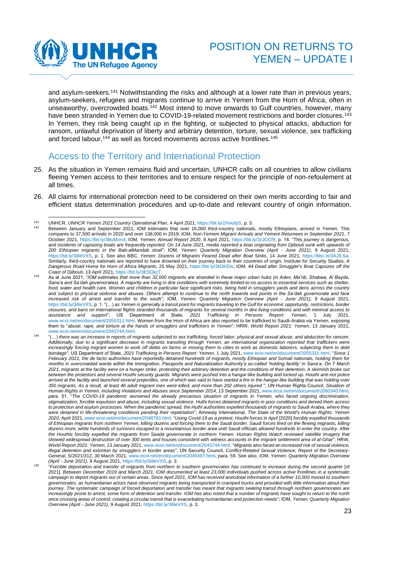

and asylum-seekers.<sup>141</sup> Notwithstanding the risks and although at a lower rate than in previous years, asylum-seekers, refugees and migrants continue to arrive in Yemen from the Horn of Africa, often in unseaworthy, overcrowded boats.<sup>142</sup> Most intend to move onwards to Gulf countries, however, many have been stranded in Yemen due to COVID-19-related movement restrictions and border closures.<sup>143</sup> In Yemen, they risk being caught up in the fighting, or subjected to physical attacks, abduction for ransom, unlawful deprivation of liberty and arbitrary detention, torture, sexual violence, sex trafficking and forced labour,<sup>144</sup> as well as forced movements across active frontlines.<sup>145</sup>

# <span id="page-22-0"></span>Access to the Territory and International Protection

- 25. As the situation in Yemen remains fluid and uncertain, UNHCR calls on all countries to allow civilians fleeing Yemen access to their territories and to ensure respect for the principle of non-refoulement at all times.
- 26. All claims for international protection need to be considered on their own merits according to fair and efficient status determination procedures and up-to-date and relevant country of origin information.

<sup>141</sup> UNHCR, *UNHCR Yemen 2021 Country Operational Plan*, 4 April 2021, [https://bit.ly/2XwufpS,](https://bit.ly/2XwufpS) p. 3.

Between January and September 2021, IOM estimates that over 16,000 third-country nationals, mostly Ethiopians, arrived in Yemen. This compares to 37,500 arrivals in 2020 and over 138,000 in 2019; IOM, *Non-Yemeni Migrant Arrivals and Yemeni Returnees in September 2021*, 7 October 2021, [https://bit.ly/3BuMon4;](https://bit.ly/3BuMon4) IOM, *Yemen: Annual Report 2020*, 8 April 2021, [https://bit.ly/3zJCCf9,](https://bit.ly/3zJCCf9) p. 14. "*This journey is dangerous,*  and incidents of capsizing boats are frequently reported. On 14 June 2021, media reported a boat originating from Djibouti sunk with upwards of *200 Ethiopian migrants in the Bab-alMandab strait*"; IOM, *Yemen: Quarterly Migration Overview (April - June 2021)*, 9 August 2021, [https://bit.ly/3i8eVXS,](https://bit.ly/3i8eVXS) p. 1. See also BBC, *Yemen: Dozens of Migrants Feared Dead after Boat Sinks*, 14 June 2021, [https://bbc.in/3AJfLSa.](https://bbc.in/3AJfLSa) Similarly, third-country nationals are reported to have drowned on their journey back to their countries of origin; Institute for Security Studies, *A Dangerous Road Home for Horn of Africa Migrants*, 25 May 2021[, https://bit.ly/3kDKElo;](https://bit.ly/3kDKElo) IOM, *44 Dead after Smuggler's Boat Capsizes off the Coast of Djibouti*, 13 April 2021[, https://bit.ly/3ESQkzT.](https://bit.ly/3ESQkzT) 

<sup>143</sup> As at June 2021, "*IOM estimates that more than 32,000 migrants are stranded in these major urban hubs (in Aden, Ma'rib, Shabwa, Al Bayda,*  Sana'a and Sa'dah governorates). A majority are living in dire conditions with extremely limited-to-no access to essential services such as shelter, *food, water and health care. Women and children in particular face significant risks, being held in smugglers yards and dens across the country and subject to physical violence and abuses. Others attempt to continue to the north towards exit points in the Sa'dah governorate and face increased risk of arrest and transfer to the south*"; IOM, *Yemen: Quarterly Migration Overview (April - June 2021)*, 9 August 2021, [https://bit.ly/3i8eVXS,](https://bit.ly/3i8eVXS) p. 1. "(…) *as Yemen is generally a transit point for migrants traveling to the Gulf for economic opportunity, restrictions, border closures, and bans on international flights stranded thousands of migrants for several months in dire living conditions and with minimal access to*  2021 Trafficking in Persons Report: Yemen, 1 July [www.ecoi.net/en/document/2055311.html.](http://www.ecoi.net/en/document/2055311.html) Women from the Horn of Africa are also reported to be trafficked to Saudi-Arabia via Yemen, exposing them to "*abuse, rape, and torture at the hands of smugglers and traffickers in Yemen*"; HRW, *World Report 2021: Yemen*, 13 January 2021, [www.ecoi.net/en/document/2043744.html.](https://www.ecoi.net/en/document/2043744.html)

<sup>144</sup> "(…) *there was an increase in reports of migrants subjected to sex trafficking, forced labor, physical and sexual abuse, and abduction for ransom. Additionally, due to a significant decrease in migrants transiting through Yemen, an international organization reported that traffickers were*  increasingly forcing migrant women to work off debts on farms or moving them to cities to work as domestic laborers, subjecting them to debt *bondage*"; US Department of State, *2021 Trafficking in Persons Report: Yemen*, 1 July 2021, [www.ecoi.net/en/document/2055311.html.](https://www.ecoi.net/en/document/2055311.html) "*Since 1 February 2021, the de facto authorities have reportedly detained hundreds of migrants, mostly Ethiopian and Somali nationals, holding them for months in overcrowded wards within the Immigration, Passports and Naturalization Authority's so-called 'holding facility' in Sana'a. On 7 March 2021, migrants at the facility were on a hunger strike, protesting their arbitrary detention and the conditions of their detention. A skirmish broke out between the protestors and several Houthi security guards. Migrants were pushed into a hangar-like building and locked up. Houthi anti-riot police arrived at the facility and launched several projectiles, one of which was said to have started a fire in the hangar-like building that was holding over 350 migrants. As a result, at least 46 adult migrant men were killed, and more than 202 others injured* "; UN Human Rights Council, *Situation of Human Rights in Yemen, Including Violations and Abuses since September 2014*, 13 September 2021, [www.ecoi.net/en/document/2060340.html,](http://www.ecoi.net/en/document/2060340.html) para. 51. "*The COVID-19 pandemic worsened the already precarious situation of migrants in Yemen, who faced ongoing discrimination, stigmatization, forcible expulsion and abuse, including sexual violence. Huthi forces detained migrants in poor conditions and denied them access to protection and asylum processes. When the pandemic spread, the Huthi authorities expelled thousands of migrants to Saudi Arabia, where they were detained in life-threatening conditions pending their repatriation*"; Amnesty International, *The State of the World's Human Rights: Yemen*  2020, April 2021[, www.ecoi.net/en/document/2048793.html.](https://www.ecoi.net/en/document/2048793.html) "Using Covid-19 as a pretext, Houthi forces in April [2020] forcibly expelled thousands *of Ethiopian migrants from northern Yemen, killing dozens and forcing them to the Saudi border. Saudi forces fired on the fleeing migrants, killing dozens more, while hundreds of survivors escaped to a mountainous border area until Saudi officials allowed hundreds to enter the country. After the Houthis forcibly expelled the migrants from Saada governorate in northern Yemen, Human Rights Watch reviewed satellite imagery that showed widespread destruction of over 300 tents and houses consistent with witness accounts in the migrant settlement area of al-Ghar*"; HRW, *World Report 2021: Yemen*, 13 January 2021[, www.ecoi.net/en/document/2043744.html.](https://www.ecoi.net/en/document/2043744.html) "*Migrants also faced an increased risk of sexual violence, illegal detention and extortion by smugglers in border areas*"; UN Security Council, *Conflict-Related Sexual Violence; Report of the Secretary-General*, S/2021/312, 30 March 2021, [www.ecoi.net/en/document/2049397.html,](http://www.ecoi.net/en/document/2049397.html) para. 59. See also, IOM, *Yemen: Quarterly Migration Overview (April - June 2021)*, 9 August 2021[, https://bit.ly/3i8eVXS,](https://bit.ly/3i8eVXS) p. 3. 145

<sup>&</sup>quot;*Forcible deportation and transfer of migrants from northern to southern governorates has continued to increase during the second quarter* [of 2021]*. Between December 2019 and March 2021, IOM documented at least 23,000 individuals pushed across active frontlines in a systematic campaign to deport migrants out of certain areas. Since April 2021, IOM has received anecdotal information of a further 10,000 moved to southern governorates, as humanitarian actors have observed migrants being transported in cramped trucks and provided with little information about their journey. The systematic campaign of forced deportation and transfer has meant that migrants seeking transit through northern governorates are*  increasingly prone to arrest, some form of detention and transfer. IOM has also noted that a number of migrants have sought to return to the north *once crossing areas of control, creating a circular transit that is exacerbating humanitarian and protection needs*"; IOM, *Yemen: Quarterly Migration Overview (April - June 2021)*, 9 August 2021[, https://bit.ly/3i8eVXS,](https://bit.ly/3i8eVXS) p. 3.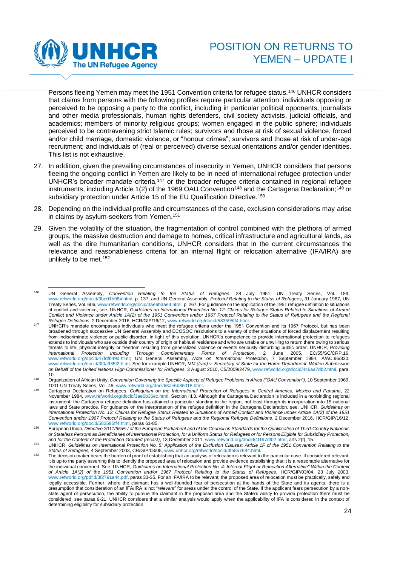

Persons fleeing Yemen may meet the 1951 Convention criteria for refugee status.<sup>146</sup> UNHCR considers that claims from persons with the following profiles require particular attention: individuals opposing or perceived to be opposing a party to the conflict, including in particular political opponents, journalists and other media professionals, human rights defenders, civil society activists, judicial officials, and academics; members of minority religious groups; women engaged in the public sphere; individuals perceived to be contravening strict Islamic rules; survivors and those at risk of sexual violence, forced and/or child marriage, domestic violence, or "honour crimes"; survivors and those at risk of under-age recruitment; and individuals of (real or perceived) diverse sexual orientations and/or gender identities. This list is not exhaustive.

- 27. In addition, given the prevailing circumstances of insecurity in Yemen, UNHCR considers that persons fleeing the ongoing conflict in Yemen are likely to be in need of international refugee protection under UNHCR's broader mandate criteria,<sup>147</sup> or the broader refugee criteria contained in regional refugee instruments, including Article 1(2) of the 1969 OAU Convention<sup>148</sup> and the Cartagena Declaration;<sup>149</sup> or subsidiary protection under Article 15 of the EU Qualification Directive.<sup>150</sup>
- 28. Depending on the individual profile and circumstances of the case, exclusion considerations may arise in claims by asylum-seekers from Yemen. 151
- 29. Given the volatility of the situation, the fragmentation of control combined with the plethora of armed groups, the massive destruction and damage to homes, critical infrastructure and agricultural lands, as well as the dire humanitarian conditions, UNHCR considers that in the current circumstances the relevance and reasonableness criteria for an internal flight or relocation alternative (IFA/IRA) are unlikely to be met.<sup>152</sup>

<sup>146</sup> UN General Assembly, *Convention Relating to the Status of Refugees*, 28 July 1951, UN Treaty Series, Vol. 189, [www.refworld.org/docid/3be01b964.html,](http://www.refworld.org/docid/3be01b964.html) p. 137, and UN General Assembly, *Protocol Relating to the Status of Refugees*, 31 January 1967, UN Treaty Series, Vol. 606[, www.refworld.org/docid/3ae6b3ae4.html,](http://www.refworld.org/docid/3ae6b3ae4.html) p. 267. For guidance on the application of the 1951 refugee definition to situations of conflict and violence, see: UNHCR, *Guidelines on International Protection No. 12: Claims for Refugee Status Related to Situations of Armed Conflict and Violence under Article 1A(2) of the 1951 Convention and/or 1967 Protocol Relating to the Status of Refugees and the Regional Refugee Definitions*, 2 December 2016, HCR/GIP/16/12[, www.refworld.org/docid/583595ff4.html.](http://www.refworld.org/docid/583595ff4.html)

<sup>147</sup> UNHCR's mandate encompasses individuals who meet the refugee criteria under the 1951 Convention and its 1967 Protocol, but has been broadened through successive UN General Assembly and ECOSOC resolutions to a variety of other situations of forced displacement resulting from indiscriminate violence or public disorder. In light of this evolution, UNHCR's competence to provide international protection to refugees extends to individuals who are outside their country of origin or habitual residence and who are unable or unwilling to return there owing to serious threats to life, physical integrity or freedom resulting from generalized violence or events seriously disturbing public order. UNHCR, *Providing International Protection Including Through Complementary Forms of Protection*, 2 June 2005, EC/55/SC/CRP.16, [www.refworld.org/docid/47fdfb49d.html;](http://www.refworld.org/docid/47fdfb49d.html) UN General Assembly, *Note on International Protection*, 7 September 1994, A/AC.96/830, [www.refworld.org/docid/3f0a935f2.html.](http://www.refworld.org/docid/3f0a935f2.html) See for example UNHCR, *MM (Iran) v. Secretary of State for the Home Department: Written Submission on Behalf of the United Nations High Commissioner for Refugees*, 3 August 2010, C5/2009/2479[, www.refworld.org/docid/4c6aa7db2.html,](http://www.refworld.org/docid/4c6aa7db2.html) para. 10.

<sup>&</sup>lt;sup>148</sup> Organization of African Unity, Convention Governing the Specific Aspects of Refugee Problems in Africa ("OAU Convention"), 10 September 1969, 1001 UN Treaty Series, Vol. 45, [www.refworld.org/docid/3ae6b36018.html.](http://www.refworld.org/docid/3ae6b36018.html) 

<sup>149</sup> Cartagena Declaration on Refugees, *Colloquium on the International Protection of Refugees in Central America, Mexico and Panama*, 22 November 1984, [www.refworld.org/docid/3ae6b36ec.html,](http://www.refworld.org/docid/3ae6b36ec.html) Section III.3. Although the Cartagena Declaration is included in a nonbinding regional instrument, the Cartagena refugee definition has attained a particular standing in the region, not least through its incorporation into 15 national laws and State practice. For guidance on the interpretation of the refugee definition in the Cartagena Declaration, see: UNHCR, *Guidelines on International Protection No. 12: Claims for Refugee Status Related to Situations of Armed Conflict and Violence under Article 1A(2) of the 1951 Convention and/or 1967 Protocol Relating to the Status of Refugees and the Regional Refugee Definitions*, 2 December 2016, HCR/GIP/16/12,

[www.refworld.org/docid/583595ff4.html,](http://www.refworld.org/docid/583595ff4.html) paras 61-85. <sup>150</sup> European Union, *Directive 2011/95/EU of the European Parliament and of the Council on Standards for the Qualification of Third-Country Nationals or Stateless Persons as Beneficiaries of International Protection, for a Uniform Status for Refugees or for Persons Eligible for Subsidiary Protection, and for the Content of the Protection Granted (recast)*, 13 December 2011[, www.refworld.org/docid/4f197df02.html,](http://www.refworld.org/docid/4f197df02.html) arts 2(f), 15.

<sup>151</sup> UNHCR, *Guidelines on International Protection No. 5: Application of the Exclusion Clauses: Article 1F of the 1951 Convention Relating to the Status of Refugees,* 4 September 2003, CR/GIP/03/05[, www.unhcr.org/refworld/docid/3f5857684.html.](http://www.unhcr.org/refworld/docid/3f5857684.html)

The decision-maker bears the burden of proof of establishing that an analysis of relocation is relevant to the particular case. If considered relevant, it is up to the party asserting this to identify the proposed area of relocation and provide evidence establishing that it is a reasonable alternative for the individual concerned. See: UNHCR, *Guidelines on International Protection No. 4: Internal Flight or Relocation Alternative" Within the Context of Article 1A(2) of the 1951 Convention and/or 1967 Protocol Relating to the Status of Refugees*, HCR/GIP/03/04, 23 July 2003, [www.refworld.org/pdfid/3f2791a44.pdf,](http://www.refworld.org/pdfid/3f2791a44.pdf) paras 33-35. For an IFA/IRA to be relevant, the proposed area of relocation must be practically, safely and legally accessible. Further, where the claimant has a well-founded fear of persecution at the hands of the State and its agents, there is a presumption that consideration of an IFA/IRA is not "*relevant*" for areas under the control of the State. If the applicant fears persecution by a nonstate agent of persecution, the ability to pursue the claimant in the proposed area and the State's ability to provide protection there must be considered, see paras 9-21. UNHCR considers that a similar analysis would apply when the applicability of IFA is considered in the context of determining eligibility for subsidiary protection.